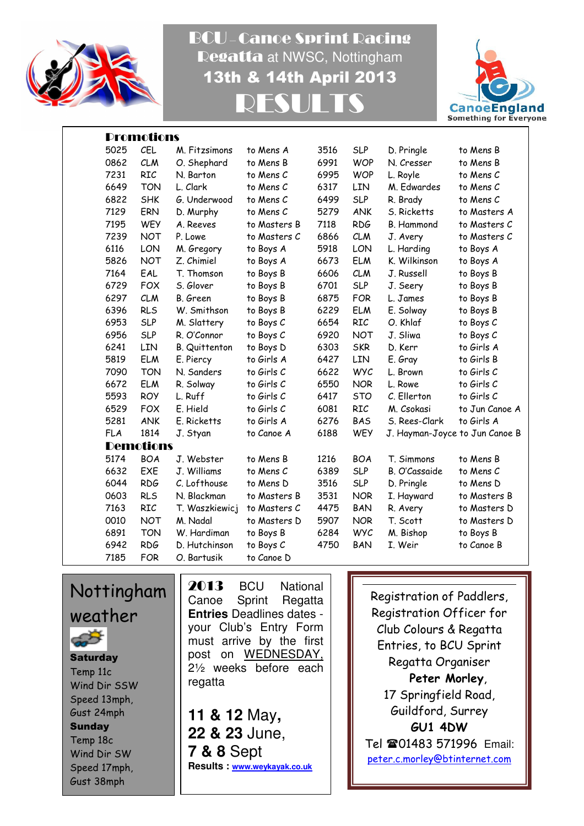

BCU – Canoe Sprint Racing Regatta at NWSC, Nottingham 13th & 14th April 2013 RESULTS



|            | <b>Promotions</b> |                |              |      |            |                                |                |
|------------|-------------------|----------------|--------------|------|------------|--------------------------------|----------------|
| 5025       | <b>CEL</b>        | M. Fitzsimons  | to Mens A    | 3516 | <b>SLP</b> | D. Pringle                     | to Mens B      |
| 0862       | <b>CLM</b>        | O. Shephard    | to Mens B    | 6991 | <b>WOP</b> | N. Cresser                     | to Mens B      |
| 7231       | RIC               | N. Barton      | to Mens C    | 6995 | <b>WOP</b> | L. Royle                       | to Mens C      |
| 6649       | <b>TON</b>        | L. Clark       | to Mens C    | 6317 | LIN        | M. Edwardes                    | to Mens C      |
| 6822       | <b>SHK</b>        | G. Underwood   | to Mens C    | 6499 | <b>SLP</b> | R. Brady                       | to Mens C      |
| 7129       | ERN               | D. Murphy      | to Mens C    | 5279 | <b>ANK</b> | S. Ricketts                    | to Masters A   |
| 7195       | <b>WEY</b>        | A. Reeves      | to Masters B | 7118 | <b>RDG</b> | <b>B.</b> Hammond              | to Masters C   |
| 7239       | <b>NOT</b>        | P. Lowe        | to Masters C | 6866 | <b>CLM</b> | J. Avery                       | to Masters C   |
| 6116       | LON               | M. Gregory     | to Boys A    | 5918 | LON        | L. Harding                     | to Boys A      |
| 5826       | <b>NOT</b>        | Z. Chimiel     | to Boys A    | 6673 | <b>ELM</b> | K. Wilkinson                   | to Boys A      |
| 7164       | EAL               | T. Thomson     | to Boys B    | 6606 | <b>CLM</b> | J. Russell                     | to Boys B      |
| 6729       | <b>FOX</b>        | S. Glover      | to Boys B    | 6701 | <b>SLP</b> | J. Seery                       | to Boys B      |
| 6297       | <b>CLM</b>        | B. Green       | to Boys B    | 6875 | <b>FOR</b> | L. James                       | to Boys B      |
| 6396       | <b>RLS</b>        | W. Smithson    | to Boys B    | 6229 | <b>ELM</b> | E. Solway                      | to Boys B      |
| 6953       | <b>SLP</b>        | M. Slattery    | to Boys C    | 6654 | RIC        | O. Khlaf                       | to Boys C      |
| 6956       | <b>SLP</b>        | R. O'Connor    | to Boys C    | 6920 | <b>NOT</b> | J. Sliwa                       | to Boys C      |
| 6241       | LIN               | B. Quittenton  | to Boys D    | 6303 | <b>SKR</b> | D. Kerr                        | to Girls A     |
| 5819       | <b>ELM</b>        | E. Piercy      | to Girls A   | 6427 | LIN        | E. Gray                        | to Girls B     |
| 7090       | <b>TON</b>        | N. Sanders     | to Girls C   | 6622 | <b>WYC</b> | L. Brown                       | to Girls C     |
| 6672       | <b>ELM</b>        | R. Solway      | to Girls C   | 6550 | <b>NOR</b> | L. Rowe                        | to Girls C     |
| 5593       | <b>ROY</b>        | L. Ruff        | to Girls C   | 6417 | <b>STO</b> | C. Ellerton                    | to Girls C     |
| 6529       | <b>FOX</b>        | E. Hield       | to Girls C   | 6081 | <b>RIC</b> | M. Csokasi                     | to Jun Canoe A |
| 5281       | <b>ANK</b>        | E. Ricketts    | to Girls A   | 6276 | <b>BAS</b> | S. Rees-Clark                  | to Girls A     |
| <b>FLA</b> | 1814              | J. Styan       | to Canoe A   | 6188 | <b>WEY</b> | J. Hayman-Joyce to Jun Canoe B |                |
|            | <b>Demotions</b>  |                |              |      |            |                                |                |
| 5174       | <b>BOA</b>        | J. Webster     | to Mens B    | 1216 | <b>BOA</b> | T. Simmons                     | to Mens B      |
| 6632       | EXE               | J. Williams    | to Mens C    | 6389 | <b>SLP</b> | B. O'Cassaide                  | to Mens C      |
| 6044       | <b>RDG</b>        | C. Lofthouse   | to Mens D    | 3516 | <b>SLP</b> | D. Pringle                     | to Mens D      |
| 0603       | <b>RLS</b>        | N. Blackman    | to Masters B | 3531 | <b>NOR</b> | I. Hayward                     | to Masters B   |
| 7163       | RIC               | T. Waszkiewicj | to Masters C | 4475 | <b>BAN</b> | R. Avery                       | to Masters D   |
| 0010       | <b>NOT</b>        | M. Nadal       | to Masters D | 5907 | <b>NOR</b> | T. Scott                       | to Masters D   |
| 6891       | <b>TON</b>        | W. Hardiman    | to Boys B    | 6284 | <b>WYC</b> | M. Bishop                      | to Boys B      |
| 6942       | <b>RDG</b>        | D. Hutchinson  | to Boys C    | 4750 | <b>BAN</b> | I. Weir                        | to Canoe B     |
| 7185       | <b>FOR</b>        | O. Bartusik    | to Canoe D   |      |            |                                |                |

Nottingham weather **Saturday** Temp 11c Wind Dir SSW Speed 13mph, Gust 24mph **Sunday** Temp 18c Wind Dir SW Speed 17mph, Gust 38mph

2013 BCU National Canoe Sprint Regatta **Entries** Deadlines dates your Club's Entry Form must arrive by the first post on WEDNESDAY, 2½ weeks before each regatta

**11 & 12** May**, 22 & 23** June, **7 & 8** Sept **Results : www.weykayak.co.uk**

Registration of Paddlers, Registration Officer for Club Colours & Regatta Entries, to BCU Sprint Regatta Organiser Peter Morley, 17 Springfield Road, Guildford, Surrey GU1 4DW Tel 201483 571996 Email: peter.c.morley@btinternet.com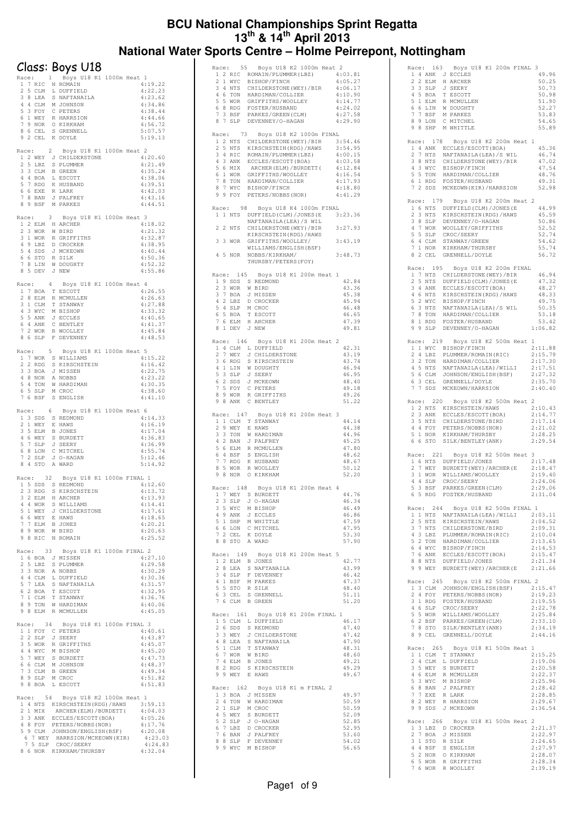#### **BCU National Championships Sprint Regatta 13th & 14th April 2013 National Water Sports Centre – Holme Peirrepont, Nottingham**

| Race:               |                |                    |                |                                                                                                                         |                               |
|---------------------|----------------|--------------------|----------------|-------------------------------------------------------------------------------------------------------------------------|-------------------------------|
|                     |                |                    |                | Class: Boys U18                                                                                                         |                               |
|                     |                |                    | $\mathbf{1}$   | Boys U18 K1 1000m Heat 1                                                                                                |                               |
| 1<br>$\overline{2}$ |                | 5 CLM              |                | 7 RIC N ROMAIN<br>L DUFFIELD                                                                                            | 4:19.22<br>4:22.23            |
|                     |                | 3 8 LEA            |                | S NAFTANAILA                                                                                                            | 4:23.62                       |
|                     |                |                    |                | 4 4 CLM M JOHNSON                                                                                                       | 4:34.86<br>4:38.44            |
|                     |                |                    |                | 5 3 FOY C PETERS<br>6 1 WEY R HARRSION<br>7 9 NOR O KIRKHAM                                                             | 4:44.66                       |
|                     |                | 8 6 CEL            |                | S GRENNELL                                                                                                              | 4:56.72<br>5:07.57            |
| 9                   |                |                    |                | 2 CEL K DOYLE                                                                                                           | 5:19.13                       |
| Race:               |                |                    | $\overline{2}$ | Boys U18 K1 1000m Heat 2                                                                                                |                               |
|                     |                | 1 2 WEY            |                | J CHILDERSTONE                                                                                                          | 4:20.60                       |
| 2                   |                | 5 LBZ              |                | S PLUMMER<br>3 3 CLM B GREEN                                                                                            | 4:21.49<br>4:35.24            |
|                     |                | 4 4 BOA            |                | L ESCOTT                                                                                                                | 4:38.06                       |
|                     |                |                    |                | 5 7 RDG K HUSBAND<br>6 6 EXE R LARK                                                                                     | 4:39.51<br>4:42.03            |
|                     |                |                    |                | 7 8 BAN J PALFREY                                                                                                       | 4:43.16                       |
|                     |                | 8 9 BSF            |                | M PARKES                                                                                                                | 4:44.51                       |
|                     |                | Race: 3            |                | Boys U18 K1 1000m Heat                                                                                                  | -3                            |
|                     |                |                    |                | 1 2 ELM H ARCHER<br>2 3 WOR W BIRD                                                                                      | 4:18.02<br>4:21.32            |
|                     |                |                    |                | 3 1 WOR R GRIFFITHS                                                                                                     | 4:32.87                       |
|                     |                | 5 4 SDS            |                | 4 9 LBZ D CROCKER<br>J MCKEOWN                                                                                          | 4:38.95<br>4:40.44            |
| 7                   |                | 6 6 STO            |                | R SILK<br>W DOUGHTY                                                                                                     | 4:50.36                       |
|                     |                | $8$ LIN<br>8 5 DEV |                | J NEW                                                                                                                   | 4:52.32<br>4:55.86            |
|                     |                | Race:              | 4              | Boys U18 K1 1000m Heat                                                                                                  | -4                            |
|                     |                |                    |                | 1 7 BOA T ESCOTT                                                                                                        | 4:26.55                       |
|                     |                | 2 8 ELM<br>3 1 CLM |                | R MCMULLEN<br>T STANWAY                                                                                                 | 4:26.63<br>4:27.88            |
|                     |                |                    |                |                                                                                                                         | 4:33.32                       |
|                     |                |                    |                | 4 3 WYC M BISHOP<br>5 5 ANK J ECCLES                                                                                    | 4:40.65                       |
|                     |                | 7 2 WOR            |                | 6 4 ANK C BENTLEY<br>R WOOLLEY                                                                                          | 4:41.37<br>4:45.84            |
|                     |                |                    |                | 8 6 SLP F DEVENNEY                                                                                                      | 4:48.53                       |
| Race:               |                |                    | 5              | Boys U18 K1 1000m Heat 5                                                                                                |                               |
|                     |                |                    |                | 1 7 WOR S WILLIAMS<br>2 2 RDG S KIRSCHSTEIN                                                                             | 4:15.22<br>4:16.42            |
|                     |                |                    |                | 3 3 BOA J MISSEN                                                                                                        | 4:22.75                       |
|                     |                | 4 8 NOR<br>5 4 TON |                | A NOBBS<br>W HARDIMAN                                                                                                   | 4:23.22<br>4:30.35            |
| 6                   |                | 5 SLP              |                | M CROC                                                                                                                  | 4:38.60                       |
|                     |                | 7 6 BSF            |                | S ENGLISH                                                                                                               | 4:41.10                       |
| Race:               |                |                    | 6              | Boys U18 K1 1000m Heat                                                                                                  | -6                            |
|                     |                | 2 1 WEY            |                | 1 3 SDS S REDMOND<br>E HAWS                                                                                             | 4:14.33<br>4:16.19            |
|                     |                | 3 5 ELM            |                | B JONES                                                                                                                 | 4:17.04                       |
|                     |                | $4\,6$ WEY         |                | 4 6 WEY S BURDETT<br>5 7 SLP J SEERY                                                                                    | 4:36.83<br>4:36.99            |
|                     |                |                    |                | 6 8 LON C MITCHEL                                                                                                       | 4:55.74                       |
| 7<br>8              |                | $2$ SLP<br>4 STO   |                | J O-HAGAN<br>A WARD                                                                                                     | 5:12.46<br>5:14.92            |
|                     |                | Race: 32           |                |                                                                                                                         |                               |
|                     |                |                    |                | Boys U18 K1 1000m FINAL 1<br>1 5 SDS S REDMOND                                                                          | 4:12.60                       |
|                     | 2 <sub>3</sub> |                    |                | RDG S KIRSCHSTEIN                                                                                                       | 4:13.72                       |
|                     |                |                    |                | 3 2 ELM H ARCHER                                                                                                        | 4:13.93<br>4:14.41            |
|                     |                |                    |                |                                                                                                                         | 4:17.61                       |
|                     |                |                    |                |                                                                                                                         | 4:18.65<br>4:20.21            |
|                     |                |                    |                | 3 A WOR S WILLIAMS<br>5 1 WEY J CHILDERSTONE<br>6 6 WEY E HAWS<br>7 7 ELM B JONES<br>8 9 WOR W BIRD<br>9 8 RIC N ROMAIN | 4:20.63                       |
|                     |                |                    |                |                                                                                                                         | 4:25.52                       |
|                     |                |                    |                | Boys U18 K1 1000m FINAL 2                                                                                               |                               |
| Race:               |                |                    | 33             |                                                                                                                         |                               |
| 2                   |                |                    |                | 1 6 BOA J MISSEN<br>5 LBZ S PLUMMER                                                                                     | 4:27.10<br>4:29.58            |
|                     |                |                    |                | 3 3 NOR A NOBBS                                                                                                         | 4:30.29                       |
|                     |                |                    |                |                                                                                                                         | 4:30.36<br>4:31.57            |
|                     |                |                    |                |                                                                                                                         | 4:32.95                       |
|                     |                |                    |                | 4 4 CLM L DUFFIELD<br>5 7 LEA S NAFTANAILA<br>6 2 BOA T ESCOTT<br>7 1 CLM T STANWAY<br>8 9 TON W HARDIMAN               | 4:36.76<br>4:40.06            |
|                     |                |                    |                | 9 8 ELM R MCMULLEN                                                                                                      | 4:45.05                       |
|                     |                |                    |                | Race: 34 Boys U18 K1 1000m FINAL 3                                                                                      |                               |
|                     |                |                    |                |                                                                                                                         | 4:40.61<br>4:43.87            |
|                     |                |                    |                | 1 1 FOY C PETERS<br>2 2 SLP J SEERY<br>3 5 WOR R GRIFFITHS                                                              | 4:45.07                       |
|                     |                |                    |                |                                                                                                                         | 4:45.20<br>4:47.73            |
|                     |                |                    |                |                                                                                                                         | 4:48.37                       |
|                     |                |                    |                |                                                                                                                         | 4:49.34<br>4:51.82            |
|                     |                |                    |                | 4 4 WYC M BISHOP<br>5 7 WEY S BURDETT<br>6 6 CLM M JOHNSON<br>7 3 CLM B GREEN<br>8 9 SLP M CROC<br>9 8 BOA L ESCOTT     | 4:51.83                       |
|                     |                |                    |                | Race: 54 Boys U18 K2 1000m Heat 1                                                                                       |                               |
|                     |                |                    |                | 1 4 NTS KIRSCHSTEIN (RDG) / HAWS 3:59.13                                                                                |                               |
|                     |                |                    |                | ARCHER (ELM) / BURDETT (                                                                                                | 4:04.03<br>4:05.26            |
|                     |                |                    |                |                                                                                                                         | 4:17.76                       |
|                     |                |                    |                | 6 7 WEY HARRSION/MCKEOWN(KIR)<br>7 5 SLP CROC/SEERY                                                                     | 4:20.08<br>4:23.03<br>4:24.83 |

| Race: 55 Boys U18 K2 1000m Heat 2                                                                                                                                             |         |
|-------------------------------------------------------------------------------------------------------------------------------------------------------------------------------|---------|
| 1 2 RIC ROMAIN/PLUMMER(LBZ) 4:03.81                                                                                                                                           |         |
| 2 1 WYC<br>BISHOP/FINCH                                                                                                                                                       | 4:05.27 |
| 3 4 NTS CHILDERSTONE (WEY)<br>CHILDERSTONE (WEY) / BIR                                                                                                                        | 4:06.17 |
|                                                                                                                                                                               | 4:10.90 |
|                                                                                                                                                                               | 4:14.77 |
| 5 5 WOR GRIFFITHS/WOOLLEY<br>6 8 RDG FOSTER/HUSBAND<br>7 3 BSF PARKES/GREEN(CLM)<br>2 3 CID DEVENNEY/O UACAN                                                                  | 4:24.02 |
|                                                                                                                                                                               | 4:27.58 |
| 8 7 SLP DEVENNEY/O-HAGAN                                                                                                                                                      | 4:29.90 |
|                                                                                                                                                                               |         |
|                                                                                                                                                                               |         |
| 73<br>Boys U18 K2 1000m FINAL<br>Race:                                                                                                                                        |         |
| 1 2 NTS CHILDERSTONE (WEY) /BIR                                                                                                                                               | 3:54.46 |
| 2 5 NTS<br>KIRSCHSTEIN (RDG) / HAWS                                                                                                                                           | 3:54.95 |
|                                                                                                                                                                               | 4:00.15 |
| 3 4 RIC ROMAIN/PLUMMER(LBZ)<br>4 3 ANK ECCLES/ESCOTT(BOA)<br>5 6 MIX ARCHER(ELM)/BURDETT(                                                                                     | 4:03.58 |
|                                                                                                                                                                               | 4:12.84 |
| 6 1 WOR GRIFFITHS/WOOLLEY                                                                                                                                                     | 4:16.54 |
| 7 8 TON HARDIMAN/COLLIER                                                                                                                                                      | 4:17.93 |
| 7 WYC BISHOP/FINCH<br>8                                                                                                                                                       | 4:18.80 |
| 9 9 FOY PETERS/NOBBS (NOR)                                                                                                                                                    | 4:41.29 |
|                                                                                                                                                                               |         |
| Boys U18 K4 1000m FINAL<br>98<br>Race:                                                                                                                                        |         |
| DUFFIELD(CLM)/JONES(E 3:23.36<br>1 1 NTS                                                                                                                                      |         |
| NAFTANAILA (LEA) /S WIL                                                                                                                                                       |         |
| $\overline{2}$<br>2 NTS                                                                                                                                                       | 3:27.93 |
| CHILDERSTONE (WEY) / BIR                                                                                                                                                      |         |
| KIRSCHSTEIN (RDG) / HAWS                                                                                                                                                      |         |
| 3<br>3 WOR<br>GRIFFITHS/WOOLLEY/                                                                                                                                              | 3:43.19 |
| WILLIAMS/ENGLISH(BSF)                                                                                                                                                         |         |
| 4 5 NOR<br>NOBBS/KIRKHAM/                                                                                                                                                     | 3:48.73 |
| THURSBY/PETERS(FOY)                                                                                                                                                           |         |
|                                                                                                                                                                               |         |
| 145<br>Race:<br>Boys U18 K1 200m Heat 1                                                                                                                                       |         |
| 1 9 SDS S REDMOND                                                                                                                                                             | 42.84   |
| 3 WOR W BIRD<br>$\overline{2}$                                                                                                                                                | 43.36   |
| 3 7 BOA J MISSEN                                                                                                                                                              | 45.38   |
|                                                                                                                                                                               | 45.94   |
| 4 2 LBZ D CROCKER<br>5 4 SLP M CROC                                                                                                                                           |         |
|                                                                                                                                                                               | 46.48   |
| 6 5 BOA T ESCOTT<br>7 6 ELM H ARCHER                                                                                                                                          | 46.65   |
|                                                                                                                                                                               | 47.39   |
| 8 1 DEV<br>J NEW                                                                                                                                                              | 49.81   |
|                                                                                                                                                                               |         |
| Race: 146<br>Boys U18 K1 200m Heat 2                                                                                                                                          |         |
| 1 4 CLM L DUFFIELD                                                                                                                                                            | 42.31   |
| 2 7 WEY<br>J CHILDERSTONE                                                                                                                                                     | 43.19   |
| 3 6 RDG<br>S KIRSCHSTEIN                                                                                                                                                      | 43.74   |
| 4 1 LIN W DOUGHTY                                                                                                                                                             | 46.94   |
| 5 3 SLP J SEERY                                                                                                                                                               | 46.95   |
| 6 2 SDS<br>J MCKEOWN                                                                                                                                                          | 48.40   |
|                                                                                                                                                                               |         |
| 7 5 FOY<br>C PETERS                                                                                                                                                           | 49.18   |
| 8 9 WOR R GRIFFITHS                                                                                                                                                           | 49.26   |
| 9 8 ANK C BENTLEY                                                                                                                                                             | 51.22   |
|                                                                                                                                                                               |         |
| Race: 147<br>Boys U18 K1 200m Heat 3                                                                                                                                          |         |
| 1 1 CLM T STANWAY                                                                                                                                                             | 44.14   |
| 2 9 WEY<br>E HAWS                                                                                                                                                             | 44.38   |
|                                                                                                                                                                               | 44.96   |
| 3 3 TON W HARDIMAN<br>4 2 BAN J PALFREY                                                                                                                                       | 45.25   |
| 5 6 ELM R MCMULLEN                                                                                                                                                            | 47.80   |
|                                                                                                                                                                               | 48.62   |
| 6 4 BSF S ENGLISH<br>7 7 RDG K HUSBAND                                                                                                                                        | 48.67   |
|                                                                                                                                                                               |         |
| 8<br>5 WOR R WOOLLEY                                                                                                                                                          | 50.12   |
| 9 8 NOR<br>O KIRKHAM                                                                                                                                                          | 52.20   |
|                                                                                                                                                                               |         |
| Race: 148 Boys U18 K1 200m Heat 4                                                                                                                                             |         |
| 1 7 WEY S BURDETT                                                                                                                                                             | 44.76   |
| 23 SLP<br>J O-HAGAN                                                                                                                                                           | 46.34   |
|                                                                                                                                                                               | 46.49   |
|                                                                                                                                                                               | 46.86   |
| 3 5 WYC M BISHOP<br>4 9 ANK J ECCLES<br>5 1 SHP M WHITTLE                                                                                                                     | 47.59   |
| 6 6 LON C MITCHEL                                                                                                                                                             | 47.95   |
|                                                                                                                                                                               | 53.30   |
| 7 2 CEL K DOYLE<br>8 8 STO A WARD                                                                                                                                             | 57.90   |
|                                                                                                                                                                               |         |
| Race: 149 Boys U18 K1 200m Heat 5                                                                                                                                             |         |
| 1 2 ELM B JONES                                                                                                                                                               | 42.77   |
| 2 8 LEA S NAFTANAILA                                                                                                                                                          | 43.99   |
| 3 4 SLP F DEVENNEY                                                                                                                                                            | 46.42   |
| 4 1 BSF M PARKES                                                                                                                                                              | 47.37   |
|                                                                                                                                                                               | 48.40   |
| 5 5 STO R SILK<br>6 3 CEL S GRENNELL                                                                                                                                          | 51.11   |
| 7 6 CLM B GREEN                                                                                                                                                               | 51.20   |
|                                                                                                                                                                               |         |
| Race: 161 Boys U18 K1 200m FINAL 1                                                                                                                                            |         |
| 1 5 CLM L DUFFIELD                                                                                                                                                            | 46.17   |
| 2 6 SDS<br>S REDMOND                                                                                                                                                          | 47.40   |
|                                                                                                                                                                               | 47.42   |
|                                                                                                                                                                               |         |
|                                                                                                                                                                               | 47.90   |
|                                                                                                                                                                               | 48.31   |
|                                                                                                                                                                               | 48.60   |
|                                                                                                                                                                               | 49.21   |
| 2 S DUS S KEDWOND<br>3 3 WEY J CHILDERSTONE<br>4 8 LEA S NAFTANAILA<br>5 7 WOR W BIRD<br>7 4 ELM B JONES<br>8 2 KDC S KIRSCHSTEIN<br>8 2 KDC S KIRSCHSTEIN<br>8 2 WEY F. HAWS | 49.29   |
| 9 9 WEY E HAWS                                                                                                                                                                | 49.67   |
|                                                                                                                                                                               |         |
| Boys U18 K1 m FINAL 2<br>Race: 162                                                                                                                                            |         |
|                                                                                                                                                                               | 49.97   |
|                                                                                                                                                                               |         |
| 1 3 BOA J MISSEN<br>2 4 TON W HARDIMAN                                                                                                                                        | 50.59   |
|                                                                                                                                                                               | 50.59   |
|                                                                                                                                                                               | 52.09   |
|                                                                                                                                                                               | 52.85   |
|                                                                                                                                                                               | 52.95   |
|                                                                                                                                                                               | 53.60   |
|                                                                                                                                                                               |         |
|                                                                                                                                                                               | 54.02   |
| 2 1 SLP M CROC<br>4 5 WEY S BURDETT<br>5 2 SLP J O-HAGAN<br>6 7 LBZ D CROCKER<br>6 PLBZ D CROCKERY<br>8 8 SLP F DEVENNEY<br>9 9 WYC M BISHOP                                  | 56.65   |
|                                                                                                                                                                               |         |

| Race: 163 Boys U18 K1 200m FINAL 3<br>AGE: 105 BOYS UPP<br>2 2 ELM H ARCHER<br>3 3 SLP J SEERY<br>4 5 BOA T ESCOTT<br>5 1 ELM R MCMULLEN<br>6 6 LIN W DOUGHTY<br>8 9 SUD M MUTTTE<br>49.96<br>50.25                                                                   |
|-----------------------------------------------------------------------------------------------------------------------------------------------------------------------------------------------------------------------------------------------------------------------|
| 50.73<br>50.98                                                                                                                                                                                                                                                        |
| 51.90<br>52.27                                                                                                                                                                                                                                                        |
| 53.83<br>54.65                                                                                                                                                                                                                                                        |
| 9 8 SHP M WHITTLE<br>55.89                                                                                                                                                                                                                                            |
| Race: 178 Boys U18 K2 200m Heat 1<br>45.36                                                                                                                                                                                                                            |
| 46.74<br>47.02                                                                                                                                                                                                                                                        |
| 47.54<br>48.76                                                                                                                                                                                                                                                        |
| ACCES (FOR SOURCES)<br>14 ANK ECCLES/ESCOTT(BOA)<br>27 NTS NAFTANAILA (LEA) /S WIL<br>38 NTS CHILDERSTONE (WEY) /BIR<br>43 WYC BISHOP/FINCH<br>55 TON HARDIMAN /COLLIER<br>61 RDG FOSTER/HUSBAND<br>72 SDS MCKEOWN (KIR) /HARRSION<br>72 SDS M<br>49.31<br>52.98      |
| Race: 179 Boys U18 K2 200m Heat 2<br>44.99                                                                                                                                                                                                                            |
| 45.59<br>50.86                                                                                                                                                                                                                                                        |
| 52.52                                                                                                                                                                                                                                                                 |
| 52.74<br>54.62                                                                                                                                                                                                                                                        |
| ARE . 1/3 DUPTELD (CLM) /JONES (E<br>2 3 NTS KIRSCHSTEIN (RDG) /HAWS<br>3 8 SLP DEVENNEY/O-HAGAN<br>4 7 WOR WOOLLEY/GRIFFITHS<br>5 5 SLP CROC/SEERY<br>6 4 CLM STANWAY(GREEN<br>7 1 NOR KIRKHAM/THURSEY<br>8 2 CEL GRENNELL/DOYLE<br>55.74<br>56.72                   |
| Race: 195<br>Boys U18 K2 200m FINAL<br>46.94                                                                                                                                                                                                                          |
| AGE: 195 BOYS UBY AT A EXPORT FINAL<br>17 THE CHILDERSTONE (WEY)/BIR<br>25 NTS DUFFIELD (CLM)/JONES (E<br>34 A NN ECCLES/ESCOTT (BOA)<br>46 NTS KIRSCHSTEIN (RDC)/HAWS<br>52 WYC BISHOP/FINCH<br>63 NTS NAFTANALLA (LEA)/S WIL<br>78 TON HARDIMAN/C<br>47.32<br>48.27 |
| 48.33                                                                                                                                                                                                                                                                 |
| 49.75<br>50.35                                                                                                                                                                                                                                                        |
| 53.18<br>53.42                                                                                                                                                                                                                                                        |
| 1:06.82                                                                                                                                                                                                                                                               |
| Race: 219 Boys U18 K2 500m Heat 1<br>2:11.88                                                                                                                                                                                                                          |
| ALLIMATOR PINCE THE STATE OF THE STATE OF THE STATE OF THE STATE AND HADDEN AND THAN A STATE NATURE A STATE NATURE SERIES A CELL GRENNELL/DOYLE THAN THE STATE NATURE AND SALE OF THE STATE AND MORELISH (BSF)<br>2:15.79<br>2:17.30                                  |
| 2:17.51                                                                                                                                                                                                                                                               |
| 2:27.32<br>2:35.70                                                                                                                                                                                                                                                    |
| 2:40.40                                                                                                                                                                                                                                                               |
| Race: 220 Boys U18 K2 500m Heat 2<br>2:10.43                                                                                                                                                                                                                          |
| 2:14.77<br>2:17.14                                                                                                                                                                                                                                                    |
| 2:21.02<br>2:28.25                                                                                                                                                                                                                                                    |
| ALANGHEIN/HAWS<br>2 3 ANK ECCLES/ESCOTT (BOA)<br>3 5 NTS CHILDERSTONE/BIRD<br>4 4 FOY PETERS/NOBBS (NOR)<br>5 1 NOR KIRKHAM/THURSBY<br>6 6 STO SILK/BENTLEY (ANK)<br>2:29.54                                                                                          |
| Race: 221 Boys U18 K2 500m Heat 3<br>1 6 NTS DUFFIELD/JONES<br>2:17.48                                                                                                                                                                                                |
| DUFFIELD/JONES 2:17.48<br>BURDETT (WEY)/ARCHER(E 2:18.47<br>WILLIAMS/WOOLLEY 2:19.40<br>2 7 WEY                                                                                                                                                                       |
| 2 / WEI BONDER (E)<br>3 1 WOR WILLIAMS/WOOLLEY<br>4 4 SLP CROC/SEERY<br>5 3 BSF PARKES/GREEN (CLM)<br>6 5 RDG FOSTER/HUSBAND<br>2:24.06<br>2:29.06                                                                                                                    |
| 2:31.04                                                                                                                                                                                                                                                               |
| Race: 244 Boys U18 K2 500m FINAL 1                                                                                                                                                                                                                                    |
| $\begin{tabular}{llll} 1 & 1 & NTS & NAFTANAILA (LEA) / WILLL1 & 2:03.11 \\ 2 & 5 & NTS & KIRSCHSTEIN / HANS & 2:04.52 \\ \end{tabular}$<br>2:09.31                                                                                                                   |
| 2 JANA MARSCHEN/HAWS<br>3 7 NTS CHILDERSTONE/BIRD<br>4 3 LBZ PLUMMER/ROMAIN(RIC)<br>6 4 NYC BISHOP/FING<br>7 6 ANK ECCLES/ESCOTT(BOA)<br>8 8 NTS DUFFTELD/JONES<br>8 1 NTS DUFFTELD/JONES<br>2 NTS DUFFTELD/JONES<br>2:10.04                                          |
| 2:13.65<br>2:14.53                                                                                                                                                                                                                                                    |
| 2:15.47<br>2:21.34                                                                                                                                                                                                                                                    |
| 9 9 WEY BURDETT (WEY) / ARCHER (E 2:21.66                                                                                                                                                                                                                             |
| Race: 245 Boys U18 K2 500m FINAL 2                                                                                                                                                                                                                                    |
|                                                                                                                                                                                                                                                                       |
|                                                                                                                                                                                                                                                                       |
|                                                                                                                                                                                                                                                                       |
| AGE: 245 BOYS UIS AZ SUMM FINAL 2<br>1 3 CLM JOHNSON/ENGLISH (BSF) 2:15.47<br>2 4 FOY PETERS/NOBBS (NOR) 2:19.23<br>3 1 RDG FOSTER/HUSBAND 2:19.53<br>4 6 SLP CROC/SEERY 2:22.78<br>5 5 WOR WILLIAMS/WOOLLEY 2:25.84<br>6 2 BSF PARKES/GRE                            |
| Race: 265 Boys U18 K1 500m Heat 1<br>2:15.25                                                                                                                                                                                                                          |
| 1 1 CLM T STANWAY<br>2 4 CLM L DUFFIELD<br>2:19.06<br>3 5 WEY<br>S BURDETT<br>2:20.58                                                                                                                                                                                 |
| 2:22.37                                                                                                                                                                                                                                                               |
| 2:25.96<br>2:28.42                                                                                                                                                                                                                                                    |
| 3 J WEI 3 SONDEI<br>1 6 ELM R MCMULLEN<br>5 3 WYC M BISHOP<br>6 8 BAN J PALEREY<br>7 EXE R LARK<br>8 2 WEY R HARRSION<br>9 SDS J MCKEOWN<br>2:28.85<br>2:29.67                                                                                                        |
| 2:36.54                                                                                                                                                                                                                                                               |
| Race: 266<br>Boys U18 K1 500m Heat 2<br>1 3 LBZ D CROCKER<br>2 7 BOA J MISSEN<br>2:21.37                                                                                                                                                                              |
| 2:22.97<br>2:24.65                                                                                                                                                                                                                                                    |
| 3 1 STO R SILK<br>4 4 BSF S ENGLISH<br>5 2 NOR O KIRKHAM<br>6 5 WOR R GRIFFITHS<br>7 6 WOR R WOOLLEY<br>2:27.97<br>2:28.07                                                                                                                                            |
| 2:28.34<br>2:39.19                                                                                                                                                                                                                                                    |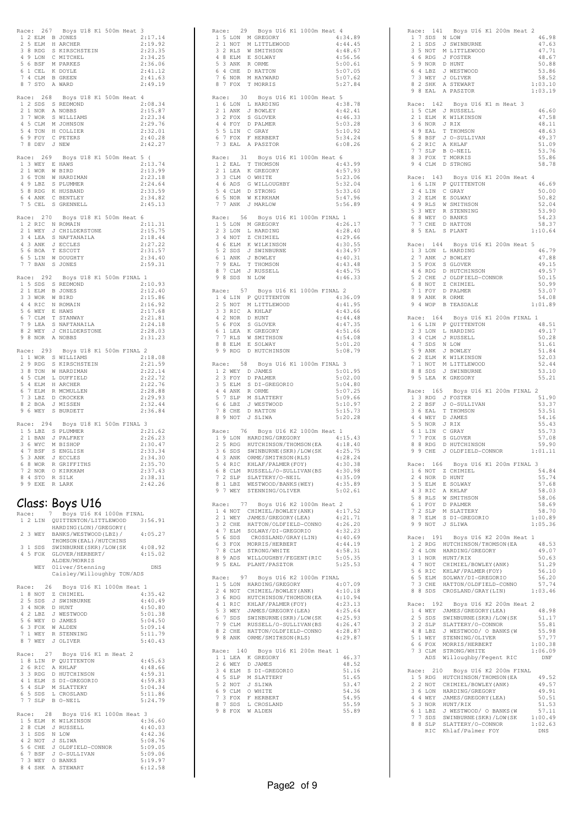|                                                                                    | Race: 267 Boys U18 K1<br>500m Heat                                                                       | 3                  |
|------------------------------------------------------------------------------------|----------------------------------------------------------------------------------------------------------|--------------------|
| 1 2 ELM B JONES<br>2 5 ELM                                                         | H ARCHER                                                                                                 | 2:17.14<br>2:19.92 |
| 3 8 RDG                                                                            | S KIRSCHSTEIN                                                                                            | 2:23.35            |
| 49<br>LON<br>5                                                                     | C MITCHEL<br>C MITCHE<br>M PARKES                                                                        | 2:34.25            |
| -6<br>BSF<br>$\mathbf{1}$<br>6<br>CEL                                              |                                                                                                          | 2:36.06<br>2:41.12 |
| 7<br>$\overline{4}$<br>CLM                                                         | K DOYLE<br>B GREEN                                                                                       | 2:41.63            |
| 8<br>7<br>STO A WARD                                                               |                                                                                                          | 2:49.19            |
| 268<br>Race:                                                                       | Boys U18 K1 500m Heat                                                                                    | 4                  |
| $\mathbf{1}$<br>2 SDS                                                              | S REDMOND                                                                                                | 2:08.34            |
| 2 1 NOR                                                                            | A NOBBS                                                                                                  | 2:15.87            |
| 3<br>7 WOR<br>$4\quad5$                                                            | S WILLIAMS<br>M JOHNSON                                                                                  | 2:23.34<br>2:29.76 |
| CLM<br>54                                                                          | TON H COLLIER                                                                                            | 2:32.01            |
| 6 9 FOY                                                                            | C PETERS                                                                                                 | 2:40.28            |
| 7 8 DEV                                                                            | J NEW                                                                                                    | 2:42.27            |
| Race: 269                                                                          | Boys U18 K1 500m Heat                                                                                    | 5<br>$\sqrt{2}$    |
| 1 3 WEY E HAWS                                                                     |                                                                                                          | 2:13.74            |
| 2 1 WOR                                                                            | W BIRD                                                                                                   | 2:13.99            |
| 36<br>TON<br>4 9 LBZ S PLUMMER                                                     | W HARDIMAN                                                                                               | 2:23.18<br>2:24.64 |
| 5 8 RDG                                                                            | K HUSBAND                                                                                                | 2:33.59            |
| 6 4 ANK                                                                            | C BENTLEY                                                                                                | 2:34.82            |
| $\boldsymbol{7}$<br>5 CEL                                                          | S GRENNELL                                                                                               | 2:45.13            |
| Race: 270                                                                          | Boys U18 K1 500m Heat                                                                                    | 6                  |
| 1 2 RIC N ROMAIN                                                                   |                                                                                                          | 2:11.31            |
| 2<br>$1\,$<br>WEY                                                                  | J CHILDERSTONE                                                                                           | 2:15.75            |
| 3 4 LEA<br>4 3 ANK                                                                 | S NAFTANAILA<br>J ECCLES                                                                                 | 2:18.44<br>2:27.22 |
| 5 6 BOA                                                                            | T ESCOTT                                                                                                 | 2:31.57            |
| 5<br>$\mathop{\rm L}\nolimits\mathop{\rm IN}\nolimits$<br>6                        | W DOUGHTY                                                                                                | 2:34.40            |
| 7<br>7<br>BAN                                                                      | S JONES                                                                                                  | 2:59.31            |
| Race: 292                                                                          | Boys U18 K1 500m FINAL                                                                                   | $\mathbf{1}$       |
| 1 5 SDS S                                                                          | REDMOND                                                                                                  | 2:10.93            |
| 2 1 ELM                                                                            | B JONES                                                                                                  | 2:12.40            |
| 3 3 WOR<br>44<br>RIC                                                               | W BIRD<br>N ROMAIN                                                                                       | 2:15.86<br>2:16.92 |
| 5<br>6<br>WEY                                                                      | E HAWS                                                                                                   | 2:17.68            |
| 6<br>7<br>CLM                                                                      | T STANWAY                                                                                                | 2:21.81            |
| 79<br>8<br>2                                                                       |                                                                                                          | 2:24.18<br>2:28.03 |
| 9<br>8 NOR                                                                         | LEA S NAMIRALLONE<br>WEY J CHILDERSTONE                                                                  | 2:31.23            |
|                                                                                    |                                                                                                          |                    |
| 293<br>Race:<br>$\mathbf{1}$                                                       | Boys U18 K1 500m FINAL<br>1 WOR S WILLIAMS                                                               | $\overline{2}$     |
| 2 9 RDG                                                                            | S KIRSCHSTEIN                                                                                            | 2:18.08<br>2:21.59 |
| 38                                                                                 | TON W HARDIMAN                                                                                           | 2:22.14            |
| 4<br>5<br>CLM                                                                      | L DUFFIELD                                                                                               | 2:22.72            |
|                                                                                    |                                                                                                          |                    |
| 5<br>$\overline{4}$<br>ELM                                                         | H ARCHER                                                                                                 | 2:22.76            |
| 6<br>7 ELM                                                                         | R MCMULLEN                                                                                               | 2:28.88            |
| 7<br>3<br>LBZ<br>8<br>2<br>BOA                                                     | D CROCKER<br>J MISSEN                                                                                    | 2:29.93<br>2:32.44 |
| 9<br>6 WEY                                                                         | S BURDETT                                                                                                | 2:36.84            |
|                                                                                    |                                                                                                          |                    |
| Race: 294<br>1 5 LBZ                                                               | Boys U18 K1 500m FINAL<br>S PLUMMER                                                                      | -3<br>2:21.62      |
| 2 1 BAN                                                                            | J PALFREY                                                                                                | 2:26.23            |
| 3 6 WYC                                                                            | M BISHOP                                                                                                 | 2:30.47            |
| 4 7 BSF<br>S                                                                       | ENGLISH<br>J ECCLES                                                                                      | 2:33.34<br>2:34.30 |
| 5 3 ANK<br>6 8 WOR                                                                 | R GRIFFITHS                                                                                              | 2:35.70            |
|                                                                                    |                                                                                                          | 2:37.43            |
| 72 NOR O KIRKHAM<br>84 STOR SILK<br>99 EVERIAEK<br>99 EXE                          | R LARK                                                                                                   | 2:38.31<br>2:42.26 |
|                                                                                    |                                                                                                          |                    |
|                                                                                    |                                                                                                          |                    |
|                                                                                    | Class: Boys U16                                                                                          |                    |
| Race:<br>7                                                                         | Boys U16 K4 1000m FINAL<br>1 2 LIN QUITTENTON/LITTLEWOOD 3:56.91                                         |                    |
|                                                                                    | HARDING (LON) / GREGORY (                                                                                |                    |
| 2 3 WEY                                                                            | BANKS/WESTWOOD(LBZ)/                                                                                     | 4:05.27            |
| 3 1 SDS                                                                            | THOMSON (EAL) / HUTCHINS                                                                                 |                    |
| 4 5 FOX                                                                            | SWINBURNE (SKR) / LOW (SK                                                                                | 4:08.92<br>4:15.02 |
|                                                                                    | GLOVER/HERBERT/<br>ALDEN/MORRIS                                                                          |                    |
|                                                                                    | WEY Oliver/Stenning                                                                                      | DNS                |
|                                                                                    | Caisley/Willoughby TON/ADS                                                                               |                    |
| Race: 26                                                                           | Boys U16 K1 1000m Heat 1                                                                                 |                    |
|                                                                                    |                                                                                                          | 4:35.42            |
|                                                                                    |                                                                                                          | 4:40.49<br>4:50.80 |
| 1 8 NOT Z CHIMIEL<br>2 5 SDS J SWINBURNE<br>3 4 NOR D HUNT<br>4 2 LBZ J WESTWOOD   |                                                                                                          | 5:01.38            |
| 5 6 WEY                                                                            | D JAMES                                                                                                  | 5:04.50            |
|                                                                                    |                                                                                                          | 5:09.14<br>5:11.79 |
| 6 3 FOX WALDEN<br>7 1 WEY R STENNING<br>8 7 WEY J OLIVER                           |                                                                                                          | 5:40.43            |
|                                                                                    |                                                                                                          |                    |
|                                                                                    | Race: 27 Boys U16 K1 m Heat 2                                                                            | 4:45.63            |
| 2 6 RIC                                                                            | 1 8 LIN P QUITTENTON<br>A KHLAF                                                                          | 4:48.66            |
| 3 3 RDG                                                                            | D HUTCHINSON                                                                                             | 4:59.31            |
|                                                                                    | S DI-GREGORIO                                                                                            | 4:59.83<br>5:04.34 |
|                                                                                    |                                                                                                          | 5:11.86            |
| 4 1 ELM S DI-GREGO<br>5 4 SLP M SLATTERY<br>6 5 SDS L CROSLAND<br>7 7 SLP B O-NEIL |                                                                                                          | 5:24.79            |
|                                                                                    | Race: 28 Boys U16 K1 1000m Heat 3                                                                        |                    |
|                                                                                    | 1 5 ELM K WILKINSON                                                                                      | 4:36.60            |
| 2 8 CLM                                                                            | J RUSSELL                                                                                                | 4:40.03            |
|                                                                                    |                                                                                                          | 4:42.36<br>5:08.76 |
|                                                                                    |                                                                                                          | 5:09.05            |
|                                                                                    | 3 1 SDS N LOW<br>4 2 NOT J SLINA<br>5 6 CHE J OLDFIELD-CONNOR<br>6 7 BSF J O-SULLIVAN<br>7 3 WEY O BANKS | 5:09.06<br>5:19.97 |

| Race: 29 Boys U16 K1 1000m Heat 4<br>1 5 LON M GREGORY<br>4:34.89<br>2 1 NOT<br>M LITTLEWOOD<br>4:44.45<br>2 RLS<br>3<br>W SMITHSON<br>4:48.67<br>4 8 ELM E SOLWAY<br>5 3 ANK R ORME<br>6 4 CHE D HATTON<br>7 6 NOR M HAYWARD<br>4:56.56<br>5:00.61<br>5:07.05<br>5:07.62<br>8 7 FOX<br>T MORRIS<br>5:27.84                                                                                             |  |
|---------------------------------------------------------------------------------------------------------------------------------------------------------------------------------------------------------------------------------------------------------------------------------------------------------------------------------------------------------------------------------------------------------|--|
| Race: 30<br>Boys U16 K1 1000m Heat 5<br>1 6 LON L HARDING<br>4:38.78<br>2 1 ANK J BOWLEY<br>3 2 FOX S GLOVER<br>4 4 FOY D PALMER<br>5 5 LIN C GRAY<br>4:42.41<br>4:46.33<br>5:03.28<br>5:10.92<br>6 7 FOX<br>F HERBERT<br>5:34.24<br>A PASZTOR<br>7 3 EAL<br>6:08.26                                                                                                                                    |  |
| Race: 31<br>Boys U16 K1 1000m Heat 6<br>1 2 EAL T THOMSON<br>4:43.99<br>K GREGORY<br>1 LEA<br>4:57.93<br>2<br>3 3 CLM O WHITE<br>5:23.06<br>4 6 ADS<br>5:32.04<br>G WILLOUGHBY<br>5 4 CLM D STRONG<br>5:33.60<br>6 5 NOR W KIRKHAM<br>5:47.96<br>7 7 ANK J MARLOW<br>5:56.89                                                                                                                            |  |
| Race: 56 Boys U16 K1 1000m FINAL 1<br>1 5 LON M GREGORY<br>4:26.17<br>2 3 LON<br>4:28.40<br>L HARDING<br>3 4 NOT<br>Z CHIMIEL<br>4:29.66<br>4 6 ELM K WILKINSON<br>5 2 SDS J SWINBURNE<br>4:30.55<br>4:34.97<br>6 1 ANK<br>4:40.31<br>J BOWLEY<br>7 9 EAL<br>T THOMSON<br>4:43.48<br>7 CLM J RUSSELL<br>8 SDS N LOW<br>4:45.75<br>8<br>9<br>4:46.33                                                     |  |
| Race: 57<br>Boys U16 K1 1000m FINAL 2<br>1 4 LIN P QUITTENTON<br>4:36.09<br>2 5 NOT<br>M LITTLEWOOD<br>4:41.95<br>3<br>3 RIC<br>4:43.66<br>A KHLAF<br>3 3 NOR D HUNT<br>5 6 FOX S GLOVER<br>6 1 LEA K GREGORY<br>7 7 RLS W SMITHSON<br>4:44.48<br>4:47.35<br>4:51.66<br>4:54.08<br>8 8 ELM E SOLWAY<br>9 9 RDG D HUTCHINSON<br>5:01.20<br>5:08.79                                                       |  |
| Race: 58 Boys U16 K1 1000m FINAL 3<br>1 2 WEY D JAMES<br>2 3 FOY D PALMED<br>5:01.95<br>D PALMER<br>5:02.00<br>3 5 ELM<br>5:04.80<br>S DI-GREGORIO<br>4 4 ANK<br>R ORME<br>5:07.25<br>SLP<br>M SLATTERY<br>7<br>5<br>5:09.66<br>6<br>J WESTWOOD<br>5:10.97<br>6 LBZ<br>7<br>8 CHE D HATTON<br>9 NOT J SLIWA<br>5:15.73<br>8<br>5:20.28                                                                  |  |
| Race: 76 Boys U16 K2 1000m Heat 1<br>1 9 LON HARDING/GREGORY<br>4:15.43<br>2 5 RDG HUTCHINSON/THOMSON(EA<br>3 6 SDS SWINBURNE(SKR)/LOW(SK<br>4 3 ANK ORME/SMITHSON(RLS)<br>4:18.40<br>4:25.75<br>4:28.24<br>4 J J JAN CHALMER (FOX) (1997)<br>6 8 CLM RUSSELL/O-SULLIVAN(BS<br>7 2 SLP SLATTERY/O-NEILLYAN(BS<br>8 1 LBZ WESTWOOD/BANKS (WEY) (4:35.09<br>4:35.09<br>9 7 WEY STENNING/OLIVER<br>5:02.61 |  |
| Race: 77<br>Boys U16 K2 1000m Heat 2<br>AGE: $1/1$ boys UUR CLINING 2 10000 Heat 2<br>1 4 NOT CHIMIEL/BOWLEY (ANK) 4:21.71<br>2 1 WEY JAMES/GREGORY (LEA) 4:21.71<br>3 2 CHE HATTON/OLDFIELD-CONNO 4:26.20<br>4 22 CHE HATTON/OLDFIELD-CONNO 4:32.23<br>5 6 SDS CROSSLAND/GRAY (                                                                                                                        |  |
| Race: 97<br>Boys U16 K2 1000m FINAL                                                                                                                                                                                                                                                                                                                                                                     |  |
| Race: 140<br>Boys U16 K1 200m Heat 1<br>1 1 LEA K GREGORY<br>2 6 WEY D JAMES<br>3 4 ELM S DI-GREGORIO<br>4 5 SLP M SLATTERY<br>5 2 NOT J SLIWA<br>5 2 NOT J SLIWA<br>46.37<br>48.52<br>51.16<br>51.65<br>53.47<br>69 CLM OWHTE<br>7 3 FOX F HERBERT<br>8 7 SDS L CROSLAND<br>9 8 FOX W ALDEN<br>54.36<br>54.95<br>55.59<br>55.89                                                                        |  |

|                                                                                                                             | Race: 141 Boys U16 K1 200m Heat 2                                                                                                                                                                             |                  |
|-----------------------------------------------------------------------------------------------------------------------------|---------------------------------------------------------------------------------------------------------------------------------------------------------------------------------------------------------------|------------------|
| 1 7 SDS N LOW                                                                                                               |                                                                                                                                                                                                               | 46.98            |
| 2 1 SDS                                                                                                                     | J SWINBURNE                                                                                                                                                                                                   | 47.63            |
|                                                                                                                             |                                                                                                                                                                                                               | 47.71            |
|                                                                                                                             |                                                                                                                                                                                                               | 48.67<br>50.88   |
|                                                                                                                             |                                                                                                                                                                                                               | 53.86            |
|                                                                                                                             |                                                                                                                                                                                                               | 58.52            |
|                                                                                                                             | 2 I SDS J SWINBURNE<br>3 5 NOT M LITTLEWOOD<br>4 6 RDG J FOSTER<br>5 9 NOR D HUNT<br>6 4 LBZ J WESTWOOD<br>7 3 WEY J OLIVER<br>8 2 SHK A STEWART                                                              | 1:03.10          |
| 9 8 EAL                                                                                                                     | A PASZTOR                                                                                                                                                                                                     | 1:03.19          |
|                                                                                                                             |                                                                                                                                                                                                               |                  |
|                                                                                                                             | Race: 142 Boys U16 K1 m Heat 3                                                                                                                                                                                | 46.60            |
| 1 5 CLM J RUSSELL<br>2 1 ELM K WILKINSON                                                                                    |                                                                                                                                                                                                               | 47.58            |
| 36<br>$\texttt{NOR}$ $\hspace{0.1cm} \texttt{J} \hspace{0.1cm} \texttt{RIX}$                                                |                                                                                                                                                                                                               | 48.11            |
| 4 9 EAL                                                                                                                     | T THOMSON                                                                                                                                                                                                     | 48.63            |
| 5 8 BSF                                                                                                                     | J O-SULLIVAN                                                                                                                                                                                                  | 49.37            |
|                                                                                                                             |                                                                                                                                                                                                               | 51.09            |
| 6 2 RIC A KHLAF<br>7 7 SLP B O-NEIL<br>8 3 FOX T MORRIS                                                                     |                                                                                                                                                                                                               | 53.76            |
| 9 4 CLM D STRONG                                                                                                            |                                                                                                                                                                                                               | 55.86            |
|                                                                                                                             |                                                                                                                                                                                                               | 58.78            |
| Race: 143                                                                                                                   | Boys U16 K1 200m Heat 4                                                                                                                                                                                       |                  |
|                                                                                                                             | 1 6 LIN P QUITTENTON                                                                                                                                                                                          | 46.69            |
| 2 4 LIN C GRAY                                                                                                              |                                                                                                                                                                                                               | 50.00            |
|                                                                                                                             |                                                                                                                                                                                                               | 50.82            |
|                                                                                                                             |                                                                                                                                                                                                               | 52.04            |
|                                                                                                                             |                                                                                                                                                                                                               | 53.90            |
|                                                                                                                             |                                                                                                                                                                                                               | 54.23            |
| 2 PLM E SOLWAY<br>4 9 RLS W SMITHSON<br>5 3 WEY R STENNING<br>6 8 WEY O BANKS<br>7 7 CHE D HANT<br>6 TAY C PLANT<br>8 5 EAL | S PLANT                                                                                                                                                                                                       | 58.37<br>1:10.64 |
|                                                                                                                             |                                                                                                                                                                                                               |                  |
| Race: 144                                                                                                                   | Boys U16 K1 200m Heat                                                                                                                                                                                         | 5                |
| 1 3 LON L HARDING                                                                                                           |                                                                                                                                                                                                               | 46.79            |
|                                                                                                                             |                                                                                                                                                                                                               | 47.88            |
|                                                                                                                             |                                                                                                                                                                                                               | 49.15            |
|                                                                                                                             | 2 7 ANK J BOWLEY<br>3 5 FOX S GLOVER<br>4 6 RDG D HUTCHINSON<br>5 2 CHE J GLOBFIELD-CONNOR<br>6 NOT 7 CULMAFI                                                                                                 | 49.57            |
| 6 8 NOT                                                                                                                     | Z CHIMIEL                                                                                                                                                                                                     | 50.15<br>50.99   |
| 7 1 FOY                                                                                                                     | D PALMER                                                                                                                                                                                                      | 53.07            |
|                                                                                                                             |                                                                                                                                                                                                               | 54.08            |
| 8 9 ANK RORME<br>9 4 WOP B TEASDALE                                                                                         |                                                                                                                                                                                                               | 1:01.89          |
|                                                                                                                             |                                                                                                                                                                                                               |                  |
|                                                                                                                             | Race: 164 Boys U16 K1 200m FINAL 1                                                                                                                                                                            |                  |
|                                                                                                                             | 1 6 LIN P QUITTENTON                                                                                                                                                                                          | 48.51            |
| 2 3 LON<br>3 4 CLM                                                                                                          | L HARDING<br>J RUSSELL                                                                                                                                                                                        | 49.17<br>50.28   |
| 4 7                                                                                                                         |                                                                                                                                                                                                               | 51.61            |
| 4 7 SDS N LOW<br>5 9 ANK J BOWLEY                                                                                           |                                                                                                                                                                                                               | 51.84            |
|                                                                                                                             |                                                                                                                                                                                                               | 52.03            |
|                                                                                                                             |                                                                                                                                                                                                               |                  |
|                                                                                                                             |                                                                                                                                                                                                               | 52.44            |
|                                                                                                                             |                                                                                                                                                                                                               | 53.10            |
| 6 2 ELM K WILKINSON<br>7 1 NOT M LITTLEWOOD<br>8 8 SDS J SWINBURNE<br>9 5 LEA K GREGORY                                     |                                                                                                                                                                                                               | 55.21            |
|                                                                                                                             |                                                                                                                                                                                                               |                  |
| Race: 165                                                                                                                   | Boys U16 K1 200m FINAL 2                                                                                                                                                                                      |                  |
|                                                                                                                             |                                                                                                                                                                                                               | 51.90            |
| $\begin{tabular}{ccccc} 1 & 3 & RDG & J & FOSTER \\ 2 & 2 & BSF & J & O-SULL \\ \end{tabular}$                              | J O-SULLIVAN                                                                                                                                                                                                  | 53.37            |
|                                                                                                                             |                                                                                                                                                                                                               | 53.51<br>54.16   |
|                                                                                                                             |                                                                                                                                                                                                               | 55.43            |
| 3 6 EAL T THOMSON<br>4 4 WEY D JAMES<br>5 5 NOR J RIX<br>6 1 LIN C GRAY                                                     |                                                                                                                                                                                                               | 55.73            |
| 7 7 FOX                                                                                                                     | S GLOVER                                                                                                                                                                                                      | 57.08            |
|                                                                                                                             |                                                                                                                                                                                                               | 59.90            |
|                                                                                                                             | 8 8 RDG D HUTCHINSON<br>9 9 CHE J OLDFIELD-CONNOR                                                                                                                                                             | 1:01.11          |
|                                                                                                                             |                                                                                                                                                                                                               | 3                |
| Race: 166<br>$\mathbf{1}$                                                                                                   | Boys U16 K1 200m FINAL                                                                                                                                                                                        | 54.84            |
| 6 NOT Z CHIMIEL<br>2 4 NOR                                                                                                  | D HUNT                                                                                                                                                                                                        | 55.74            |
| 3 5 ELM                                                                                                                     | E SOLWAY                                                                                                                                                                                                      | 57.68            |
|                                                                                                                             |                                                                                                                                                                                                               | 58.03            |
|                                                                                                                             |                                                                                                                                                                                                               | 58.06            |
|                                                                                                                             |                                                                                                                                                                                                               | 58.69            |
|                                                                                                                             |                                                                                                                                                                                                               | 58.70<br>1:00.89 |
|                                                                                                                             |                                                                                                                                                                                                               | 1:05.36          |
|                                                                                                                             | 3 BIC A KHAF<br>5 8 RLS W SMITHSON<br>5 8 RLS W SMITHSON<br>7 2 SLP M SLATTERY<br>8 7 ELM S DI-GREGORIO<br>9 9 NOT J SLIWA                                                                                    |                  |
|                                                                                                                             | Race: 191 Boys U16 K2 200m Heat 1                                                                                                                                                                             |                  |
|                                                                                                                             |                                                                                                                                                                                                               | 48.53            |
|                                                                                                                             | 1 2 RDG HUTCHINSON/THOMSON(EA<br>2 4 LON HARDING/GREGORY                                                                                                                                                      | 49.07            |
| 3 1 NOR HUNT/RIX                                                                                                            |                                                                                                                                                                                                               | 50.63<br>51.29   |
|                                                                                                                             |                                                                                                                                                                                                               | 56.10            |
|                                                                                                                             |                                                                                                                                                                                                               | 56.20            |
|                                                                                                                             | 3 T NOT CHIMIEL/BOWLEY (ANK)<br>5 6 RIC KHLAF/PALMER (FOY)<br>6 5 ELM SOLWAY/DI-GREGORIO<br>7 3 CHE HATTON/OLDFIELD-CONNO                                                                                     | 57.74            |
|                                                                                                                             | 8 8 SDS CROSLAND/GRAY(LIN)                                                                                                                                                                                    | 1:03.46          |
|                                                                                                                             |                                                                                                                                                                                                               |                  |
|                                                                                                                             | Race: 192 Boys U16 K2 200m Heat 2<br>1 4 WEY JAMES/GREGORY (LEA)                                                                                                                                              | 48.98            |
|                                                                                                                             |                                                                                                                                                                                                               | 51.17            |
|                                                                                                                             |                                                                                                                                                                                                               | 55.81            |
|                                                                                                                             |                                                                                                                                                                                                               | 55.98            |
| 5 1 WEY                                                                                                                     | 2 5 SDS SWINBURNE (SKR)/LOW(SK<br>3 2 SLP SLATTERY/O-CONNOR<br>4 8 LBZ J WESTWOOD/ O BANKS (W<br>4 8 LBZ J WESTWOOD/ O BANKS (W<br>STENNING/OLIVER                                                            | 57.77            |
|                                                                                                                             |                                                                                                                                                                                                               | 1:00.38          |
|                                                                                                                             |                                                                                                                                                                                                               | 1:06.09          |
|                                                                                                                             | 6 6 FOX MORRIS/HERBERT<br>7 3 CLM STRONG/WHITE<br>ADS Willoughby/Fegent RIC                                                                                                                                   | DNF              |
|                                                                                                                             | Race: 210 Boys U16 K2 200m FINAL                                                                                                                                                                              |                  |
|                                                                                                                             |                                                                                                                                                                                                               | 49.52            |
| 2 2 NOT                                                                                                                     | 1 5 RDG HUTCHINSON/THOMSON (EA<br>CHIMIEL/BOWLEY (ANK)                                                                                                                                                        | 49.57            |
| 3 6 LON                                                                                                                     | HARDING/GREGORY                                                                                                                                                                                               | 49.91            |
|                                                                                                                             |                                                                                                                                                                                                               |                  |
|                                                                                                                             |                                                                                                                                                                                                               |                  |
|                                                                                                                             |                                                                                                                                                                                                               |                  |
|                                                                                                                             |                                                                                                                                                                                                               |                  |
|                                                                                                                             | 30 MINIT JAMES / GREGORY (LEA)<br>5 3 NOR HUNT/RIX 51.53<br>6 1 LBZ J WESTWOOD/ O BANKS (W 57.11<br>7 7 SDS SWINBURNE (SKR) /LOW (SK 1:00.49<br>8 8 SLP SLATTERY/O-CONNOR 1:02.63<br>RIC Khlaf/Palmer FOY DNS |                  |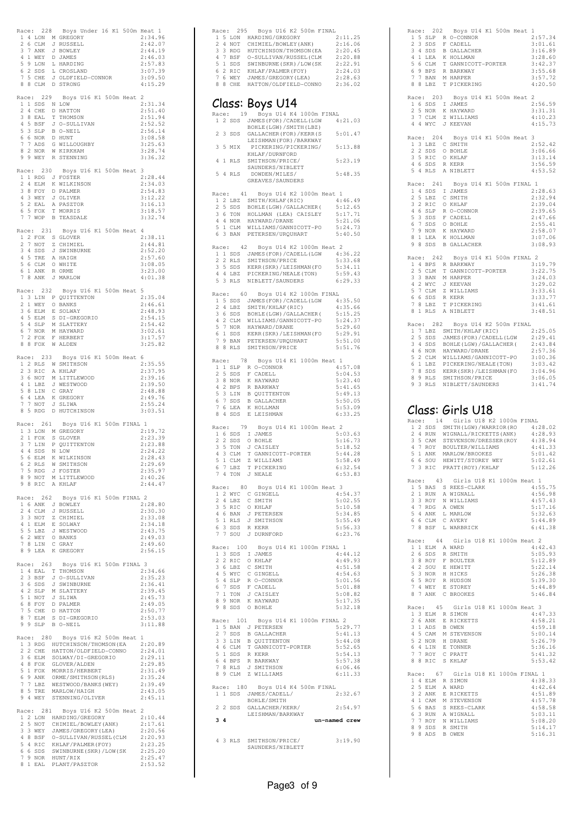| Race:          |               | 228                        |   | Boys Under 16 K1 500m Heat 1                                                                                    |                    |
|----------------|---------------|----------------------------|---|-----------------------------------------------------------------------------------------------------------------|--------------------|
| $\mathbf{1}$   | $\sqrt{4}$    |                            |   | LON M GREGORY                                                                                                   | 2:34.96            |
| 2              |               | 6 CLM<br>3 7 ANK           |   | J RUSSELL<br>J BOWLEY                                                                                           | 2:42.07<br>2:44.19 |
|                |               |                            |   |                                                                                                                 | 2:46.03            |
|                |               |                            |   | 4 1 WEY D JAMES<br>5 9 LON L HARDING<br>6 2 SDS L CROSLAND                                                      | 2:57.83            |
|                |               | 7 5 CHE                    |   | J OLDFIELD-CONNOR                                                                                               | 3:07.39<br>3:09.50 |
|                |               | 8 8 CLM                    |   | D STRONG                                                                                                        | 4:15.29            |
|                |               |                            |   |                                                                                                                 |                    |
|                |               | Race: 229<br>1 1 SDS N LOW |   | Boys U16 K1 500m Heat                                                                                           | 2<br>2:31.34       |
| 2              |               | 4 CHE                      |   | D HATTON                                                                                                        | 2:51.40            |
| 3              | 8             | $_{\rm EAL}$               | T | THOMSON                                                                                                         | 2:51.94            |
| 5              |               | 4 5 BSF<br>3 SLP           |   | J O-SULLIVAN<br>B O-NEIL                                                                                        | 2:52.52<br>2:56.14 |
| 6              |               | $6$ NOR                    |   | D HUNT                                                                                                          | 3:08.58            |
| 7              | 7             | $\mathsf{ADS}$             |   | G WILLOUGHBY                                                                                                    | 3:25.63            |
| 8<br>9         |               |                            |   | 2 NOR W KIRKHAM<br>9 WEY R STENNING                                                                             | 3:28.74<br>3:36.32 |
|                |               |                            |   |                                                                                                                 |                    |
|                |               | Race: 230                  |   | Boys U16 K1 500m Heat                                                                                           | 3                  |
|                |               | 2 4 ELM                    |   | 1 1 RDG J FOSTER<br>K WILKINSON                                                                                 | 2:28.44<br>2:34.03 |
|                |               | 3 8 FOY                    |   | D PALMER                                                                                                        | 2:54.83            |
|                |               | $4$ 3 WEY                  |   | J OLIVER                                                                                                        | 3:12.22            |
|                |               | 5 2 EAL                    |   | A PASZTOR                                                                                                       | 3:16.13            |
| 6<br>7         |               | 5 FOX<br>7 WOP             |   | T MORRIS<br>B TEASDALE                                                                                          | 3:18.57<br>3:32.74 |
|                |               |                            |   |                                                                                                                 |                    |
| Race:          |               | 231                        |   | Boys U16 K1 500m Heat                                                                                           | $\overline{4}$     |
| 1<br>2         |               | 7 NOT                      |   | 2 FOX S GLOVER<br>Z CHIMIEL                                                                                     | 2:38.11<br>2:44.81 |
|                |               | 3 4 SDS                    |   | J SWINBURNE                                                                                                     | 2:52.20            |
|                |               | 4 5 TRE                    |   | A HAIGH                                                                                                         | 2:57.60            |
|                |               | 6 1 ANK R ORME             |   | 5 6 CLM O WHITE                                                                                                 | 3:08.05<br>3:23.00 |
|                |               | 7 8 ANK                    |   | J MARLOW                                                                                                        | 4:01.38            |
|                |               |                            |   |                                                                                                                 |                    |
|                |               | Race: 232                  |   | Boys U16 K1 500m Heat<br>1 3 LIN P QUITTENTON                                                                   | 5                  |
|                |               |                            |   |                                                                                                                 | 2:35.04<br>2:46.61 |
|                |               |                            |   | 2 1 WEY O BANKS<br>3 6 ELM E SOLWA<br>E SOLWAY                                                                  | 2:48.93            |
| 4              |               |                            |   | 5 ELM S DI-GREGORIO                                                                                             | 2:54.15            |
|                |               |                            |   | 5 4 SLP M SLATTERY                                                                                              | 2:54.42<br>3:02.61 |
|                |               | 7 2 FOX                    |   | 6 7 NOR M HAYWARD<br>F HERBERT                                                                                  | 3:17.57            |
| 8              | 8             | FOX                        |   | W ALDEN                                                                                                         | 3:25.82            |
|                |               | Race: 233                  |   | Boys U16 K1 500m Heat                                                                                           | 6                  |
| 1              |               |                            |   | 2 RLS W SMITHSON                                                                                                | 2:35.55            |
| $\overline{2}$ |               | 3 RIC                      |   | A KHLAF                                                                                                         | 2:37.95            |
|                |               | 3 6 NOT<br>4 1 LBZ         |   | M LITTLEWOOD<br>J WESTWOOD                                                                                      | 2:39.16            |
| 5              | 8             | LIN                        |   | C GRAY                                                                                                          | 2:39.50<br>2:48.88 |
| 6              |               | 4 LEA                      |   | K GREGORY                                                                                                       | 2:49.76            |
| 7              |               | 7 NOT                      |   | J SLIWA                                                                                                         | 2:55.24            |
| 8              | -5            | RDG                        |   | D HUTCHINSON                                                                                                    | 3:03.51            |
| Race:          |               | 261                        |   | Boys U16 K1 500m FINAL 1                                                                                        |                    |
|                |               | 2 1 FOX                    |   | 1 3 LON M GREGORY                                                                                               | 2:19.72            |
| 3              |               |                            |   | P QUITTENTON                                                                                                    | 2:23.39<br>2:23.88 |
|                |               | $44$ SDS                   |   |                                                                                                                 | 2:24.22            |
| 5              |               |                            |   |                                                                                                                 | 2:28.43            |
| 6<br>7         | $\frac{1}{5}$ |                            |   | T FOX<br>7 LIN P QU <sub>1</sub> .<br>4 SDS N LOW<br>6 ELM K WILKINSON<br>~ RLS W SMITHSON<br>~ FOSTER<br>~ WOO | 2:29.69<br>2:35.97 |
|                |               | 8 9 NOT                    |   | M LITTLEWOOD                                                                                                    | 2:40.26            |
|                |               | 9 8 RIC                    |   | A KHLAF                                                                                                         | 2:44.47            |
|                |               | Race: 262                  |   | Boys U16 K1 500m FINAL 2                                                                                        |                    |
|                |               |                            |   | 1 6 ANK J BOWLEY                                                                                                | 2:28.80            |
|                |               | 2 4 CLM                    |   | J RUSSELL                                                                                                       | 2:30.30            |
|                |               | 3 3 NOT<br>4 1 ELM         |   | Z CHIMIEL<br>E SOLWAY                                                                                           | 2:33.08<br>2:34.18 |
|                |               |                            |   |                                                                                                                 | 2:43.75            |
|                |               |                            |   |                                                                                                                 | 2:49.03            |
|                |               |                            |   | 5 5 LBZ J WESTWOOD<br>6 2 WEY O BANKS<br>7 8 LIN C GRAY<br>8 9 LEA K GREGORY                                    | 2:49.60<br>2:56.15 |
|                |               |                            |   |                                                                                                                 |                    |
|                |               |                            |   | Race: 263 Boys U16 K1 500m FINAL 3                                                                              |                    |
|                |               | 2 3 BSF                    |   | 1 4 EAL T THOMSON<br>J O-SULLIVAN                                                                               | 2:34.66<br>2:35.23 |
|                |               | 3 6 SDS                    |   | J SWINBURNE                                                                                                     | 2:36.41            |
|                |               |                            |   |                                                                                                                 | 2:39.45            |
|                |               |                            |   | 4 2 SLP M SLATTERY<br>5 1 NOT J SLIWA<br>6 8 FOY D PALMER<br>7 5 CHE D HATTON                                   | 2:45.73<br>2:49.05 |
|                |               |                            |   |                                                                                                                 | 2:50.77            |
|                |               | 8 7 ELM                    |   | S DI-GREGORIO                                                                                                   | 2:53.03            |
|                |               | 9 9 SLP                    |   | B O-NEIL                                                                                                        | 3:11.88            |
|                |               | Race: 280                  |   | Boys U16 K2 500m Heat                                                                                           | $1\,$              |
| $\mathbf{1}$   |               |                            |   | 3 RDG HUTCHINSON/THOMSON (EA                                                                                    | 2:20.89            |
|                |               |                            |   | 2 2 CHE HATTON/OLDFIELD-CONNO<br>3 6 ELM SOLWAY/DI-GREGORIO                                                     | 2:24.01<br>2:29.11 |
|                |               |                            |   |                                                                                                                 | 2:29.85            |
|                |               |                            |   | 4 8 FOX GLOVER/ALDEN<br>5 1 FOX MORRIS/HERBERT                                                                  | 2:31.49            |
|                |               | 6 9 ANK                    |   | ORME/SMITHSON(RLS)                                                                                              | 2:35.24            |
|                |               | 7 7 LBZ                    |   | WESTWOOD/BANKS(WEY)                                                                                             | 2:39.49<br>2:43.05 |
|                |               |                            |   | 8 5 TRE MARLOW/HAIGH<br>9 4 WEY STENNING/OLIVER                                                                 | 2:45.11            |
|                |               |                            |   |                                                                                                                 |                    |
| $\mathbf{1}$   |               |                            |   | Race: 281 Boys U16 K2 500m Heat 2<br>2 LON HARDING/GREGORY                                                      | 2:10.44            |
|                |               | 2 5 NOT                    |   | CHIMIEL/BOWLEY(ANK)<br>JAMES/CRESSEY(ANK)                                                                       | 2:17.61            |
|                |               | 3 3 WEY                    |   | JAMES/GREGORY(LEA)                                                                                              | 2:20.56            |
| 5              |               | 4 8 BSF                    |   | O-SULLIVAN/RUSSEL (CLM<br>4 RIC KHLAF/PALMER(FOY)                                                               | 2:20.93<br>2:23.25 |
|                |               |                            |   | 6 6 SDS SWINBURNE (SKR) / LOW (SK                                                                               | 2:25.20            |
|                |               |                            |   | 7 9 NOR HUNT/RIX<br>8 1 EAL PLANT/PASZTOR                                                                       | 2:25.47            |
|                |               |                            |   |                                                                                                                 | 2:53.52            |

|                |          |                                                                                                                                                                                                       |  | Race: 295 Boys U16 K2 500m FINAL                                                                                                                                                                                                                                                                                                                                                                                 |               |   |         |                    |  |
|----------------|----------|-------------------------------------------------------------------------------------------------------------------------------------------------------------------------------------------------------|--|------------------------------------------------------------------------------------------------------------------------------------------------------------------------------------------------------------------------------------------------------------------------------------------------------------------------------------------------------------------------------------------------------------------|---------------|---|---------|--------------------|--|
|                |          |                                                                                                                                                                                                       |  | ALCORETY AND THREE (1997)<br>15 LON HARDING/GREGORY<br>2:11.25<br>24 NOT CHIMIEL/BOWLEY (ANK)<br>2:16.06<br>47 BSF O-SULLIVAN/RUSSEL (CLM)<br>42 22.91<br>62 RIC KHLAF/PALMER (CRY) (LOW (SK)<br>2:22.91<br>76 WEY JAMES/GREGORY (LEA)<br>2:24.03<br>                                                                                                                                                            |               |   |         |                    |  |
|                |          |                                                                                                                                                                                                       |  |                                                                                                                                                                                                                                                                                                                                                                                                                  |               |   |         |                    |  |
|                |          |                                                                                                                                                                                                       |  |                                                                                                                                                                                                                                                                                                                                                                                                                  |               |   |         |                    |  |
|                |          |                                                                                                                                                                                                       |  |                                                                                                                                                                                                                                                                                                                                                                                                                  |               |   |         |                    |  |
|                |          |                                                                                                                                                                                                       |  |                                                                                                                                                                                                                                                                                                                                                                                                                  |               |   |         |                    |  |
|                |          |                                                                                                                                                                                                       |  |                                                                                                                                                                                                                                                                                                                                                                                                                  |               |   |         |                    |  |
|                |          | Class: Boys U14                                                                                                                                                                                       |  |                                                                                                                                                                                                                                                                                                                                                                                                                  |               |   |         |                    |  |
|                |          |                                                                                                                                                                                                       |  | Race: 19 Boys U14 K4 1000m FINAL                                                                                                                                                                                                                                                                                                                                                                                 |               |   |         |                    |  |
|                |          |                                                                                                                                                                                                       |  | 1 2 SDS JAMES (FOR) / CADELL (LGW 4:21.03                                                                                                                                                                                                                                                                                                                                                                        |               |   |         |                    |  |
|                | 2 3 SDS  |                                                                                                                                                                                                       |  | BOHLE (LGW) / SMITH (LBZ)<br>GALLACHER (FOR) / KERR (S 5:01.47                                                                                                                                                                                                                                                                                                                                                   |               |   |         |                    |  |
|                |          |                                                                                                                                                                                                       |  | LEISHMAN (FOR) / BARKWAY                                                                                                                                                                                                                                                                                                                                                                                         |               |   |         |                    |  |
|                | 3 5 MIX  | KHLAF/DURNFORD                                                                                                                                                                                        |  | PICKERING/PICKERING/                                                                                                                                                                                                                                                                                                                                                                                             |               |   |         | 5:13.88            |  |
|                |          | 4 1 RLS SMITHSON/PRICE/                                                                                                                                                                               |  |                                                                                                                                                                                                                                                                                                                                                                                                                  |               |   |         | 5:23.19            |  |
|                |          | SAUNDERS/NIBLETT                                                                                                                                                                                      |  |                                                                                                                                                                                                                                                                                                                                                                                                                  |               |   |         |                    |  |
|                |          | 5 4 RLS DOWDEN/MILES/<br>GREAVES/SAUNDERS                                                                                                                                                             |  |                                                                                                                                                                                                                                                                                                                                                                                                                  | 5:48.35       |   |         |                    |  |
|                |          |                                                                                                                                                                                                       |  | Race: 41 Boys U14 K2 1000m Heat                                                                                                                                                                                                                                                                                                                                                                                  |               | 1 |         |                    |  |
|                |          | 1 2 LBZ SMITH/KHLAF(RIC)                                                                                                                                                                              |  |                                                                                                                                                                                                                                                                                                                                                                                                                  |               |   |         | 4:46.49            |  |
|                |          |                                                                                                                                                                                                       |  |                                                                                                                                                                                                                                                                                                                                                                                                                  |               |   |         |                    |  |
|                |          |                                                                                                                                                                                                       |  | $\begin{tabular}{llllll} 1 & 2 \ \texttt{LBZ} & \texttt{SMITH} / \texttt{KHLAF} \ (\texttt{RIC}) & 4:46 \,\, 49 \\ 2 \ \texttt{S} & \texttt{SOHLE} \ (\texttt{LGW}) / \texttt{GALLCHER} \ (\texttt{S} & 5:12 \,\, 65 \\ 3 \ \texttt{6} \ \texttt{TON} & \texttt{HOLIMAN} \ (\texttt{LEA}) & \texttt{CALSLEY} & 5:17 \,\, 71 \\ 4 \ \texttt{4} \ \texttt{NOR} & \texttt{HAYMARD} / \texttt{DRANE} & 5:21 \,\, 06$ |               |   |         |                    |  |
|                |          |                                                                                                                                                                                                       |  |                                                                                                                                                                                                                                                                                                                                                                                                                  |               |   |         |                    |  |
|                |          | 6 3 BAN PETERSEN/URQUHART                                                                                                                                                                             |  |                                                                                                                                                                                                                                                                                                                                                                                                                  |               |   |         | 5:40.50            |  |
|                |          |                                                                                                                                                                                                       |  | Race: 42 Boys U14 K2 1000m Heat 2                                                                                                                                                                                                                                                                                                                                                                                |               |   |         |                    |  |
|                |          |                                                                                                                                                                                                       |  | 1 1 SDS JAMES (FOR) / CADELL (LGW 4:36.22                                                                                                                                                                                                                                                                                                                                                                        |               |   |         | 5:33.68            |  |
|                |          |                                                                                                                                                                                                       |  |                                                                                                                                                                                                                                                                                                                                                                                                                  |               |   |         | 5:34.11            |  |
|                |          |                                                                                                                                                                                                       |  | 2 2 RLS SMITHSON/PRICE<br>3 5 SDS KERR(SKR)/LEISHMAN(FO<br>4 4 LBZ PICKERING/NEALE(TON)<br>5 3 RLS NIBLETT/SAUNDERS                                                                                                                                                                                                                                                                                              |               |   |         | 5:59.43<br>6:29.33 |  |
|                |          |                                                                                                                                                                                                       |  |                                                                                                                                                                                                                                                                                                                                                                                                                  |               |   |         |                    |  |
|                | Race: 60 |                                                                                                                                                                                                       |  | Boys U14 K2 1000m FINAL<br>1 5 SDS JAMES (FOR) / CADELL (LGW 4:35.50                                                                                                                                                                                                                                                                                                                                             |               |   |         |                    |  |
|                |          |                                                                                                                                                                                                       |  | 2 4 LBZ SMITH/KHLAF(RIC)<br>2 4 LBZ SMITH/KHLAF(RIC)<br>3 6 SDS BOHLE(LGW)/GALLACHER( 5:15.25<br>4 2 CLM WILLIAMS/GANNECOTT-PO<br>5 7 NOR HAYWARD/DRANE<br>6 1 SDS KERR(SKR)/LEISHMAN(FO 5:29.91                                                                                                                                                                                                                 |               |   |         |                    |  |
|                |          |                                                                                                                                                                                                       |  |                                                                                                                                                                                                                                                                                                                                                                                                                  |               |   |         |                    |  |
|                |          |                                                                                                                                                                                                       |  |                                                                                                                                                                                                                                                                                                                                                                                                                  |               |   |         |                    |  |
|                | 7 9 BAN  |                                                                                                                                                                                                       |  | PETERSEN/URQUHART                                                                                                                                                                                                                                                                                                                                                                                                |               |   |         | 5:51.00            |  |
|                |          | 8 8 RLS SMITHSON/PRICE                                                                                                                                                                                |  |                                                                                                                                                                                                                                                                                                                                                                                                                  |               |   |         | 5:51.76            |  |
|                |          |                                                                                                                                                                                                       |  | Race: 78 Boys U14 K1 1000m Heat 1                                                                                                                                                                                                                                                                                                                                                                                |               |   |         |                    |  |
|                |          | $\begin{tabular}{llll} 1 & 1 & \text{SLP} & \text{R} & \text{O--CONNOR} \\ 2 & 5 & \text{SDS} & \text{F} & \text{CADELL} \end{tabular}$                                                               |  |                                                                                                                                                                                                                                                                                                                                                                                                                  |               |   |         | 4:57.08            |  |
|                | 3 8 NOR  | ${\rm F}$ CADELL<br>K HAYWARD                                                                                                                                                                         |  |                                                                                                                                                                                                                                                                                                                                                                                                                  |               |   |         | 5:04.53<br>5:23.40 |  |
|                |          |                                                                                                                                                                                                       |  |                                                                                                                                                                                                                                                                                                                                                                                                                  |               |   |         | 5:41.65            |  |
|                |          |                                                                                                                                                                                                       |  |                                                                                                                                                                                                                                                                                                                                                                                                                  |               |   |         | 5:49.13            |  |
|                |          | 4 2 BPS R BARKWAY<br>5 3 LIN B QUITTENTON<br>6 7 SDS B GALLACHER<br>7 6 LEA K HOLLMAN<br>8 4 SDS E LEISHMAN                                                                                           |  |                                                                                                                                                                                                                                                                                                                                                                                                                  |               |   |         | 5:50.05<br>5:53.09 |  |
|                |          |                                                                                                                                                                                                       |  |                                                                                                                                                                                                                                                                                                                                                                                                                  |               |   |         | 6:33.25            |  |
|                | Race: 79 |                                                                                                                                                                                                       |  | Boys U14 K1 1000m Heat 2                                                                                                                                                                                                                                                                                                                                                                                         |               |   |         |                    |  |
|                | 2 2 SDS  | 1 6 SDS I JAMES<br>O BOHLE                                                                                                                                                                            |  |                                                                                                                                                                                                                                                                                                                                                                                                                  |               |   |         | 5:03.63<br>5:16.73 |  |
|                |          |                                                                                                                                                                                                       |  |                                                                                                                                                                                                                                                                                                                                                                                                                  |               |   |         | 5:18.52            |  |
|                |          | 2 2 S DS U BOHLE<br>3 5 TON J CAISLEY<br>4 3 CLM T GANNICOTT-PORTER<br>5 1 CLM Z WILLIAMS                                                                                                             |  |                                                                                                                                                                                                                                                                                                                                                                                                                  |               |   |         | 5:44.28<br>5:58.49 |  |
|                |          | 6 7 LBZ T PICKERING                                                                                                                                                                                   |  |                                                                                                                                                                                                                                                                                                                                                                                                                  |               |   |         | 6:32.54            |  |
|                |          | 7 4 TON J NEALE                                                                                                                                                                                       |  |                                                                                                                                                                                                                                                                                                                                                                                                                  |               |   |         |                    |  |
|                |          |                                                                                                                                                                                                       |  |                                                                                                                                                                                                                                                                                                                                                                                                                  |               |   | 6:53.83 |                    |  |
|                | Race: 80 |                                                                                                                                                                                                       |  | Boys U14 K1 1000m Heat 3                                                                                                                                                                                                                                                                                                                                                                                         |               |   |         |                    |  |
|                |          |                                                                                                                                                                                                       |  |                                                                                                                                                                                                                                                                                                                                                                                                                  |               |   |         | 4:54.37            |  |
|                |          | 1 2 WYC C GINGELL<br>2 4 LBZ C SMITH                                                                                                                                                                  |  |                                                                                                                                                                                                                                                                                                                                                                                                                  |               |   |         | 5:02.55<br>5:10.58 |  |
|                |          | 3 5 RIC O KHLAF                                                                                                                                                                                       |  |                                                                                                                                                                                                                                                                                                                                                                                                                  |               |   |         | 5:34.85            |  |
|                |          |                                                                                                                                                                                                       |  |                                                                                                                                                                                                                                                                                                                                                                                                                  |               |   |         | 5:55.49<br>5:56.33 |  |
|                |          | 4 6 BAN J PETERSEN<br>5 1 RLS J SMITHSON<br>6 3 SDS R KERR<br>7 7 SOU J DURNFORD                                                                                                                      |  |                                                                                                                                                                                                                                                                                                                                                                                                                  |               |   |         | 6:23.76            |  |
|                |          |                                                                                                                                                                                                       |  | Race: 100 Boys U14 K1 1000m FINAL 1                                                                                                                                                                                                                                                                                                                                                                              |               |   |         |                    |  |
|                |          |                                                                                                                                                                                                       |  |                                                                                                                                                                                                                                                                                                                                                                                                                  |               |   |         | 4:44.12            |  |
|                |          |                                                                                                                                                                                                       |  |                                                                                                                                                                                                                                                                                                                                                                                                                  |               |   |         | 4:49.93<br>4:51.58 |  |
|                |          |                                                                                                                                                                                                       |  |                                                                                                                                                                                                                                                                                                                                                                                                                  |               |   |         | 4:54.63            |  |
|                |          |                                                                                                                                                                                                       |  |                                                                                                                                                                                                                                                                                                                                                                                                                  |               |   |         | 5:01.56<br>5:01.88 |  |
|                |          |                                                                                                                                                                                                       |  |                                                                                                                                                                                                                                                                                                                                                                                                                  |               |   |         | 5:08.82            |  |
|                |          |                                                                                                                                                                                                       |  |                                                                                                                                                                                                                                                                                                                                                                                                                  |               |   |         | 5:17.35<br>5:32.18 |  |
|                |          | Acce: 100 Boys U1.<br>1 3 SDS I JAMES<br>2 2 RIC O KHLAF<br>3 SDE C SMITH<br>4 5 WYC C GINGELL<br>5 4 SLP R O-CONNOR<br>6 7 SDS F CADELL<br>7 1 TON J CAISLEY<br>8 9 NOR K HAYWARD<br>9 8 SDS O BOHLE |  |                                                                                                                                                                                                                                                                                                                                                                                                                  |               |   |         |                    |  |
|                |          | 1 5 BAN J PETERSEN                                                                                                                                                                                    |  | Race: 101 Boys U14 K1 1000m FINAL 2                                                                                                                                                                                                                                                                                                                                                                              |               |   |         | 5:29.77            |  |
|                | 2 7 SDS  | <b>B GALLACHER</b>                                                                                                                                                                                    |  |                                                                                                                                                                                                                                                                                                                                                                                                                  |               |   |         | 5:41.13            |  |
|                |          |                                                                                                                                                                                                       |  |                                                                                                                                                                                                                                                                                                                                                                                                                  |               |   |         | 5:44.08<br>5:52.65 |  |
|                |          |                                                                                                                                                                                                       |  |                                                                                                                                                                                                                                                                                                                                                                                                                  |               |   |         | 5:54.13            |  |
|                |          |                                                                                                                                                                                                       |  |                                                                                                                                                                                                                                                                                                                                                                                                                  |               |   |         | 5:57.38<br>6:06.46 |  |
|                |          | 2 JOB DE ORDERICHER<br>3 JOHN BOUTTENTON<br>4 6 CLM T GANNICOTT-PORTER<br>5 1 SDS R KERR<br>6 4 BPS R BARKWAY<br>7 8 RLS J SMITHSON<br>8 9 CLM Z WILLIAMS                                             |  |                                                                                                                                                                                                                                                                                                                                                                                                                  |               |   |         | 6:11.33            |  |
|                |          |                                                                                                                                                                                                       |  | Race: 180 Boys U14 K4 500m FINAL                                                                                                                                                                                                                                                                                                                                                                                 |               |   |         |                    |  |
|                |          | 1 1 SDS JAMES/CADELL/                                                                                                                                                                                 |  |                                                                                                                                                                                                                                                                                                                                                                                                                  |               |   |         | 2:32.67            |  |
|                | 2 2 SDS  | BOHLE/SMITH<br>GALLACHER/KERR/                                                                                                                                                                        |  |                                                                                                                                                                                                                                                                                                                                                                                                                  |               |   |         | 2:54.97            |  |
|                |          | LEISHMAN/BARKWAY                                                                                                                                                                                      |  |                                                                                                                                                                                                                                                                                                                                                                                                                  |               |   |         |                    |  |
| 3 <sub>4</sub> |          |                                                                                                                                                                                                       |  |                                                                                                                                                                                                                                                                                                                                                                                                                  | un-named crew |   |         |                    |  |
|                |          |                                                                                                                                                                                                       |  |                                                                                                                                                                                                                                                                                                                                                                                                                  |               |   |         |                    |  |
|                | 4 3 RLS  | SMITHSON/PRICE/<br>SAUNDERS/NIBLETT                                                                                                                                                                   |  |                                                                                                                                                                                                                                                                                                                                                                                                                  |               |   |         | 3:19.90            |  |

| 3 4 SDS<br>4 1 LEA                            | Race: 202 Boys U14 K1 500m Heat<br>1 5 SLP R O-CONNOR<br>2 3 SDS F CADELL<br><b>B GALLACHER</b><br>K HOLLMAN<br>5 6 CLM T GANNICOTT-PORTER<br>6 9 BPS R BARKWAY<br>7 7 BAN M HARPER<br>8 8 LBZ T PICKERING                                                                                                                                            | -1<br>2:57.34<br>3:01.61<br>3:16.89<br>3:28.60<br>3:42.37<br>3:55.68<br>3:57.72<br>4:20.50      |
|-----------------------------------------------|-------------------------------------------------------------------------------------------------------------------------------------------------------------------------------------------------------------------------------------------------------------------------------------------------------------------------------------------------------|-------------------------------------------------------------------------------------------------|
| Race: 203<br>2 5 NOR                          | Boys U14 K1 500m Heat 2<br>1 6 SDS I JAMES<br>K HAYWARD<br>3 7 CLM Z WILLIAMS<br>4 4 WYC J KEEVAN                                                                                                                                                                                                                                                     | 2:56.59<br>3:31.31<br>4:10.23<br>4:15.73                                                        |
| 2 2 SDS<br>3 5 RIC                            | Race: 204 Boys U14 K1 500m Heat<br>1 3 LBZ C SMITH<br>O BOHLE<br>O KHLAF<br>4 6 SDS R KERR<br>5 4 RLS A NIBLETT                                                                                                                                                                                                                                       | 3<br>2:52.42<br>3:06.66<br>3:13.14<br>3:56.59<br>4:53.52                                        |
| $14$ SDS I<br>2 5 LBZ<br>3 2 RIC              | Race: 241 Boys U14 K1 500m FINAL 1<br>JAMES<br>C SMITH<br>O KHLAF<br>2 A G SLP R O-CONNOR<br>5 3 SDS F CADELL<br>6 7 SDS O BOHLE<br>6 7 SNOR K HAYWARD<br>7 9 NOR K HAYWARD<br>8 1 LEA K HOLLMAN                                                                                                                                                      | 2:28.63<br>2:32.94<br>2:39.04<br>2:39.65<br>2:47.66<br>2:55.41<br>2:58.07<br>3:07.06<br>3:08.93 |
| 242<br>Race:<br>2 5 CLM<br>3 3 BAN<br>7 8 LBZ | Boys U14 K1 500m FINAL 2<br>1 4 BPS R BARKWAY<br>T GANNICOTT-PORTER<br>M HARPER<br>4 2 WYC J KEEVAN<br>5 7 CLM 2 WILLIAMS<br>6 6 SDS R KERR<br>T PICKERING<br>8 1 RLS A NIBLETT                                                                                                                                                                       | 3:19.79<br>3:22.75<br>3:24.03<br>3:29.02<br>3:33.61<br>3:33.77<br>3:41.61<br>3:48.51            |
| 5 2 CLM<br>6 1 LBZ                            | Race: 282 Boys U14 K2 500m FINAL<br>1 7 LBZ SMITH/KHLAF (RIC)<br>2 5 SDS JAMES (FOR) / CADELL (LGW<br>3 4 SDS BOHLE (LGW) / GALLACHER (<br>4 6 NOR HAYWARD/DRANE<br>WILLIAMS/GANNICOTT-PO<br>PICKERING/NEALE(TON)<br>7 8 SDS KERR (SKR) / LEISHMAN (FO<br>8 9 RLS SMITHSON/PRICE<br>9 3 RLS NIBLETT / SAUNDERS                                        | 2:25.05<br>2:29.41<br>2:43.84<br>2:57.36<br>3:00.36<br>3:03.42<br>3:04.96<br>3:06.05<br>3:41.74 |
| 2 4 RUN                                       | Class: Girls U18<br>Race: 14 Girls U18 K2 1000m FINAL<br>1 2 SDS SMITH (LGW) / WARRIOR (RO 4:28.02<br>WIGNALL/RICKETTS(ANK)<br>WIGNALL/ RICREIIS (ANN)<br>STEVENSON/DRESSER (ROY<br>BOULTER/WILLIAMS<br>2 - JUNE STEVENSON/DRESSER<br>2 5 CAM STEVENSON/DRESSER<br>5 1 ANK MARLOW/BROOKES<br>6 6 SOU HEWITT/STOREY WEY<br>7 3 RIC PRATT (ROY) / KHLAF | 4:28.93<br>4:38.94<br>4:41.33<br>5:01.42<br>5:02.61<br>5:12.26                                  |
| Race: 43<br>2 1 RUN<br>3 3 ROY<br>7 8 BSF     | Girls U18 K1 1000m Heat 1<br>1 5 BAS S REES-CLARK<br>${\tt A} \ \ {\tt WIGNALL}$<br>N WILLIAMS<br>$\begin{tabular}{cc} 4 & 7 RDG & A OWEN \\ 5 & 4 ANK & L MARLOW \\ 6 & 6 CLM & C AVERV \\ \end{tabular}$<br>L WARBRICK                                                                                                                              | 4:55.75<br>4:56.98<br>4:57.43<br>5:17.16<br>5:32.63<br>5:44.89<br>6:41.38                       |
| Race: 44<br>1 1 ELM A WARD                    | Girls U18 K1 1000m Heat 2<br>1 LE LANG R SMITH<br>3 8 ROY F BOULTER<br>4 2 SOU E HEWITT<br>5 3 NOR H HICKS<br>6 5 ROY R HUDSON<br>7 4 WEY E STOREY<br>7 4 WEY E STOREY<br>8 7 ANK C BROOKES                                                                                                                                                           | 4:42.43<br>5:05.93<br>5:12.89<br>5:22.14<br>5:26.38<br>5:39.30<br>5:44.89<br>5:46.84            |
| Race: 45<br>3 1 ADS<br>4 5 CAM                | Girls U18 K1 1000m Heat 3<br>1 3 ELM R SIMON<br>2 6 ANK E RICKETTS<br>B OWEN<br>M STEVENSON<br>5 2 NOR H DRANE<br>6 4 LIN E TONNER<br>7 7 ROY C PRATT<br>8 8 RIC S KHLAF                                                                                                                                                                              | 4:47.33<br>4:58.21<br>4:59.18<br>5:00.14<br>5:26.79<br>5:36.16<br>5:41.32<br>5:53.42            |
| 2 5 ELM<br>9 8 ADS                            | Race: 67 Girls U18 K1 1000m FINAL 1<br>1 4 ELM R SIMON<br>A WARD<br>2 DEM A RICKETTS<br>3 DANK E RICKETTS<br>4 1 CAM M STEVENSON<br>6 3 RUN A MICRALL<br>7 7 ROY N WILLIAMS<br>8 9 SDS R SMITH<br>B OWEN                                                                                                                                              | 4:38.33<br>4:42.64<br>4:51.89<br>4:57.78<br>4:58.58<br>5:03.11<br>5:08.20<br>5:14.17<br>5:16.31 |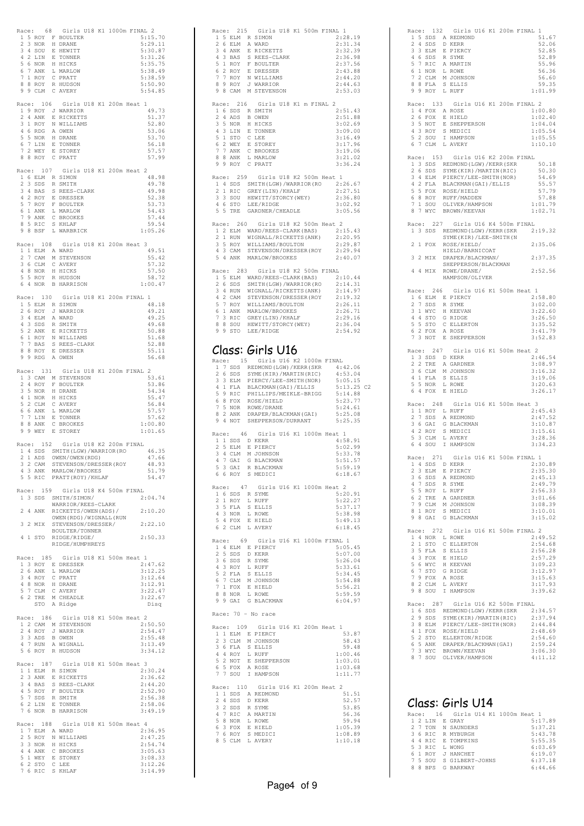|                       |              |                     | Race: 68 Girls U18 K1 1000m FINAL 2                                                      |  |                |       |                    |  |
|-----------------------|--------------|---------------------|------------------------------------------------------------------------------------------|--|----------------|-------|--------------------|--|
|                       |              | 2 3 NOR             | 1 5 ROY F BOULTER<br>H DRANE                                                             |  |                |       | 5:15.70<br>5:29.11 |  |
|                       |              | 3 4 SOU             | E HEWITT                                                                                 |  |                |       | 5:30.87            |  |
|                       |              |                     |                                                                                          |  |                |       | 5:31.26            |  |
|                       |              | 7 ANK               | 4 2 LIN E TONNER<br>5 6 NOR H HICKS                                                      |  |                |       | 5:35.75            |  |
| 6<br>7                | $\mathbf{1}$ | ROY                 | L MARLOW<br>C PRATT                                                                      |  |                |       | 5:38.49<br>5:38.59 |  |
|                       |              | 8 8 ROY             | R HUDSON                                                                                 |  |                |       | 5:50.90            |  |
|                       |              | 9 9 CLM             | C AVERY                                                                                  |  |                |       | 5:54.85            |  |
|                       |              | Race: 106           | Girls U18 K1 200m Heat 1                                                                 |  |                |       |                    |  |
|                       |              |                     | 1 9 ROY J WARRIOR                                                                        |  |                |       | 49.73              |  |
|                       |              |                     | 2 4 ANK E RICKETTS<br>3 1 ROY N WILLIAMS                                                 |  |                |       | 51.37              |  |
|                       |              |                     |                                                                                          |  |                |       | 52.80              |  |
|                       |              | 5 5 NOR             | 4 6 RDG A OWEN<br>H DRANE                                                                |  |                |       | 53.06<br>53.70     |  |
|                       |              | 6 7 LIN             | E TONNER                                                                                 |  |                |       | 56.18              |  |
|                       |              | 7 2 WEY             | E STOREY<br>8 8 ROY C PRATT                                                              |  |                |       | 57.57              |  |
|                       |              |                     |                                                                                          |  |                |       | 57.99              |  |
|                       |              |                     | Race: 107 Girls U18 K1 200m Heat                                                         |  | $\overline{2}$ |       |                    |  |
|                       |              |                     | 1 6 ELM R SIMON                                                                          |  |                |       | 48.98              |  |
|                       |              | 2 3 SDS<br>3 4 BAS  | R SMITH<br>S REES-CLARK                                                                  |  |                |       | 49.78<br>49.98     |  |
|                       |              | 4 2 ROY             | E DRESSER                                                                                |  |                |       | 52.38              |  |
| 5                     |              | 7 ROY               | F BOULTER                                                                                |  |                |       | 53.73              |  |
| 6                     |              |                     | 1 ANK L MARLOW                                                                           |  |                |       | 54.43              |  |
|                       |              | 7 9 ANK<br>8 5 RIC  | C BROOKES<br>${\tt S}$ KHLAF                                                             |  |                |       | 57.44<br>59.54     |  |
|                       |              | 9 8 BSF             | L WARBRICK                                                                               |  |                |       | 1:05.26            |  |
|                       |              |                     |                                                                                          |  |                |       |                    |  |
| Race:<br>$\mathbf{1}$ | 1            | 108                 | Girls U18 K1 200m Heat 3<br>ELM A WARD                                                   |  |                |       | 49.51              |  |
| 2                     |              |                     | 7 CAM M STEVENSON                                                                        |  |                |       | 55.42              |  |
|                       |              |                     | 3 6 CLM C AVERY                                                                          |  |                |       | 57.32              |  |
| 5                     |              | 4 8 NOR<br>5 ROY    | H HICKS<br>R HUDSON                                                                      |  |                |       | 57.50<br>58.72     |  |
|                       |              | 6 4 NOR             | <b>B HARRISON</b>                                                                        |  |                |       | 1:00.47            |  |
|                       |              |                     |                                                                                          |  |                |       |                    |  |
| Race:                 |              | 130                 | Girls U18 K1 200m FINAL 1                                                                |  |                |       | 48.18              |  |
|                       |              | 2 6 ROY             | 1 5 ELM R SIMON<br>J WARRIOR                                                             |  |                |       | 49.21              |  |
|                       |              | 3 4 ELM             | 4 ELM A WARD<br>3 SDS R SMITH<br>2 ANK E RICKETTS                                        |  |                |       | 49.25              |  |
| $\overline{4}$        |              |                     |                                                                                          |  |                |       | 49.68              |  |
| 5                     |              | 6 1 ROY             | N WILLIAMS                                                                               |  |                |       | 50.88<br>51.68     |  |
|                       |              | 7 7 BAS             | S REES-CLARK                                                                             |  |                |       | 52.88              |  |
|                       |              | 8 8 ROY             | E DRESSER                                                                                |  |                |       | 55.11              |  |
| 9                     |              |                     | 9 RDG A OWEN                                                                             |  |                |       | 56.68              |  |
|                       |              |                     | Race: 131 Girls U18 K1 200m FINAL 2                                                      |  |                |       |                    |  |
| $\mathbf{1}$          |              |                     | 3 CAM M STEVENSON                                                                        |  |                |       | 53.61              |  |
|                       |              | 2 4 ROY             | F BOULTER                                                                                |  |                |       |                    |  |
|                       |              |                     |                                                                                          |  |                | 53.86 |                    |  |
|                       |              | 3 5 NOR             | H DRANE                                                                                  |  |                |       | 54.34              |  |
| 5                     |              | 4 1 NOR             | H HICKS<br>2 CLM C AVERY                                                                 |  |                |       | 55.47<br>56.84     |  |
| 6                     | 6            |                     | ANK L MARLOW                                                                             |  |                |       | 57.57              |  |
| 7                     |              | 7 LIN               | E TONNER                                                                                 |  |                |       | 57.62              |  |
|                       |              |                     | 8 8 ANK C BROOKES<br>9 9 WEY E STOREY                                                    |  |                |       | 1:00.80<br>1:01.65 |  |
|                       |              |                     |                                                                                          |  |                |       |                    |  |
|                       |              |                     | Race: 152 Girls U18 K2 200m FINAL                                                        |  |                |       |                    |  |
|                       |              |                     |                                                                                          |  |                |       | 46.35<br>47.66     |  |
|                       |              |                     | 1 4 SDS SMITH(LGW)/WARRIOR(RO<br>2 1 ADS OWEN/OWEN(RDG)<br>3 2 CAM STEVENSON/DRESSER(ROY |  |                |       | 48.93              |  |
|                       |              | 4 3 ANK             | MARLOW/BROOKES                                                                           |  |                |       | 51.79              |  |
|                       |              |                     | 5 5 RIC PRATT (ROY) / KHLAF                                                              |  |                |       | 54.47              |  |
|                       |              |                     | Race: 159 Girls U18 K4 500m FINAL                                                        |  |                |       |                    |  |
|                       |              |                     | 1 3 SDS SMITH/SIMON/                                                                     |  |                |       | 2:04.74            |  |
|                       |              | 2 4 ANK             | WARRIOR/REES-CLARK                                                                       |  |                |       | 2:10.20            |  |
|                       |              |                     | RICKETTS/OWEN(ADS)/<br>OWEN (RDG) /WIGNALL (RUN                                          |  |                |       |                    |  |
|                       |              |                     | 3 2 MIX STEVENSON/DRESSER/                                                               |  |                |       | 2:22.10            |  |
|                       |              |                     | BOULTER/TONNER<br>4 1 STO RIDGE/RIDGE/                                                   |  |                |       | 2:50.33            |  |
|                       |              |                     | RIDGE/HUMPHREYS                                                                          |  |                |       |                    |  |
|                       |              |                     |                                                                                          |  |                |       |                    |  |
|                       |              |                     | Race: 185 Girls U18 K1 500m Heat 1<br>1 3 ROY E DRESSER                                  |  |                |       | 2:47.62            |  |
|                       |              | 2 6 ANK             | L MARLOW                                                                                 |  |                |       | 3:12.25            |  |
|                       |              |                     |                                                                                          |  |                |       | 3:12.64            |  |
|                       |              |                     | 3 4 ROY C PRATT<br>4 8 NOR H DRANE                                                       |  |                |       | 3:12.91            |  |
|                       |              |                     | 5 7 CLM C AVERY                                                                          |  |                |       | 3:22.47<br>3:22.67 |  |
|                       |              |                     | 6 2 TRE M CHEADLE<br>STO A Ridge                                                         |  |                |       | Disq               |  |
|                       |              |                     | Race: 186 Girls U18 K1 500m Heat 2                                                       |  |                |       |                    |  |
|                       |              |                     |                                                                                          |  |                |       | 2:50.50            |  |
|                       |              | 2 4 ROY             | 1 2 CAM M STEVENSON<br>J WARRIOR                                                         |  |                |       | 2:54.47            |  |
|                       |              | 3 3 ADS             | B OWEN                                                                                   |  |                |       | 2:55.48<br>3:13.49 |  |
|                       |              |                     | 4 7 RUN A WIGNALL<br>5 6 ROY R HUDSON                                                    |  |                |       | 3:34.12            |  |
|                       |              |                     |                                                                                          |  |                |       |                    |  |
|                       |              |                     | Race: 187 Girls U18 K1 500m Heat 3                                                       |  |                |       |                    |  |
|                       |              |                     |                                                                                          |  |                |       | 2:30.24<br>2:36.62 |  |
|                       |              |                     | 1 1 ELM R SIMON<br>2 3 ANK E RICKETTS<br>3 4 BAS S REES-CLARK                            |  |                |       | 2:44.20            |  |
|                       |              |                     | 4 5 ROY F BOULTER                                                                        |  |                |       | 2:52.90            |  |
|                       |              |                     |                                                                                          |  |                |       | 2:56.38<br>2:58.06 |  |
|                       |              |                     | 5 7 SDS R SMITH<br>6 2 LIN E TONNER<br>7 6 NOR B HARRISON                                |  |                |       | 3:49.19            |  |
|                       |              |                     |                                                                                          |  |                |       |                    |  |
| $\mathbf{1}$          |              |                     | Race: 188 Girls U18 K1 500m Heat 4<br>7 ELM A WARD                                       |  |                |       | 2:36.95            |  |
|                       |              | 2 5 ROY             | N WILLIAMS                                                                               |  |                |       | 2:47.25            |  |
|                       |              | $3\overline{3}$ NOR | H HICKS                                                                                  |  |                |       | 2:54.74            |  |
|                       |              |                     |                                                                                          |  |                |       | 3:05.63<br>3:08.33 |  |
|                       |              |                     | 4 4 ANK C BROOKES<br>5 1 WEY E STOREY<br>6 2 STO C LEE<br>7 6 RIC S KHLAF                |  |                |       | 3:12.26<br>3:14.99 |  |

| Race: 215 Girls U18 K1 500m FINAL 1<br>1 5 ELM R SIMON<br>2 6 ELM A WARD<br>3 4 ANK E RICKETTS<br>4 3 BAS S REES-CLARK<br>5 1 ROY F BOULTER<br>6 2 ROY E DRESSER<br>7 7 ROY N WILLIAMS<br>8 9 ROY J WARRIOR<br>9 8 CAM M STEVENSON<br>Race: 216 Girls U18 K1 m FINAL 2<br>1 6 SDS R SMITH<br>2 4 ADS<br><b>B</b> OWEN<br>3 5 NOR H HICKS<br>3 J NOR A HILGA<br>5 1 STO C LEE<br>6 2 WEY E STOREY<br>7 7 ANK C BROOKES<br>8 8 ANK L MARLOW<br>9 9 ROY C PRATT | 2:28.19<br>2:31.34<br>2:32.39<br>2:36.98<br>2:37.56<br>2:43.88<br>2:44.20<br>2:44.63<br>2:53.03<br>2:51.43<br>2:51.88<br>3:02.69<br>3:09.00<br>3:16.49 |
|--------------------------------------------------------------------------------------------------------------------------------------------------------------------------------------------------------------------------------------------------------------------------------------------------------------------------------------------------------------------------------------------------------------------------------------------------------------|--------------------------------------------------------------------------------------------------------------------------------------------------------|
|                                                                                                                                                                                                                                                                                                                                                                                                                                                              |                                                                                                                                                        |
|                                                                                                                                                                                                                                                                                                                                                                                                                                                              |                                                                                                                                                        |
|                                                                                                                                                                                                                                                                                                                                                                                                                                                              |                                                                                                                                                        |
|                                                                                                                                                                                                                                                                                                                                                                                                                                                              |                                                                                                                                                        |
|                                                                                                                                                                                                                                                                                                                                                                                                                                                              |                                                                                                                                                        |
|                                                                                                                                                                                                                                                                                                                                                                                                                                                              |                                                                                                                                                        |
|                                                                                                                                                                                                                                                                                                                                                                                                                                                              |                                                                                                                                                        |
|                                                                                                                                                                                                                                                                                                                                                                                                                                                              |                                                                                                                                                        |
|                                                                                                                                                                                                                                                                                                                                                                                                                                                              |                                                                                                                                                        |
|                                                                                                                                                                                                                                                                                                                                                                                                                                                              |                                                                                                                                                        |
|                                                                                                                                                                                                                                                                                                                                                                                                                                                              |                                                                                                                                                        |
|                                                                                                                                                                                                                                                                                                                                                                                                                                                              |                                                                                                                                                        |
|                                                                                                                                                                                                                                                                                                                                                                                                                                                              |                                                                                                                                                        |
|                                                                                                                                                                                                                                                                                                                                                                                                                                                              |                                                                                                                                                        |
|                                                                                                                                                                                                                                                                                                                                                                                                                                                              |                                                                                                                                                        |
|                                                                                                                                                                                                                                                                                                                                                                                                                                                              |                                                                                                                                                        |
|                                                                                                                                                                                                                                                                                                                                                                                                                                                              | 3:17.96                                                                                                                                                |
|                                                                                                                                                                                                                                                                                                                                                                                                                                                              | 3:19.06                                                                                                                                                |
|                                                                                                                                                                                                                                                                                                                                                                                                                                                              | 3:21.02                                                                                                                                                |
|                                                                                                                                                                                                                                                                                                                                                                                                                                                              | 3:36.24                                                                                                                                                |
|                                                                                                                                                                                                                                                                                                                                                                                                                                                              |                                                                                                                                                        |
| Race: 259 Girls U18 K2 500m Heat 1                                                                                                                                                                                                                                                                                                                                                                                                                           |                                                                                                                                                        |
|                                                                                                                                                                                                                                                                                                                                                                                                                                                              |                                                                                                                                                        |
| 1 4 SDS SMITH (LGW) /WARRIOR (RO 2:26.67<br>2 1 RIC GREY (LIN) /KHALF 2:27.51                                                                                                                                                                                                                                                                                                                                                                                |                                                                                                                                                        |
| 3 3 SOU HEWITT/STORCY (WEY)<br>4 6 STO LEE/RIDGE                                                                                                                                                                                                                                                                                                                                                                                                             | 2:36.80                                                                                                                                                |
|                                                                                                                                                                                                                                                                                                                                                                                                                                                              | 3:02.92                                                                                                                                                |
| 5 5 TRE GARDNER/CHEADLE                                                                                                                                                                                                                                                                                                                                                                                                                                      | 3:05.56                                                                                                                                                |
|                                                                                                                                                                                                                                                                                                                                                                                                                                                              |                                                                                                                                                        |
| 260 Girls U18 K2 500m Heat 2<br>Race:                                                                                                                                                                                                                                                                                                                                                                                                                        |                                                                                                                                                        |
|                                                                                                                                                                                                                                                                                                                                                                                                                                                              |                                                                                                                                                        |
| 1 2 ELM WARD/REES-CLARK(BAS) $2:15.43$<br>2 1 RUN WIGNALL/RICKETTS(ANK) $2:20.95$<br>3 5 ROY WILLIAMS/BOULTON $2:29.87$                                                                                                                                                                                                                                                                                                                                      |                                                                                                                                                        |
| 3 5 ROY WILLIAMS/BOULTON                                                                                                                                                                                                                                                                                                                                                                                                                                     | 2:29.87                                                                                                                                                |
| 4 3 CAM STEVENSON/DRESSER (ROY 2:29.94<br>5 4 ANK MARLOW/BROOKES 2:40.07                                                                                                                                                                                                                                                                                                                                                                                     |                                                                                                                                                        |
|                                                                                                                                                                                                                                                                                                                                                                                                                                                              |                                                                                                                                                        |
|                                                                                                                                                                                                                                                                                                                                                                                                                                                              |                                                                                                                                                        |
| Race: 283 Girls U18 K2 500m FINAL                                                                                                                                                                                                                                                                                                                                                                                                                            |                                                                                                                                                        |
| 1 5 ELM WARD/REES-CLARK(BAS) 2:10.44<br>2 6 SDS SMITH(LGW)/WARRIOR(RO 2:14.31<br>3 4 RUN WIGNALL/RICKETTS(ANK) 2:14.97                                                                                                                                                                                                                                                                                                                                       |                                                                                                                                                        |
|                                                                                                                                                                                                                                                                                                                                                                                                                                                              |                                                                                                                                                        |
|                                                                                                                                                                                                                                                                                                                                                                                                                                                              | 2:14.97<br>2:19.32                                                                                                                                     |
|                                                                                                                                                                                                                                                                                                                                                                                                                                                              | 2:26.11                                                                                                                                                |
| 1 5 EEM WARN/NEW ---<br>2 6 SDS SMITH(LGW)/WARRIOR(RO<br>3 4 RUN WIGNALL/RICKETTS(ANK)<br>5 7 ROY STEVENSON/DRESSER(ROY<br>5 7 ROY WILLIAMS/BOULTON<br>6 1 ANK MARLOW/BROOKES<br>7 3 RIC GREY(LIN)/KHALF<br>8 8 SOU HEWITT/STORCY(WEY)<br>8 8                                                                                                                                                                                                                | 2:26.71                                                                                                                                                |
|                                                                                                                                                                                                                                                                                                                                                                                                                                                              | 2:29.16                                                                                                                                                |
|                                                                                                                                                                                                                                                                                                                                                                                                                                                              | 2:36.04                                                                                                                                                |
| 9 9 STO LEE/RIDGE                                                                                                                                                                                                                                                                                                                                                                                                                                            | 2:54.92                                                                                                                                                |
|                                                                                                                                                                                                                                                                                                                                                                                                                                                              |                                                                                                                                                        |
|                                                                                                                                                                                                                                                                                                                                                                                                                                                              |                                                                                                                                                        |
| Class: Girls U16                                                                                                                                                                                                                                                                                                                                                                                                                                             |                                                                                                                                                        |
|                                                                                                                                                                                                                                                                                                                                                                                                                                                              |                                                                                                                                                        |
| Race: 15 Girls U16 K2 1000m FINAL                                                                                                                                                                                                                                                                                                                                                                                                                            |                                                                                                                                                        |
|                                                                                                                                                                                                                                                                                                                                                                                                                                                              |                                                                                                                                                        |
| 17 SDS REDMOND (LGW) /KERR (SKR 4:42.06<br>26 SDM PIERCY (LEE-SMITH (NOR) 5:05.15<br>3 SLM PIERCY (LEE-SMITH (NOR) 5:05.15<br>4 1 FLA BLACKMAN (GAI) /ELLIS 5:13.25<br>5 9 RIC PHILLIPS /MEIKLE-BRIGG 5:14.88<br>7 RIC PHILLIPS /MEIKLE-                                                                                                                                                                                                                     |                                                                                                                                                        |
|                                                                                                                                                                                                                                                                                                                                                                                                                                                              | 5:13.25 C2                                                                                                                                             |
|                                                                                                                                                                                                                                                                                                                                                                                                                                                              |                                                                                                                                                        |
| 6 8 FOX ROSE/HIELD                                                                                                                                                                                                                                                                                                                                                                                                                                           | 5:23.77                                                                                                                                                |
|                                                                                                                                                                                                                                                                                                                                                                                                                                                              | 5:24.61                                                                                                                                                |
|                                                                                                                                                                                                                                                                                                                                                                                                                                                              | 5:25.08                                                                                                                                                |
| 7 5 NOR ROWE/DRANE<br>8 2 ANK DRAPER/BLACKMAN(GAI)<br>9 4 NOT SHEPPERSON/DURRANT                                                                                                                                                                                                                                                                                                                                                                             | 5:25.35                                                                                                                                                |
|                                                                                                                                                                                                                                                                                                                                                                                                                                                              |                                                                                                                                                        |
| Race: 46 Girls U16 K1 1000m Heat 1                                                                                                                                                                                                                                                                                                                                                                                                                           |                                                                                                                                                        |
| 1 1 SDS D KERR                                                                                                                                                                                                                                                                                                                                                                                                                                               | 4:58.91                                                                                                                                                |
| 2 5 ELM E PIERCY                                                                                                                                                                                                                                                                                                                                                                                                                                             | 5:02.99                                                                                                                                                |
| 3 4 CLM M JOHNSON                                                                                                                                                                                                                                                                                                                                                                                                                                            | 5:33.78                                                                                                                                                |
| 4<br>7 GAI<br>G BLACKMAN                                                                                                                                                                                                                                                                                                                                                                                                                                     | 5:51.57                                                                                                                                                |
| R BLACKMAN<br>5 3 GAI                                                                                                                                                                                                                                                                                                                                                                                                                                        | 5:59.19                                                                                                                                                |
| 6 6 ROY S MEDICI                                                                                                                                                                                                                                                                                                                                                                                                                                             | 6:18.67                                                                                                                                                |
|                                                                                                                                                                                                                                                                                                                                                                                                                                                              |                                                                                                                                                        |
| Race: 47 Girls U16 K1 1000m Heat 2                                                                                                                                                                                                                                                                                                                                                                                                                           |                                                                                                                                                        |
| 1 6 SDS R SYME                                                                                                                                                                                                                                                                                                                                                                                                                                               | 5:20.91                                                                                                                                                |
| 2 1 ROY<br>L RUFF                                                                                                                                                                                                                                                                                                                                                                                                                                            | 5:22.27                                                                                                                                                |
| 3 5 FLA S ELLIS<br>4 3 NOR L ROWE<br>5 4 FOX E HIELD                                                                                                                                                                                                                                                                                                                                                                                                         | 5:37.17                                                                                                                                                |
|                                                                                                                                                                                                                                                                                                                                                                                                                                                              | 5:38.98                                                                                                                                                |
| 6 2 CLM L AVERY                                                                                                                                                                                                                                                                                                                                                                                                                                              | 5:49.13<br>6:18.45                                                                                                                                     |
|                                                                                                                                                                                                                                                                                                                                                                                                                                                              |                                                                                                                                                        |
| Race: 69 Girls U16 K1 1000m FINAL 1                                                                                                                                                                                                                                                                                                                                                                                                                          |                                                                                                                                                        |
| 1 4 ELM E PIERCY                                                                                                                                                                                                                                                                                                                                                                                                                                             | 5:05.45                                                                                                                                                |
| 2 5 SDS<br>D KERR                                                                                                                                                                                                                                                                                                                                                                                                                                            | 5:07.00                                                                                                                                                |
|                                                                                                                                                                                                                                                                                                                                                                                                                                                              | 5:26.04                                                                                                                                                |
| 3 6 SDS R SYME<br>4 3 ROY L RUFF                                                                                                                                                                                                                                                                                                                                                                                                                             | 5:33.61                                                                                                                                                |
|                                                                                                                                                                                                                                                                                                                                                                                                                                                              | 5:34.45                                                                                                                                                |
| 5 2 FLA S ELLIS<br>6 7 CLM M JOHNSON                                                                                                                                                                                                                                                                                                                                                                                                                         | 5:54.88                                                                                                                                                |
| 7 1 FOX E HIELD                                                                                                                                                                                                                                                                                                                                                                                                                                              | 5:56.21                                                                                                                                                |
| 8 8 NOR L ROWE                                                                                                                                                                                                                                                                                                                                                                                                                                               | 5:59.59                                                                                                                                                |
| 9 9 GAI<br>G BLACKMAN                                                                                                                                                                                                                                                                                                                                                                                                                                        | 6:04.97                                                                                                                                                |
|                                                                                                                                                                                                                                                                                                                                                                                                                                                              |                                                                                                                                                        |
| Race: 70 - No race                                                                                                                                                                                                                                                                                                                                                                                                                                           |                                                                                                                                                        |
|                                                                                                                                                                                                                                                                                                                                                                                                                                                              |                                                                                                                                                        |
| Race: 109 Girls U16 K1 200m Heat 1                                                                                                                                                                                                                                                                                                                                                                                                                           |                                                                                                                                                        |
| 1 1 ELM E PIERCY<br>2 3 CLM M JOHNSON                                                                                                                                                                                                                                                                                                                                                                                                                        | 53.87                                                                                                                                                  |
|                                                                                                                                                                                                                                                                                                                                                                                                                                                              | 58.43                                                                                                                                                  |
| 3 6 FLA S ELLIS                                                                                                                                                                                                                                                                                                                                                                                                                                              | 59.48                                                                                                                                                  |
| 4 4 ROY<br>L RUFF                                                                                                                                                                                                                                                                                                                                                                                                                                            | 1:00.46                                                                                                                                                |
|                                                                                                                                                                                                                                                                                                                                                                                                                                                              | 1:03.01                                                                                                                                                |
|                                                                                                                                                                                                                                                                                                                                                                                                                                                              | 1:03.68                                                                                                                                                |
|                                                                                                                                                                                                                                                                                                                                                                                                                                                              | 1:11.77                                                                                                                                                |
| 5 2 NOT E SHEPPERSON<br>6 5 FOX A ROSE<br>7 7 SOU I HAMPSON                                                                                                                                                                                                                                                                                                                                                                                                  |                                                                                                                                                        |
|                                                                                                                                                                                                                                                                                                                                                                                                                                                              |                                                                                                                                                        |
| Race: 110 Girls U16 K1 200m Heat 2                                                                                                                                                                                                                                                                                                                                                                                                                           |                                                                                                                                                        |
| 1 1 SDS A REDMOND                                                                                                                                                                                                                                                                                                                                                                                                                                            | 51.51                                                                                                                                                  |
| 2 4 SDS<br>D KERR                                                                                                                                                                                                                                                                                                                                                                                                                                            | 52.57                                                                                                                                                  |
| 3 2 SDS                                                                                                                                                                                                                                                                                                                                                                                                                                                      | 53.85                                                                                                                                                  |
| 2 SDS R SYME<br>7 RIC A MARTIN<br>4                                                                                                                                                                                                                                                                                                                                                                                                                          | 56.36                                                                                                                                                  |
| 5 8 NOR L ROWE                                                                                                                                                                                                                                                                                                                                                                                                                                               | 59.94                                                                                                                                                  |
|                                                                                                                                                                                                                                                                                                                                                                                                                                                              | 1:05.39                                                                                                                                                |
|                                                                                                                                                                                                                                                                                                                                                                                                                                                              | 1:08.89                                                                                                                                                |
| 6 3 FOX E HIELD<br>7 6 ROY S MEDICI<br>8 5 CLM L AVERY                                                                                                                                                                                                                                                                                                                                                                                                       | 1:10.18                                                                                                                                                |

| Race: 132 Girls U16 K1 200m FINAL 1                                                                                                                                                              |
|--------------------------------------------------------------------------------------------------------------------------------------------------------------------------------------------------|
| 1 5 SDS A REDMOND<br>51.67                                                                                                                                                                       |
| $\overline{2}$<br>4 SDS<br>D KERR<br>52.06<br>3 3 ELM<br>E PIERCY<br>52.85                                                                                                                       |
| 52.89                                                                                                                                                                                            |
| 4 6 SDS R SYME<br>5 7 RIC A MARTIN<br>6 1 NOR L ROWE<br>7 2 CLM M JOHNSON<br>55.96                                                                                                               |
| 56.36                                                                                                                                                                                            |
| 56.60                                                                                                                                                                                            |
| 8 8 FLA S ELLIS<br>9 9 ROY L RUFF<br>59.35                                                                                                                                                       |
| 1:01.99                                                                                                                                                                                          |
| 133<br>Girls U16 K1 200m FINAL 2<br>Race:<br>1 4 FOX A ROSE<br>1:00.80                                                                                                                           |
| 2 6 FOX E HIELD<br>1:02.40                                                                                                                                                                       |
| 3 5 NOT E SHEPPERSON<br>1:04.04                                                                                                                                                                  |
| 4 3 ROY S MEDICI<br>5 2 SOU I HAMPSON<br>1:05.54                                                                                                                                                 |
| 1:05.55                                                                                                                                                                                          |
| 6 7 CLM<br>L AVERY<br>1:10.10                                                                                                                                                                    |
| Race: 153 Girls U16 K2 200m FINAL                                                                                                                                                                |
| 50.18<br>50.30                                                                                                                                                                                   |
| 54.69                                                                                                                                                                                            |
| 55.57                                                                                                                                                                                            |
| 2 3 3 BB REDMOND (LGW) /KERR (SKR<br>2 6 SDS SYME (KIR) /MARTIN (RIC)<br>3 4 ELM PIERCY/LEE-SMITH (NOR)<br>4 2 FLA BLACKMAN (GAI) /ELLIS<br>5 5 FOX ROEF/HADDEN<br>6 8 ROY RUFF/MADDEN<br>57.79  |
| 57.88<br>7 1 SOU OLIVER/HAMPSON<br>1:01.79                                                                                                                                                       |
| 7 WYC BROWN/KEEVAN<br>1:02.71<br>8                                                                                                                                                               |
|                                                                                                                                                                                                  |
| Race: 227 Girls U16 K4 500m FINAL<br>1 3 SDS<br>REDMOND (LGW) / KERR (SKR<br>2:19.32                                                                                                             |
| SYME (KIR) / LEE-SMITH (N                                                                                                                                                                        |
| FOX<br>ROSE/HIELD/<br>2:35.06<br>$\mathbf{2}$<br>$\mathbf{1}$<br>HIELD/BARNICOAT                                                                                                                 |
| 3<br>2 MIX<br>DRAPER/BLACKMAN/<br>2:37.35                                                                                                                                                        |
| SHEPPERSON/BLACKMAN<br>2:52.56<br>4                                                                                                                                                              |
| 4 MIX<br>ROWE/DRANE/<br>HAMPSON/OLIVER                                                                                                                                                           |
| Race: 246<br>Girls U16 K1 500m Heat 1                                                                                                                                                            |
| 1 6 ELM E PIERCY<br>2:58.80                                                                                                                                                                      |
| 2 7 SDS<br>R SYME<br>3:02.00                                                                                                                                                                     |
| 3 <sub>1</sub><br>H KEEVAN<br>3:22.60<br>WYC                                                                                                                                                     |
| 4 4 STO G RIDGE<br>3:26.50                                                                                                                                                                       |
| 5 5 STO C ELLERTON<br>3:35.52<br>3:41.79                                                                                                                                                         |
| 6 2 FOX A ROSE<br>7 3 NOT E SHEPPERSON<br>3:52.83                                                                                                                                                |
| 247                                                                                                                                                                                              |
| Girls U16 K1 500m Heat 2<br>Race:<br>1 3 SDS D KERR<br>2:46.54                                                                                                                                   |
| A GARDNER<br>2 2 TRE<br>3:08.97                                                                                                                                                                  |
| 3 6 CLM M JOHNSON<br>3:16.32                                                                                                                                                                     |
| 4 1 FLA S ELLIS<br>3:19.06<br>5 5 NOR<br>L ROWE<br>3:20.63                                                                                                                                       |
| 6<br>4 FOX<br>E HIELD<br>3:26.17                                                                                                                                                                 |
| 248<br>Girls U16 K1 500m Heat 3<br>Race:                                                                                                                                                         |
| 1 ROY L RUFF<br>2:45.43<br>$\mathbf{1}$                                                                                                                                                          |
| 2 7 SDS<br>A REDMOND<br>2:47.52                                                                                                                                                                  |
| 3:10.87                                                                                                                                                                                          |
| 3 6 GAI G BLACKMAN<br>4 2 ROY S MEDICI<br>5 3 CLM L AVERY<br>3:15.61<br>L AVERY<br>3:28.36                                                                                                       |
| 4 SOU<br>3:34.23<br>6<br>I HAMPSON                                                                                                                                                               |
| 271<br>Girls U16 K1 500m FINAL 1                                                                                                                                                                 |
| Race:<br>2:30.89<br>4 SDS<br>D KERR<br>Ŧ.                                                                                                                                                        |
| 2:35.30                                                                                                                                                                                          |
| 2:45.13                                                                                                                                                                                          |
| 23 BLM E PIERCY<br>36 SDS A REDMOND<br>47 SDS R SYME<br>55 ROY L RUFF<br>62 TRE A GARDNER<br>2:49.79                                                                                             |
| 2:56.33<br>3:01.66                                                                                                                                                                               |
| 3:08.39                                                                                                                                                                                          |
| 3:10.01                                                                                                                                                                                          |
| 7 9 CLM M JOHNSON<br>8 1 ROY S MEDICI<br>9 8 GAI G BLACKMAN<br>3:15.02                                                                                                                           |
| Race: 272 Girls U16 K1 500m FINAL 2                                                                                                                                                              |
| $1 4$ NOR $L$ ROWE<br>2:49.52                                                                                                                                                                    |
| 2 1 STO C ELLERTON<br>2:54.68<br>2:56.28                                                                                                                                                         |
| 2:57.29                                                                                                                                                                                          |
| 3:09.23                                                                                                                                                                                          |
| 3:12.97                                                                                                                                                                                          |
| 3:15.63<br>3:17.93                                                                                                                                                                               |
| 2 1 510 C ELEAN<br>3 5 FLA S ELLIS<br>4 3 FOX E HIELD<br>5 6 WYC H KEEVAN<br>6 7 9 FOX A ROSE<br>8 2 CLM L AVERY<br>9 8 SOU I HAMPSON<br>3:39.62                                                 |
| 287<br>Girls U16 K2 500m FINAL<br>Race:                                                                                                                                                          |
| 1 6 SDS REDMOND(LGW)/KERR(SKR 2:34.57<br>2 9 SDS SYME(KIR)/MARTIN(RIC) 2:37.94                                                                                                                   |
|                                                                                                                                                                                                  |
| 2:44.84                                                                                                                                                                                          |
| 2:48.69<br>2:54.60                                                                                                                                                                               |
| 2 SOUS DIMININATION<br>3 SELM PIERCY/LEE-SMITH(NOR)<br>4 1 FOX ROSE/HIELD<br>5 2 STO ELLERTON/RIDGE<br>6 5 ANK DRAPER/BLACKMAN(GAI)<br>7 3 WYC BROWN/KEEVAN<br>8 7 SOU OLIVER/HAMPSON<br>2:59.24 |
| 3:06.30                                                                                                                                                                                          |
|                                                                                                                                                                                                  |
| 4:11.12                                                                                                                                                                                          |

# Class: Girls U14

|    |   |            | Race: 16 Girls U14 K1 1000m Heat 1 |  |  |         |
|----|---|------------|------------------------------------|--|--|---------|
|    |   |            | 1 2 LIN E GRAY                     |  |  | 5:17.89 |
|    |   |            | 2 7 TON N SAUNDERS                 |  |  | 5:37.21 |
|    |   |            | 3 6 RIC R MYBURGH                  |  |  | 5:43.78 |
|    |   |            | 4 4 RIC E TOMPKINS                 |  |  | 5:55.35 |
|    |   | 5 3 RIC    | L WONG                             |  |  | 6:03.69 |
|    |   |            | 6 1 ROY J HANCHET                  |  |  | 6:19.07 |
|    |   |            | 7 5 SOU S GILBERT-JOHNS            |  |  | 6:37.18 |
| 8. | R | <b>RPS</b> | G BARKWAY                          |  |  | 6:44.66 |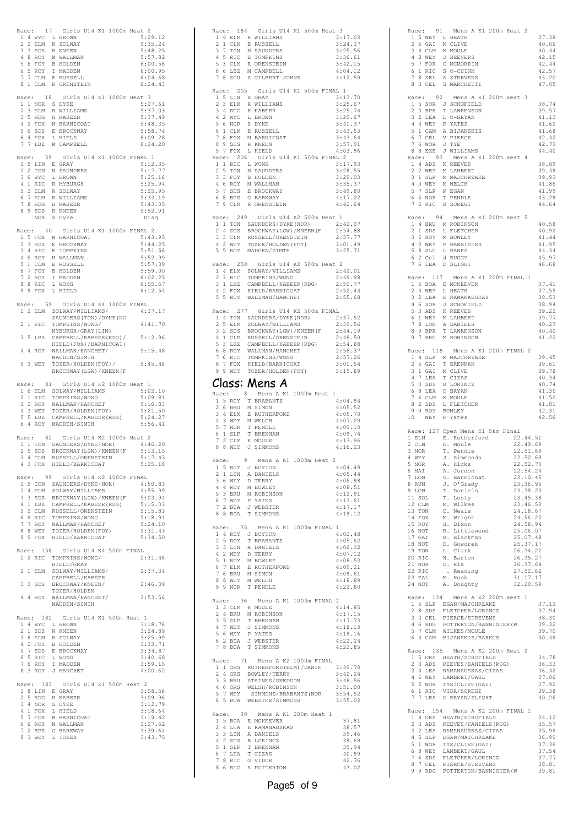|       |                  | Race: 17 Girls U14 K1 1000m Heat 2                                                                                                                                                                                                        |  |  |                    |  |
|-------|------------------|-------------------------------------------------------------------------------------------------------------------------------------------------------------------------------------------------------------------------------------------|--|--|--------------------|--|
|       |                  | A 4 MYC L BROWN<br>2 2 ELM R SOLWAY<br>3 3 SDS R KNEEM<br>4 MYC L BROWN<br>3 3 SDS R KNEEM<br>3 4 SOLDEN<br>5 6 FOY B HOLDEN<br>6 5 ROY I MADDEN<br>7 7 CLM E RUSSELL<br>7 1 CLM E RUSSELL                                                |  |  | 5:29.12<br>5:35.24 |  |
|       |                  |                                                                                                                                                                                                                                           |  |  | 5:48.25            |  |
|       |                  |                                                                                                                                                                                                                                           |  |  | 5:57.82            |  |
|       |                  |                                                                                                                                                                                                                                           |  |  | 6:00.56            |  |
|       |                  |                                                                                                                                                                                                                                           |  |  | 6:00.95<br>6:04.68 |  |
|       |                  | 8 1 CLM R ORENSTEIN                                                                                                                                                                                                                       |  |  | 6:24.43            |  |
|       |                  | Race: 18 Girls U14 K1 1000m Heat 3                                                                                                                                                                                                        |  |  |                    |  |
|       |                  |                                                                                                                                                                                                                                           |  |  | 5:27.61            |  |
|       |                  |                                                                                                                                                                                                                                           |  |  | 5:37.03            |  |
|       |                  |                                                                                                                                                                                                                                           |  |  | 5:37.49            |  |
|       |                  |                                                                                                                                                                                                                                           |  |  | 5:48.35<br>5:58.74 |  |
|       |                  |                                                                                                                                                                                                                                           |  |  | 6:09.28            |  |
|       |                  | ARRICATION STATES OF THE SERVICE 2 3 ELM R WILLIAMS<br>3 5 RDG H KABEER<br>4 2 FOX M BARNICOAT<br>5 6 SDS E BROCKWAY<br>6 4 FOX L HIELD<br>7 7 LBZ M CAMPBELL                                                                             |  |  | 6:24.20            |  |
|       |                  | Race: 39 Girls U14 K1 1000m FINAL 1                                                                                                                                                                                                       |  |  |                    |  |
|       |                  | 1 5 LIN E GRAY<br>2 2 TON N SAUNDERS                                                                                                                                                                                                      |  |  | 5:12.35            |  |
|       |                  |                                                                                                                                                                                                                                           |  |  | 5:17.77            |  |
|       |                  | 3 6 WYC L BROWN                                                                                                                                                                                                                           |  |  | 5:25.16<br>5:25.94 |  |
|       |                  |                                                                                                                                                                                                                                           |  |  | 5:25.95            |  |
|       |                  |                                                                                                                                                                                                                                           |  |  | 5:33.19            |  |
|       |                  |                                                                                                                                                                                                                                           |  |  | 5:43.05<br>5:52.91 |  |
|       |                  | 3 M RIC R MYBURGH<br>5 3 ELM R SOLWAY<br>6 7 ELM R WILLIAMS<br>7 8 RDG H KABEER<br>8 9 SDS R KNEEN<br>NOR S Dyke                                                                                                                          |  |  | Disq               |  |
|       |                  |                                                                                                                                                                                                                                           |  |  |                    |  |
| Race: |                  | 40 Girls U14 K1 1000m FINAL 2                                                                                                                                                                                                             |  |  | 5:43.95            |  |
|       |                  | 1 5 FOX M BARNICOAT                                                                                                                                                                                                                       |  |  | 5:44.25            |  |
|       |                  |                                                                                                                                                                                                                                           |  |  | 5:51.56            |  |
|       |                  |                                                                                                                                                                                                                                           |  |  | 5:52.99            |  |
|       |                  |                                                                                                                                                                                                                                           |  |  | 5:57.39<br>5:59.00 |  |
|       |                  | 1 J FOR PARATUOR<br>2 3 SDS E BROCKWAY<br>3 4 RIC E TOMPKINS<br>5 1 CLM E RUSSELL<br>6 7 FOY B HOLDEN<br>7 2 ROY I MADDEN<br>7 2 ROY I MADDEN                                                                                             |  |  | 6:02.25            |  |
|       |                  | 8 8 RIC L WONG<br>9 9 FOX L HIELD                                                                                                                                                                                                         |  |  | 6:05.67            |  |
|       |                  |                                                                                                                                                                                                                                           |  |  | 6:12.54            |  |
|       |                  | Race: 59 Girls U14 K4 1000m FINAL                                                                                                                                                                                                         |  |  |                    |  |
|       |                  | 1 2 ELM SOLWAY/WILLIAMS/                                                                                                                                                                                                                  |  |  | 4:37.17            |  |
| 21    |                  | SAUNDERS (TON) / DYKE (NO                                                                                                                                                                                                                 |  |  |                    |  |
|       | RIC              | TOMPKINS/WONG/<br>MYBURGH/GRAY (LIN)                                                                                                                                                                                                      |  |  | 4:41.70            |  |
|       | 35 LBZ           | CAMPBELL/KABEER(RDG)/<br>HIELD(FOX)/BARNICOAT(                                                                                                                                                                                            |  |  | 5:12.96            |  |
|       |                  |                                                                                                                                                                                                                                           |  |  |                    |  |
| 4     | 4 ROY            | WALLMAN/HANCHET/<br>MADDEN/SIMTH                                                                                                                                                                                                          |  |  | 5:15.48            |  |
| 5     |                  | 3 WEY TOZER/HOLDEN (FOY) /                                                                                                                                                                                                                |  |  | 5:45.46            |  |
|       |                  | BROCKWAY (LGW) / KNEEN (F                                                                                                                                                                                                                 |  |  |                    |  |
| Race: | 81               | Girls U14 K2 1000m Heat 1                                                                                                                                                                                                                 |  |  |                    |  |
|       |                  | 1 6 ELM SOLWAY/WILLIAMS                                                                                                                                                                                                                   |  |  | 5:02.10            |  |
|       |                  | 2 1 RIC TOMPKINS/WONG<br>3 2 ROY WALLMAN/HANCHET                                                                                                                                                                                          |  |  | 5:09.81            |  |
|       |                  |                                                                                                                                                                                                                                           |  |  | 5:16.83<br>5:21.50 |  |
|       |                  | 3 NEY TOZER/HOLDEN(FOY)<br>5 5 LBZ CAMPBELL/KABEER(RDG)<br>6 4 ROY MADDEN/SIMTH                                                                                                                                                           |  |  | 5:24.27            |  |
|       |                  |                                                                                                                                                                                                                                           |  |  | 5:56.41            |  |
|       | Race: 82         | Girls U14 K2 1000m Heat 2                                                                                                                                                                                                                 |  |  |                    |  |
|       |                  |                                                                                                                                                                                                                                           |  |  | 4:46.20            |  |
|       |                  |                                                                                                                                                                                                                                           |  |  | 5:13.15            |  |
|       |                  | 11 TON SAUNDERS/DYKE(NOR)<br>2 5 SDS BROCKWAY(LGW)/KNEEN(F<br>3 4 CLM RUSSELL/ORENSTEIN<br>4 3 FOX HIELD/BARNICOAT                                                                                                                        |  |  | 5:17.43<br>5:25.18 |  |
|       |                  |                                                                                                                                                                                                                                           |  |  |                    |  |
|       |                  | Race: 99 Girls U14 K2 1000m FINAL                                                                                                                                                                                                         |  |  |                    |  |
|       |                  |                                                                                                                                                                                                                                           |  |  |                    |  |
|       |                  |                                                                                                                                                                                                                                           |  |  |                    |  |
|       |                  |                                                                                                                                                                                                                                           |  |  |                    |  |
|       |                  |                                                                                                                                                                                                                                           |  |  |                    |  |
|       |                  | ALGE: 77 GAUNDERS/DYKE (NOR) 4:55.99<br>2 4 ELM SOLWAY/WILLIAMS 4:55.99<br>3 3 SDS BROCKWAY (LGW) / KNEEN (F 5:03.94<br>4:1 LBZ CAMPBELL/ARBER (RDG) 5:15.03<br>5 2 CLM RUSSELL/ORENSTEIN 5:15.83<br>6 6 RIC TOMPKINS/WONG 5:18.91<br>7 7 |  |  |                    |  |
|       | 8 8 WEY          | TOZER/HOLDEN(FOY)                                                                                                                                                                                                                         |  |  | 5:31.43            |  |
|       |                  | 9 9 FOX HIELD/BARNICOAT                                                                                                                                                                                                                   |  |  | 5:34.50            |  |
|       |                  | Race: 158 Girls U14 K4 500m FINAL                                                                                                                                                                                                         |  |  |                    |  |
|       |                  | 1 2 RIC TOMPKINS/WONG/                                                                                                                                                                                                                    |  |  | 2:31.46            |  |
|       |                  | HIELD/GRAY                                                                                                                                                                                                                                |  |  |                    |  |
|       | 2 1 ELM          | SOLWAY/WILLIAMS/<br>CAMPBELL/KABEER                                                                                                                                                                                                       |  |  | 2:37.34            |  |
|       | 3 3 SDS          | BROCKWAY/KNEEN/                                                                                                                                                                                                                           |  |  | 2:46.09            |  |
|       |                  | TOZER/HOLDEN                                                                                                                                                                                                                              |  |  |                    |  |
|       |                  | 4 4 ROY WALLMAN/HANCHET/<br>MADDEN/SIMTH                                                                                                                                                                                                  |  |  | 2:53.56            |  |
|       |                  |                                                                                                                                                                                                                                           |  |  |                    |  |
|       | Race: 182        | Girls U14 K1 500m Heat 1                                                                                                                                                                                                                  |  |  |                    |  |
|       | 2 1 SDS          | 1 4 WYC L BROWN<br>R KNEEN                                                                                                                                                                                                                |  |  | 3:18.76<br>3:24.89 |  |
|       |                  |                                                                                                                                                                                                                                           |  |  | 3:25.99            |  |
|       |                  |                                                                                                                                                                                                                                           |  |  | 3:33.71            |  |
|       |                  |                                                                                                                                                                                                                                           |  |  | 3:34.87            |  |
|       |                  |                                                                                                                                                                                                                                           |  |  | 3:40.68<br>3:59.15 |  |
|       |                  | 2 1 JUS A NALEMAY<br>3 8 ELM R SOLWAY<br>4 2 FOY B HOLDEN<br>6 5 RIC L WONG<br>7 6 ROY I MADDEN<br>8 3 ROY J HANCHET                                                                                                                      |  |  | 4:00.62            |  |
|       |                  |                                                                                                                                                                                                                                           |  |  |                    |  |
|       | $1 8$ LIN E GRAY | Race: 183 Girls U14 K1 500m Heat 2                                                                                                                                                                                                        |  |  | 3:08.56            |  |
|       |                  |                                                                                                                                                                                                                                           |  |  | 3:09.96            |  |
|       |                  |                                                                                                                                                                                                                                           |  |  | 3:12.79            |  |
|       |                  |                                                                                                                                                                                                                                           |  |  | 3:18.64<br>3:19.42 |  |
|       |                  | 2 5 RDG H KABEER<br>3 4 NOR S DYKE<br>4 1 FOX L HIELD<br>5 7 FOX M BARNICOAT<br>6 6 ROY M WALLMAN                                                                                                                                         |  |  | 3:27.62            |  |
|       |                  | 7 2 BPS G BARKWAY                                                                                                                                                                                                                         |  |  | 3:39.64            |  |
|       |                  | 8 3 WEY L TOZER                                                                                                                                                                                                                           |  |  | 3:43.75            |  |
|       |                  |                                                                                                                                                                                                                                           |  |  |                    |  |

| Race: 184 Girls U14 K1 500m Heat                                                                                                                                                        |                                                                                                                                              | 3                                                                                                                                               |
|-----------------------------------------------------------------------------------------------------------------------------------------------------------------------------------------|----------------------------------------------------------------------------------------------------------------------------------------------|-------------------------------------------------------------------------------------------------------------------------------------------------|
| 1 4 ELM R WILLIAMS<br>2 1 CLM                                                                                                                                                           | E RUSSELL                                                                                                                                    | 3:17.03<br>3:24.37                                                                                                                              |
| 3 7 TON                                                                                                                                                                                 | N SAUNDERS                                                                                                                                   | 3:25.56                                                                                                                                         |
| 4 5 RIC E TOMPKINS                                                                                                                                                                      |                                                                                                                                              | 3:36.61                                                                                                                                         |
| 5 3 CLM<br>6 6 LBZ                                                                                                                                                                      | R ORENSTEIN<br>M CAMPBELL                                                                                                                    | 3:42.15<br>4:04.12                                                                                                                              |
|                                                                                                                                                                                         | 7 8 SOU S GILBERT-JOHNS                                                                                                                      | 4:12.59                                                                                                                                         |
| Race: 205 Girls U14 K1 500m FINAL 1                                                                                                                                                     |                                                                                                                                              |                                                                                                                                                 |
| 1 5 LIN E GRAY                                                                                                                                                                          |                                                                                                                                              | 3:13.70                                                                                                                                         |
| 3 ELM<br>$\overline{2}$                                                                                                                                                                 | R WILLIAMS                                                                                                                                   | 3:25.67                                                                                                                                         |
| 3 4 RDG<br>4 2 WYC                                                                                                                                                                      | H KABEER<br>L BROWN                                                                                                                          | 3:25.74<br>3:29.67                                                                                                                              |
| 5 6 NOR S DYKE<br>6 1 CLM E RUSSELL<br>7 8 FOX M BARNICOAT                                                                                                                              |                                                                                                                                              | 3:41.37                                                                                                                                         |
|                                                                                                                                                                                         |                                                                                                                                              | 3:43.53<br>3:43.64                                                                                                                              |
| 8 9 SDS                                                                                                                                                                                 | R KNEEN                                                                                                                                      | 3:57.91                                                                                                                                         |
| 9 7 FOX L HIELD                                                                                                                                                                         |                                                                                                                                              | 4:03.96                                                                                                                                         |
| Race: 206 Girls U14 K1 500m FINAL 2<br>1 1 RIC L WONG                                                                                                                                   |                                                                                                                                              | 3:17.93                                                                                                                                         |
| 2 5 TON                                                                                                                                                                                 | N SAUNDERS                                                                                                                                   | 3:28.55                                                                                                                                         |
| 3 3 FOY                                                                                                                                                                                 | <b>B HOLDEN</b>                                                                                                                              | 3:29.03                                                                                                                                         |
|                                                                                                                                                                                         |                                                                                                                                              | 3:35.37<br>3:49.80                                                                                                                              |
| 3 3 FOY B HOLDEN<br>4 6 ROY M WALLMAN<br>5 7 SDS E BROCKWAY<br>6 8 BPS G BARKWAY<br>7 9 CLM R ORENSTEIN                                                                                 |                                                                                                                                              | 4:17.22                                                                                                                                         |
|                                                                                                                                                                                         |                                                                                                                                              | 4:42.64                                                                                                                                         |
| Race: 249 Girls U14 K2 500m Heat 1                                                                                                                                                      |                                                                                                                                              |                                                                                                                                                 |
|                                                                                                                                                                                         | 1 1 TON SAUNDERS/DYKE (NOR)                                                                                                                  | 2:42.07                                                                                                                                         |
|                                                                                                                                                                                         |                                                                                                                                              |                                                                                                                                                 |
|                                                                                                                                                                                         |                                                                                                                                              | 2 4 SDS BROCKWAY(LGW)/KNEEN(F 2:54.88<br>3 3 CLM RUSSELL/ORENSTEIN 2:57.77<br>4 2 WEY TOZER/HOLDEN(FOY) 3:01.49<br>5 5 ROY MADDEN/SIMTH 3:25.71 |
|                                                                                                                                                                                         |                                                                                                                                              |                                                                                                                                                 |
| Race: 250 Girls U14 K2 500m Heat 2                                                                                                                                                      |                                                                                                                                              |                                                                                                                                                 |
|                                                                                                                                                                                         | ace: 200 011.<br>1 4 ELM SOLWAY/WILLIAMS                                                                                                     | 2:42.01                                                                                                                                         |
| 2 3 RIC                                                                                                                                                                                 | TOMPKINS/WONG                                                                                                                                | 2:49.98<br>2:50.77                                                                                                                              |
|                                                                                                                                                                                         | 3 1 LBZ CAMPBELL/KABEER(RDG)<br>4 2 FOX HIELD/BARNICOAT<br>5 5 ROY WALLMAN/HANCHET                                                           | 2:52.44                                                                                                                                         |
|                                                                                                                                                                                         |                                                                                                                                              | 2:55.68                                                                                                                                         |
| Race: 277 Girls U14 K2 500m FINAL                                                                                                                                                       |                                                                                                                                              |                                                                                                                                                 |
|                                                                                                                                                                                         | 1 4 TON SAUNDERS/DYKE (NOR)                                                                                                                  | 2:37.52                                                                                                                                         |
| 2 5 ELM                                                                                                                                                                                 | SOLWAY/WILLIAMS<br>BROCKWAY(LGW)/KNEEN(F<br>RUSSELL/ORENSTEIN                                                                                | 2:39.56<br>2:44.19                                                                                                                              |
|                                                                                                                                                                                         | 3 2 SDS BROCKWAY (LGW) / KNEEN (F<br>4 1 CLM RUSSELL/ORENSTEIN                                                                               | 2:48.50                                                                                                                                         |
|                                                                                                                                                                                         | 5 3 LBZ CAMPBELL/KABEER(RDG)<br>6 8 ROY WALLMAN/HANCHET                                                                                      | 2:54.88<br>2:56.37                                                                                                                              |
| 6 RIC<br>7                                                                                                                                                                              | TOMPKINS/WONG                                                                                                                                | 2:57.26                                                                                                                                         |
|                                                                                                                                                                                         | 8 7 FOX HIELD/BARNICOAT                                                                                                                      | 3:01.54                                                                                                                                         |
|                                                                                                                                                                                         | 9 9 WEY TOZER/HOLDEN (FOY)                                                                                                                   | 3:15.89                                                                                                                                         |
| Class: Mens                                                                                                                                                                             |                                                                                                                                              |                                                                                                                                                 |
|                                                                                                                                                                                         | Mens A K1 1000m Heat 1                                                                                                                       |                                                                                                                                                 |
| Race: 8                                                                                                                                                                                 |                                                                                                                                              |                                                                                                                                                 |
| 1 5 ROY                                                                                                                                                                                 | T BRABANTS                                                                                                                                   | 4:04.94                                                                                                                                         |
| 2 6 BRU                                                                                                                                                                                 | M SIMON<br>E RUTHERFORD                                                                                                                      | 4:05.52<br>4:05.70                                                                                                                              |
| 3 4 ELM                                                                                                                                                                                 |                                                                                                                                              | 4:07.29                                                                                                                                         |
|                                                                                                                                                                                         |                                                                                                                                              | 4:09.10                                                                                                                                         |
|                                                                                                                                                                                         |                                                                                                                                              | 4:09.74<br>4:13.96                                                                                                                              |
| 4 3 WEY M WELCH<br>5 7 NOR T PENDLE<br>6 1 SLP T BRENNAN<br>7 2 CLM K MOULE<br>8 8 WEY J SIMMONS                                                                                        |                                                                                                                                              | 4:16.23                                                                                                                                         |
| Race: 9 Mens A K1 1000m Heat 2                                                                                                                                                          |                                                                                                                                              |                                                                                                                                                 |
| 1 5 ROY                                                                                                                                                                                 | J BOYTON                                                                                                                                     | 4:04.49                                                                                                                                         |
|                                                                                                                                                                                         |                                                                                                                                              | 4:05.44                                                                                                                                         |
|                                                                                                                                                                                         |                                                                                                                                              | 4:06.98<br>4:08.51                                                                                                                              |
|                                                                                                                                                                                         |                                                                                                                                              | 4:12.91                                                                                                                                         |
|                                                                                                                                                                                         |                                                                                                                                              | 4:13.61<br>4:17.17                                                                                                                              |
| 1 DON A DANIELS<br>2 1 LON A DANIELS<br>3 6 WEY D TERRY<br>4 4 ROY M ROBINSON<br>5 3 BRU M ROBINSON<br>6 7 WEY P YATES<br>7 2 BOA J WEBSTER<br>8 8 BOA T SIMMONS                        |                                                                                                                                              | 4:19.12                                                                                                                                         |
| Race: 35 Mens A K1 1000m FINAL 1                                                                                                                                                        |                                                                                                                                              |                                                                                                                                                 |
|                                                                                                                                                                                         |                                                                                                                                              | 4:02.48                                                                                                                                         |
| 1 4 ROY J BOYTON<br>2 5 ROY T BRABANTS                                                                                                                                                  |                                                                                                                                              | 4:05.62<br>4:06.32                                                                                                                              |
|                                                                                                                                                                                         |                                                                                                                                              | 4:07.12                                                                                                                                         |
|                                                                                                                                                                                         |                                                                                                                                              | 4:08.53                                                                                                                                         |
|                                                                                                                                                                                         |                                                                                                                                              | 4:09.21<br>4:09.61                                                                                                                              |
|                                                                                                                                                                                         |                                                                                                                                              | 4:18.89                                                                                                                                         |
|                                                                                                                                                                                         | 2 5 NOT 1 DAMIELS<br>3 3 LON A DAMIELS<br>4 2 WEY D TERRY<br>5 1 ROY M BOWLEY<br>6 7 ELM E RUTHERFORD<br>8 8 WEY M WELCH<br>9 9 NOR T PENDLE | 4:22.80                                                                                                                                         |
| Race: 36                                                                                                                                                                                | Mens A K1 1000m FINAL 2                                                                                                                      |                                                                                                                                                 |
|                                                                                                                                                                                         |                                                                                                                                              | 4:14.85                                                                                                                                         |
|                                                                                                                                                                                         |                                                                                                                                              | 4:17.15<br>4:17.73                                                                                                                              |
|                                                                                                                                                                                         |                                                                                                                                              | 4:18.10                                                                                                                                         |
|                                                                                                                                                                                         |                                                                                                                                              | 4:19.16<br>4:22.24                                                                                                                              |
| ARCH : JO MENS A P<br>1 3 CLM K MOULE<br>2 4 BRU M ROBINSON<br>3 5 SLP T BRENNAN<br>4 7 WEY J SIMMONS<br>5 6 WEY P YATES<br>6 2 BOA J WEBSTER<br>7 8 BOA J WEBSTER<br>7 8 BOA T SIMMONS |                                                                                                                                              | 4:22.85                                                                                                                                         |
|                                                                                                                                                                                         |                                                                                                                                              |                                                                                                                                                 |
| Race: 71 Mens A K2 1000m FINAL                                                                                                                                                          | 1 1 ORS RUTHERFORD (ELM) / DANIE                                                                                                             | 3:39.70                                                                                                                                         |
|                                                                                                                                                                                         |                                                                                                                                              | 3:42.24                                                                                                                                         |
|                                                                                                                                                                                         |                                                                                                                                              | 3:48.56<br>3:51.00                                                                                                                              |
|                                                                                                                                                                                         | 24 ORS BOWLEY/TERRY<br>33 BRU STAINES/SNEDDON<br>46 ORS WELSH/ROBINSON<br>57 WEY SIMMONS/BRABANTS(NOR                                        | 3:54.52                                                                                                                                         |
|                                                                                                                                                                                         | 6 5 BOA WEBSTER/SIMMONS                                                                                                                      | 3:55.02                                                                                                                                         |
| Race: 90 Mens A K1 200m Heat 1                                                                                                                                                          |                                                                                                                                              |                                                                                                                                                 |
|                                                                                                                                                                                         |                                                                                                                                              | 37.81<br>38.57                                                                                                                                  |
|                                                                                                                                                                                         |                                                                                                                                              | 39.46                                                                                                                                           |
|                                                                                                                                                                                         |                                                                                                                                              | 39.69                                                                                                                                           |
|                                                                                                                                                                                         | 15 BOA E MCKEEVER<br>2 4 LEA E RAMANAUSKAS<br>3 3 LON A DANIELS<br>4 2 SDS B LORINCZ<br>5 1 SLP T BRENNAN                                    | 39.94<br>40.99                                                                                                                                  |
| 6 7 LEA T CIZAS<br>7 8 RIC G VIDOR<br>8 6 RDG A POTTERTON                                                                                                                               |                                                                                                                                              | 42.76<br>43.02                                                                                                                                  |

|                                                                                                                                        | Race: 91 Mens A K1 200m Heat 2                                                                                 |                      |
|----------------------------------------------------------------------------------------------------------------------------------------|----------------------------------------------------------------------------------------------------------------|----------------------|
| 1 5 WEY L HEATH                                                                                                                        |                                                                                                                | 37.38                |
| 2 6 GAI                                                                                                                                | M CLIVE                                                                                                        | 40.06                |
|                                                                                                                                        |                                                                                                                | 40.44                |
|                                                                                                                                        | 3 4 CLM K MOULE<br>4 2 WEY J BEEVERS<br>5 7 FOR C MCMORRIN<br>6 1 RIC S O-CUINN                                | 42.15                |
|                                                                                                                                        |                                                                                                                | 42.44                |
|                                                                                                                                        |                                                                                                                | 42.57                |
|                                                                                                                                        | 7 8 SEL A STREVENS                                                                                             | 43.20                |
| 8 3 CEL                                                                                                                                | S MARCHETTI                                                                                                    | 47.05                |
|                                                                                                                                        |                                                                                                                |                      |
| Race: 92                                                                                                                               | Mens A K1 200m Heat 3                                                                                          |                      |
|                                                                                                                                        | 1 5 SOR J SCHOFIELD                                                                                            | 38.74                |
|                                                                                                                                        | 2 3 BPR T LAWRENSON                                                                                            | 39.57                |
| $\begin{tabular}{llll} 3 & 2 & LEA & L & O-BRYAN \\ 4 & 4 & WEY & P & YATES \end{tabular}$                                             |                                                                                                                | 41.13                |
|                                                                                                                                        | 5 1 CAM A BIJANSKIS                                                                                            | 41.62<br>41.68       |
| $6$ 7 CEL                                                                                                                              | V PIERCE                                                                                                       | 42.42                |
|                                                                                                                                        |                                                                                                                | 42.79                |
|                                                                                                                                        | 7 6 WOR J TYE<br>8 8 EXE J WILLIAMS                                                                            | 44.40                |
|                                                                                                                                        | Race: 93 Mens A K1 200m Heat 4                                                                                 |                      |
|                                                                                                                                        |                                                                                                                | 38.89                |
| $\begin{tabular}{ccccc} 1 & 4 & \text{ADS} & \text{K} & \text{REEVES} \\ 2 & 2 & \text{WEY} & \text{M} & \text{LAMBERT} \end{tabular}$ |                                                                                                                | 39.49                |
|                                                                                                                                        | 3 1 SLP M MAJCHRZAKE                                                                                           | 39.93                |
| 4 3 WEY M WELCH                                                                                                                        |                                                                                                                | 41.86                |
| 5 7 SLP                                                                                                                                | P EGAN                                                                                                         | 41.99                |
| 6 5 NOR T PENDLE<br>7 6 RIC B SOREGI                                                                                                   |                                                                                                                | 43.28                |
|                                                                                                                                        |                                                                                                                | 44.64                |
|                                                                                                                                        |                                                                                                                |                      |
|                                                                                                                                        | Race: 94 Mens A K1 200m Heat 5                                                                                 | 40.58                |
| 2 1 SDS                                                                                                                                | 1 4 BRU M ROBINSON<br>L FLETCHER                                                                               | 40.92                |
| 3 5 ROY                                                                                                                                | M BOWLEY                                                                                                       | 41.44                |
|                                                                                                                                        | 4 3 WEY P BANNISTER                                                                                            | 41.95                |
|                                                                                                                                        |                                                                                                                | 44.34                |
| 5 8 SLC L BANKS<br>6 2 Cel d BUGGY<br>7 6 LEA D SLIGHT                                                                                 |                                                                                                                | 45.97                |
|                                                                                                                                        |                                                                                                                | 46.68                |
|                                                                                                                                        |                                                                                                                |                      |
|                                                                                                                                        | Race: 117 Mens A K1 200m FINAL 1                                                                               |                      |
|                                                                                                                                        | 1 5 BOA E MCKEEVER                                                                                             | 37.41                |
| 2 4 WEY                                                                                                                                | L HEATH                                                                                                        | 37.55                |
|                                                                                                                                        | 3 2 LEA E RAMANAUSKAS                                                                                          | 38.53                |
|                                                                                                                                        |                                                                                                                | 38.94<br>39.22       |
|                                                                                                                                        |                                                                                                                | 39.77                |
|                                                                                                                                        | 4 6 SOR J SCHOFIELD<br>5 3 ADS K REEVES<br>6 1 WEY M LAMBERT<br>7 8 LON A DANIELS<br>7 8 LON A DANIELS         | 40.27                |
| 8 9 BPR                                                                                                                                | T LAWRENSON                                                                                                    | 40.40                |
|                                                                                                                                        | 9 7 BRU M ROBINSON                                                                                             | 41.22                |
|                                                                                                                                        |                                                                                                                |                      |
| Race: 118                                                                                                                              | Mens A K1 200m FINAL 2                                                                                         |                      |
|                                                                                                                                        | 1 4 SLP M MAJCHRZAKE                                                                                           | 39.45                |
| 2 5 GAI T BRENNAN<br>3 1 GAI M CLIVE                                                                                                   |                                                                                                                | 39.61                |
|                                                                                                                                        |                                                                                                                | 39.78                |
| 4 7 LEA                                                                                                                                | T CIZAS                                                                                                        | 40.34                |
|                                                                                                                                        |                                                                                                                |                      |
| 5 3 SDS                                                                                                                                | <b>B LORINCZ</b>                                                                                               | 40.74                |
| 6 8 LEA                                                                                                                                | O BRYAN                                                                                                        | 41.30                |
| 7 6 CLM K MOULE                                                                                                                        |                                                                                                                | 41.50                |
| 8 2 SDS                                                                                                                                | L FLETCHER                                                                                                     | 41.81                |
| 9 9 ROY BOWLEY<br>10 WEY P Yates                                                                                                       |                                                                                                                | 42.31<br>42.56       |
|                                                                                                                                        |                                                                                                                |                      |
|                                                                                                                                        | Race: 127 Open Mens K1 5km Final                                                                               |                      |
| 1 ELM                                                                                                                                  | E. Rutherford                                                                                                  | 22.44.51             |
| 2 CLM                                                                                                                                  | K. Moule                                                                                                       | 22.49.69             |
| 3 NOR                                                                                                                                  | T. Pendle                                                                                                      | 22.51.69             |
| 4 WEY                                                                                                                                  | J. Simmonds                                                                                                    | 22.52.69             |
| 5 NOR                                                                                                                                  | A. Hicks                                                                                                       | 22.52.70             |
| 6 MAI                                                                                                                                  |                                                                                                                | 22.54.24             |
| 7 LON<br>8 RUN                                                                                                                         |                                                                                                                | 23.10.45             |
|                                                                                                                                        | A. Jordon<br>G. Barnicoat<br>J. O'Grady<br>T. Daniels                                                          | 23.36.95             |
| 9 LON                                                                                                                                  | T. Daniels                                                                                                     | 23.39.23             |
|                                                                                                                                        | T. Lusty<br>M. Wilkes                                                                                          | 23.45.38<br>23.46.50 |
| 11 SOL<br>12 CLM<br>13 TON                                                                                                             | C. Neale                                                                                                       | 24.18.67             |
|                                                                                                                                        | M. Wright                                                                                                      | 24.56.20             |
| 14 FOX<br>15 ROY                                                                                                                       | S. Dixon                                                                                                       | 24.58.94             |
| 16 NOT                                                                                                                                 | R. Littlewood                                                                                                  | 25.06.07             |
| 17 GAI                                                                                                                                 | B. Blackman                                                                                                    | 25.07.48             |
| 18 NOT                                                                                                                                 | D. Goworek                                                                                                     | 25.37.17             |
| 19 TON                                                                                                                                 | L. Clark                                                                                                       | 26.34.22             |
|                                                                                                                                        | N. Barton                                                                                                      | 26.35.27<br>26.37.64 |
| 20 RIC<br>21 NOR<br>22 RIC                                                                                                             | O. Rix<br>. Reading                                                                                            | 27.52.62             |
| 23 EAL                                                                                                                                 | M. Hook                                                                                                        | 31.17.17             |
| 24 NOT                                                                                                                                 | A. Doughty                                                                                                     | 32.20.59             |
|                                                                                                                                        |                                                                                                                |                      |
|                                                                                                                                        | Race: 134 Mens A K2 200m Heat 1                                                                                |                      |
|                                                                                                                                        |                                                                                                                | 37.13                |
|                                                                                                                                        | 1 5 SLP EGAN/MAJCHRZAKE<br>2 8 SDS FLETCHER/LORINCZ                                                            | 37.94                |
|                                                                                                                                        |                                                                                                                | 38.30                |
|                                                                                                                                        |                                                                                                                | 39.32                |
|                                                                                                                                        | 2 3 JOEL PIERCE/STREVENS<br>4 6 RDG POTTERTON/BANNISTER (W<br>5 7 CLM WILKES/MOULE<br>6 4 CAM BIJANSKIS/BARKUS | 39.70<br>40.46       |
|                                                                                                                                        |                                                                                                                |                      |
|                                                                                                                                        | Race: 135 Mens A K2 200m Heat 2                                                                                |                      |
|                                                                                                                                        |                                                                                                                | 34.78                |
|                                                                                                                                        |                                                                                                                | 36.33                |
|                                                                                                                                        |                                                                                                                | 36.42                |
|                                                                                                                                        | 15 ORS HEATH/SCHOPIELD<br>2 3 ADS REEVES/DANIELS (RDG)<br>3 4 LEA RAMANAUSKAS/CIZAS<br>4 6 WEY LAMERT/GAUL     | 37.06                |
| 5 2 WOR                                                                                                                                | TYE/CLIVE (GAI)                                                                                                | 37.92                |
|                                                                                                                                        |                                                                                                                | 39.38                |
|                                                                                                                                        | 6 1 RIC VIDA/SOREGI<br>7 7 LEA 0-BRYAN/SLIGHT                                                                  | 40.26                |
|                                                                                                                                        | Race: 154 Mens A K2 200m FINAL 1                                                                               |                      |
|                                                                                                                                        |                                                                                                                | 34.12                |
|                                                                                                                                        |                                                                                                                | 35.57                |
|                                                                                                                                        | 1 4 ORS HEATH/SCHOFIELD<br>2 3 ADS REEVES/DANIELS (RDG)<br>3 2 LEA RAMANAUSKAS/CIZAS                           | 35.96                |
| 4 5 SLP                                                                                                                                | EGAN/MAJCHRZAKE                                                                                                | 36.90                |
|                                                                                                                                        |                                                                                                                | 37.36                |
|                                                                                                                                        | 5 1 WOR TYE/CLIVE (GAI)<br>6 8 WEY LAMBERT/GAUL                                                                | 37.54                |
|                                                                                                                                        | 76 SDS FLETCHER/LORINCZ<br>87 CEL PIERCE/STREVENS<br>99 RDG POTTERTON/BANNISTER(W                              | 37.77<br>38.81       |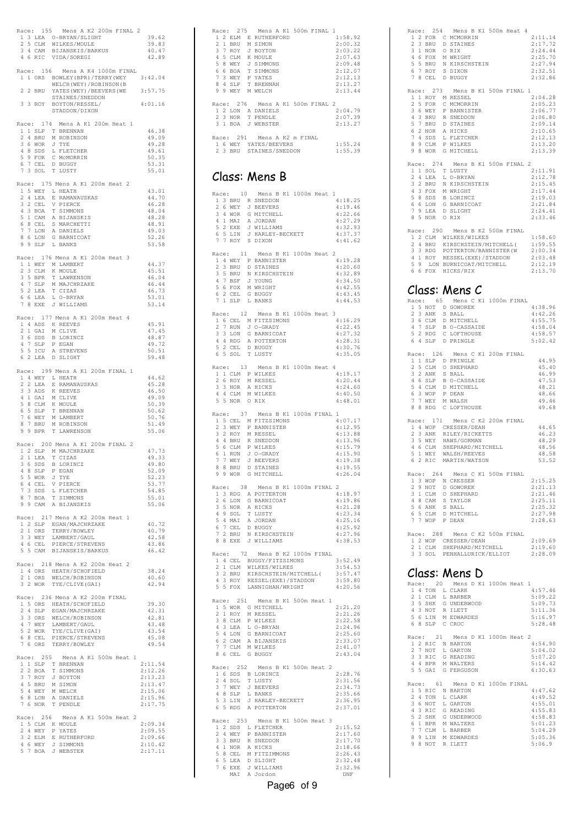| Race: 155 Mens A K2 200m FINAL 2                                                                                                                                                                                   |                    |
|--------------------------------------------------------------------------------------------------------------------------------------------------------------------------------------------------------------------|--------------------|
| 1 3 LEA O-BRYAN/SLIGHT<br>2 5 CLM WILKES/MOULE                                                                                                                                                                     | 39.62              |
| 3 4 CAM BIJANSKIS/BARKUS                                                                                                                                                                                           | 39.83<br>40.47     |
| 4 6 RIC VIDA/SOREGI                                                                                                                                                                                                | 42.89              |
| Race: 156 Mens A K4 1000m FINAL                                                                                                                                                                                    |                    |
| 1 1 ORS BOWLEY (BPR) / TERRY (WEY                                                                                                                                                                                  | 3:42.04            |
| WELCH (WEY) / ROBINSON (B<br>2 2 BRU YATES (WEY) / BEEVERS (WE 3:57.75                                                                                                                                             |                    |
| STAINES/SNEDDON                                                                                                                                                                                                    |                    |
| 3 3 ROY BOYTON/RESSEL/<br>STADDON/DIXON                                                                                                                                                                            | 4:01.16            |
|                                                                                                                                                                                                                    |                    |
| Race: 174 Mens A K1 200m Heat 1                                                                                                                                                                                    | 46.38              |
| $\begin{tabular}{ccccc} 1 & 1 & SLP & T & BRENNAN \\ 2 & 4 & BRU & M & ROBINSON \end{tabular}$                                                                                                                     | 49.09              |
| 3 6 WOR J TYE                                                                                                                                                                                                      | 49.28<br>49.61     |
| 4 8 SDS L FLETCHER                                                                                                                                                                                                 | 50.35              |
| 5 9 FOR C MCMORRIN<br>6 7 CEL D BUGGY<br>7 3 SOL T LUSTY                                                                                                                                                           | 53.31              |
|                                                                                                                                                                                                                    | 55.01              |
| Race: 175 Mens A K1 200m Heat 2                                                                                                                                                                                    |                    |
| $\begin{tabular}{ccccc} 1 & 5 & WEY & L & HEATH \\ 2 & 4 & LEA & E & RAMANAUSKAS \\ \end{tabular}$                                                                                                                 | 43.01<br>44.70     |
| 3 2 CEL V PIERCE                                                                                                                                                                                                   | 46.28              |
|                                                                                                                                                                                                                    | 48.04              |
|                                                                                                                                                                                                                    | 48.28<br>48.91     |
|                                                                                                                                                                                                                    | 49.03              |
| 3 2 CEL VIERNE<br>4 3 BOA T SIMMONS<br>5 1 CAM A BIJANSKIS<br>6 8 CEL S MARCHETT<br>7 TLON A DANIELS<br>8 6 LON G BARNICOAT<br>9 9 SLP L BANKS                                                                     | 52.26<br>53.58     |
|                                                                                                                                                                                                                    |                    |
| Race: 176 Mens A K1 200m Heat 3                                                                                                                                                                                    |                    |
| A THE METHOD MANUSERT 23 CLM K MOULE<br>23 CLM K MOULE<br>23 CLM K MOULE<br>47 SLP M MAJCHRZAKE<br>52 LEA T CIZAS<br>66 LEA L O-BRYAN                                                                              | 44.37<br>45.51     |
|                                                                                                                                                                                                                    | 46.04              |
|                                                                                                                                                                                                                    | 46.44<br>46.73     |
|                                                                                                                                                                                                                    | 53.01              |
| 7 8 EXE J WILLIAMS                                                                                                                                                                                                 | 53.14              |
| Race: 177 Mens A K1 200m Heat 4                                                                                                                                                                                    |                    |
| 14 ADS KREEVES<br>2 1 GAI M CLIVE<br>3 6 SDS B LORINCZ<br>4 7 SLP P EGAN<br>5 5 ICU A STREVENS                                                                                                                     | 45.91              |
|                                                                                                                                                                                                                    | 47.45<br>48.87     |
|                                                                                                                                                                                                                    | 49.72              |
|                                                                                                                                                                                                                    | 50.51              |
| 6 2 LEA D SLIGHT                                                                                                                                                                                                   | 59.48              |
| Race: 199 Mens A K1 200m FINAL 1                                                                                                                                                                                   |                    |
|                                                                                                                                                                                                                    | 44.62<br>45.28     |
|                                                                                                                                                                                                                    | 46.50              |
|                                                                                                                                                                                                                    | 49.09              |
|                                                                                                                                                                                                                    | 50.39<br>50.62     |
|                                                                                                                                                                                                                    | 50.76              |
| Race: 199 Mens A K1 200<br>14 MEY L HEATH<br>2 2 LEA E RAMANAUSKAS<br>4 1 GAI M CLIVE<br>6 5 SLP T BRENNAN<br>6 5 SLP T BRENNAN<br>7 BRU M LAMBERT<br>7 GKY M LAMBERT<br>9 7 BRU M ROBINSON<br>9 9 BPR T LAWRENSON | 51.49<br>55.06     |
|                                                                                                                                                                                                                    |                    |
| Race: 200 Mens A K1 200m FINAL 2<br>1 2 SLP M MAJCHRZAKE                                                                                                                                                           | 47.73              |
| 2 1 LEA T CIZAS                                                                                                                                                                                                    | 49.33              |
| 3 6 SDS<br>B LORINCZ                                                                                                                                                                                               | 49.80              |
|                                                                                                                                                                                                                    | 52.09<br>52.23     |
|                                                                                                                                                                                                                    | 53.77              |
|                                                                                                                                                                                                                    | 54.85<br>55.01     |
| 3 8 SDB B LORING<br>4 8 SLP P EGAN<br>5 5 WOR J TYE<br>6 4 CEL V PIERCE<br>7 SDS L FLETCHER<br>8 7 BOA T SIMMONS<br>9 9 CAM A BIJANSKIS                                                                            | 55.06              |
| Race: 217 Mens A K2 200m Heat 1                                                                                                                                                                                    |                    |
|                                                                                                                                                                                                                    | 40.72              |
|                                                                                                                                                                                                                    | 40.79              |
|                                                                                                                                                                                                                    | 42.58<br>43.86     |
| A CHE EGAN/MAJCHRZAKE<br>2 1 ORS TERRY/BOWLEY<br>3 3 WEY LAMBERT/GAUL<br>4 6 CEL PIERCE/STREVENS<br>5 5 CAM BIJANSKIS/BARKUS                                                                                       | 46.42              |
| Race: 218 Mens A K2 200m Heat 2                                                                                                                                                                                    |                    |
|                                                                                                                                                                                                                    | 38.24              |
| 1 4 ORS HEATH/SCHOFIELD<br>2 1 ORS WELCH/ROBINSON<br>3 2 WOR TYE/CLIVE(GAI)                                                                                                                                        | 40.60<br>42.94     |
|                                                                                                                                                                                                                    |                    |
| Race: 236 Mens A K2 200m FINAL<br>1 5 ORS HEATH/SCHOFIELD                                                                                                                                                          | 39.30              |
|                                                                                                                                                                                                                    | 42.31              |
|                                                                                                                                                                                                                    | 42.81              |
| 1 JONS BEAR/MAJCHELD<br>2 4 SLP EGAN/MAJCHEZAKE<br>3 3 ORS WELCH/ROBINSON<br>5 2 WOR TYE/CLIVE (GAI)<br>5 2 WOR TYE/CLIVE (GAI)<br>6 8 CEL PIERCE/STREVENS<br>7 6 ORS TERRY/BOWLEY                                 | 43.48<br>43.54     |
|                                                                                                                                                                                                                    | 45.08              |
|                                                                                                                                                                                                                    | 49.54              |
| Mens A K1 500m Heat 1<br>Race: 255                                                                                                                                                                                 |                    |
|                                                                                                                                                                                                                    | 2:11.54<br>2:12.26 |
|                                                                                                                                                                                                                    | 2:13.23            |
|                                                                                                                                                                                                                    | 2:13.47            |
| EXECT: ADD Mens A<br>1 ISLP T BRENNAN<br>2 2 BOA T SIMMONS<br>3 7 ROY J BOYTON<br>4 5 BRU M SIMON<br>5 4 WEY M WELCH<br>6 8 LON A DANIELS<br>7 6 NOR T PENDITE                                                     | 2:15.06<br>2:15.96 |
| 7 6 NOR T PENDLE                                                                                                                                                                                                   | 2:17.75            |
| Race: 256 Mens A K1 500m Heat 2                                                                                                                                                                                    |                    |
|                                                                                                                                                                                                                    | 2:09.34            |
|                                                                                                                                                                                                                    | 2:09.55            |
| 15 CLM K MOULE<br>24 WEY P YATES<br>32 ELM E RUTHERFORD<br>46 WEY J SIMMONS<br>57 BOA J WEBSTER                                                                                                                    | 2:09.66<br>2:10.42 |
|                                                                                                                                                                                                                    | 2:17.11            |
|                                                                                                                                                                                                                    |                    |

|       |             |            | Race: 275 Mens A K1 500m FINAL 1 |         |
|-------|-------------|------------|----------------------------------|---------|
|       |             | 1 2 F.I.M  | E RUTHERFORD                     | 1:58.92 |
|       | $2 \quad 1$ | <b>BRU</b> | M STMON                          | 2:00.32 |
|       | 3 7         | <b>ROY</b> | J BOYTON                         | 2:03.22 |
| 4     | 5.          | CT.M       | K MOULE                          | 2:07.63 |
| 5.    | -8          | WE.Y       | J SIMMONS                        | 2:09.48 |
| 6     | 6           | <b>BOA</b> | T SIMMONS                        | 2:12.07 |
|       |             | 7 3 WEY    | P YATES                          | 2:12.13 |
| 8.    |             | 4 SLP      | T BRENNAN                        | 2:13.27 |
|       |             |            | 9 9 WEY M WELCH                  | 2:13.44 |
|       |             |            |                                  |         |
|       |             |            | Race: 276 Mens A K1 500m FINAL 2 |         |
|       |             | 1 2 LON    | A DANIELS                        | 2:04.79 |
|       |             | 2 3 NOR    | T PENDLE                         | 2:07.39 |
|       |             |            | 3 1 BOA J WEBSTER<br>2:13.27     |         |
|       |             |            |                                  |         |
| Race: |             |            | 291 – Mens A K2 m FINAL          |         |
|       | 16          |            | WEY YATES/BEEVERS                | 1:55.24 |
|       | 2.3         | <b>BRU</b> | STAINES/SNEDDON                  | 1:55.39 |

### Class: Mens B

| 1 3 BRU R SNEDDON<br>2 6 WEY<br>3 4 WOR G MITCHELL                                                                                                                     | Race: 10 Mens B K1 1000m Heat 1<br>4:18.25<br>J BEEVERS<br>4:19.46<br>4:22.66<br>4 1 MAI A JORDAN<br>5 2 EXE J WILLIAMS<br>6 5 LIN J HARLEY-BECKETT<br>7 7 ROY S DIXON<br>4:27.29<br>4:32.93<br>4:37.37<br>4:41.62                     |
|------------------------------------------------------------------------------------------------------------------------------------------------------------------------|----------------------------------------------------------------------------------------------------------------------------------------------------------------------------------------------------------------------------------------|
| 11<br>Race:<br>1 4 WEY P BANNISTER<br>2 3 BRU D STAINES<br>3 5 BRU<br>4 7 BSF J YOUNG<br>5 6 FOX M WRIGHT<br>6 2 CEL<br>7 1 SLP                                        | Mens B K1 1000m Heat 2<br>4:19.28<br>4:20.60<br>4:32.89<br>N KIRSCHSTEIN<br>4:34.50<br>4:42.55<br>G BUGGY<br>4:43.45<br>L BANKS<br>4:44.53                                                                                             |
| 2 7 RUN J O-GRADY<br>3 3 LON G BARNICOAT<br>4 4 RDG A POTTERTON<br>5 2 CEL<br>6 5 SOL                                                                                  | Race: 12 Mens B K1 1000m Heat 3<br>1 6 CEL M FITZSIMONS<br>4:16.29<br>4:22.45<br>4:27.32<br>4:28.31<br>4:30.76<br>D BUGGY<br>T LUSTY<br>4:35.05                                                                                        |
| Race: 13<br>$1\,$ $1\,$ CLM $\,$ P WILKES<br>2 6 ROY M RESSEL<br>3 3 NOR A HICKS<br>4 4 CLM<br>5 5 NOR                                                                 | Mens B K1 1000m Heat 4<br>4:19.17<br>4:20.44<br>4:24.60<br>M WILKES<br>4:40.50<br>O RIX<br>4:48.01                                                                                                                                     |
| Race: 37<br>2 3 WEY P BANNISTER<br>3 2 ROY M RESSEL<br>4 4 BRU R SNEDDON<br>5 6 CLM P WILKES<br>6 1 RUN<br>7 7 WEY J BEEVERS<br>8 8 BRU D STAINES<br>9 9 WOR G MITCHEL | Mens B K1 1000m FINAL<br>$\mathbf{1}$<br>1 5 CEL M FITZSIMONS<br>4:07.17<br>4:12.95<br>4:13.88<br>4:13.96<br>4:15.79<br>J O-GRADY<br>4:15.90<br>4:19.38<br>4:19.55<br>4:26.04<br>G MITCHELL                                            |
| 1 3 RDG A POTTERTON<br>2 6 LON<br>3 5 NOR<br>8 EXE J WILLIAMS<br>8                                                                                                     | Race: 38 Mens B K1 1000m FINAL 2<br>4:18.97<br>G BARNICOAT<br>4:19.86<br>A HICKS<br>4:21.28<br>49 SOL T LUSTY<br>54 MAI A JORDAN<br>67 CEL D BUGGY<br>72 BRU N KIRSCHSTEIN<br>4:23.34<br>4:25.16<br>4:25.92<br>4:27.96<br>4:38.53      |
|                                                                                                                                                                        | Race: 72 Mens B K2 1000m FINAL<br>1 4 CEL BUGGY/FITZSIMONS<br>3:52.49<br>2 1 CLM WILKES/WILKES<br>3 2 BRU KIRSCHSTEIN/MITCHELL(<br>4 3 ROY RESSEL(EXE)/STADDON<br>5 5 FOX LANNIGHAN/WRIGHT<br>3:54.53<br>3:57.47<br>3:59.80<br>4:20.56 |
| Race: 251<br>1 5 WOR G MITCHELL<br>2 1 ROY M RESSEL<br>3 8 CLM P WILKES<br>4 3 LEA<br>5<br>4 LON<br>6<br>2 CAM<br>7 CLM<br>7<br>8<br>6 CEL                             | Mens B K1 500m Heat 1<br>2:21.20<br>2:21.26<br>2:22.58<br>L O-BRYAN<br>2:24.96<br>G BARNICOAT<br>2:25.60<br>A BIJANSKIS<br>2:33.07<br>M WILKES<br>2:41.07<br>G BUGGY<br>2:43.04                                                        |
| Race: 252<br>1 6 SDS B LORINCZ                                                                                                                                         |                                                                                                                                                                                                                                        |
| J 7 WEY J BEEVERS<br>4 8 SLP L RANTY<br>5 ? .<br>5 3 LIN<br>5 RDG<br>6                                                                                                 | Mens B K1 500m Heat 2<br>2:28.76<br>2:31.56<br>2:34.73<br>2:35.66<br>2:36.95<br>J HARLEY-BECKETT<br>A POTTERTON<br>2:37.01                                                                                                             |

|                                                                                                                                                                                                                                | Race: 254 Mens B K1 500m Heat 4 |
|--------------------------------------------------------------------------------------------------------------------------------------------------------------------------------------------------------------------------------|---------------------------------|
| 1 2 FOR C MCMORRIN<br>2 3 BRU D STAINES                                                                                                                                                                                        | 2:11.14<br>2:17.72              |
| 3 1 NOR 0 RIX                                                                                                                                                                                                                  | 2:24.44                         |
|                                                                                                                                                                                                                                | 2:25.70<br>2:27.94              |
| 4 6 FOX M WRIGHT<br>5 5 BRU N KIRSCHSTEIN<br>6 7 ROY S DIXON<br>7 8 CEL D BUGGY                                                                                                                                                | 2:32.51                         |
|                                                                                                                                                                                                                                | 2:32.86                         |
| Race: 273 Mens B K1 500m FINAL 1                                                                                                                                                                                               |                                 |
| 1 1 ROY M RESSEL<br>2 5 FOR<br>C MCMORRIN                                                                                                                                                                                      | 2:04.28<br>2:05.23              |
| 3 6 WEY<br>P BANNISTER                                                                                                                                                                                                         | 2:06.77<br>2:06.80              |
|                                                                                                                                                                                                                                | 2:09.14                         |
|                                                                                                                                                                                                                                | 2:10.65<br>2:12.13              |
| 3 6 WEY P BANNISTE.<br>4 3 BRU R SNEDDON<br>5 7 BRU D STAINES<br>6 2 NOR A HICKS<br>7 4 SDS L FLETCHER<br>8 9 CLM P WILKES<br>9 8 WOR G MITCHELL                                                                               | 2:13.20                         |
|                                                                                                                                                                                                                                | 2:13.39                         |
| Race: 274<br>Mens B K1 500m FINAL 2                                                                                                                                                                                            | 2:11.91                         |
| $\begin{tabular}{ccccc} 1 & 1 & SOL & T & LUSTY \\ 2 & 4 & LEA & L & O-BRYAN \end{tabular}$                                                                                                                                    | 2:12.78                         |
|                                                                                                                                                                                                                                | 2:15.45<br>2:17.44              |
| 3 2 BRU N KIRSCHSTEIN<br>4 3 FOX M WRIGHT<br>5 8 SDS B LORINCZ<br>6 6 JON C BABNICOLT                                                                                                                                          | 2:19.03                         |
| 6 6 LON G BARNICOAT<br>D SLIGHT                                                                                                                                                                                                | 2:21.84<br>2:24.41              |
| 7 9 LEA D SLI<br>8 5 NOR 0 RIX                                                                                                                                                                                                 | 2:33.46                         |
| Race: 290 Mens B K2 500m FINAL                                                                                                                                                                                                 |                                 |
| (ACC: ZEV FRUID THE MESS MILKES AND MILKES AND MILKES AND MICHAEL CONTRACT CONTRACT AND MANY CONTRACT ON A RESERVED ON A SAMPLE CONTRACT AND MANY CONTRACT AND MANY CONTRACT AND MANY CONTRACT AND MANY CONTRACT AND MANY CONT | 1:58.60<br>1:59.55              |
|                                                                                                                                                                                                                                | 2:00.34<br>2:03.48              |
| 5 9 LON BURNICOAT/MITCHELL                                                                                                                                                                                                     | 2:12.19                         |
| 6 6 FOX HICKS/RIX                                                                                                                                                                                                              | 2:13.70                         |
| Class: Mens C                                                                                                                                                                                                                  |                                 |
| Race: 65 Mens C K1 1000m FINAL                                                                                                                                                                                                 |                                 |
|                                                                                                                                                                                                                                | 4:38.96                         |
|                                                                                                                                                                                                                                | 4:42.26<br>4:55.75              |
| 15 NOT D GOWOREK<br>2 3 ANK S BALL<br>3 6 CLM D MITCHELL<br>4 7 SLP B O-CASSAIDE<br>5 2 RDG C LOFTHOUSE                                                                                                                        | 4:58.04                         |
| 6 4 SLP D PRINGLE                                                                                                                                                                                                              | 4:58.57<br>5:02.42              |
| Race: 126 Mens C K1 200m FINAL                                                                                                                                                                                                 |                                 |
| 1 1 SLP D PRINGLE<br>2 5 CLM O SHEPHARI                                                                                                                                                                                        | 44.95                           |
| O SHEPHARD<br>3 2 ANK S BALL                                                                                                                                                                                                   | 45.40<br>46.99                  |
| 4 6 SLP<br>B O-CASSAIDE                                                                                                                                                                                                        | 47.53                           |
|                                                                                                                                                                                                                                | 48.21<br>48.66                  |
| 5 4 CLM D MITCHELL<br>6 3 WOP P DEAN<br>7 7 WEY M WALSH<br>8 8 RDG C LOFTHOUSE                                                                                                                                                 | 49.46<br>49.68                  |
|                                                                                                                                                                                                                                |                                 |
| Race: 171 Mens C K2 200m FINAL<br>1 4 WOP CRESSER/DEAN                                                                                                                                                                         | 44.65                           |
| 2 3 ANK<br>RILEY/RICKETTS                                                                                                                                                                                                      | 46.23                           |
|                                                                                                                                                                                                                                |                                 |
| 3 5 WEY<br>HAWS/GORMAN                                                                                                                                                                                                         | 48.29<br>48.56                  |
|                                                                                                                                                                                                                                | 48.58                           |
| 3 5 WEY HAWS/GORMAN<br>4 6 CLM SHEPHARD/MITCHELL<br>5 1 WEY WALSH/REEVES<br>6 2 RIC MARTIN/WATSON                                                                                                                              | 53.52                           |
| Race: 264<br>Mens C K1 500m FINAL                                                                                                                                                                                              | 2:15.25                         |
| 1 3 WOP N CRESSER<br>2 9 NOT<br>D GOWOREK                                                                                                                                                                                      | 2:21.13                         |
| $\begin{tabular}{llll} 3 & 1 & \texttt{CLM} & \texttt{O} & \texttt{SHEPHARD} \\ 4 & 8 & \texttt{CAM} & \texttt{S TAYLOR} \end{tabular}$                                                                                        | 2:21.46<br>2:25.11              |
|                                                                                                                                                                                                                                | 2:25.32                         |
| 5 6 ANK S BALL<br>6 5 CLM D MITCHELL<br>7 7 WOP P DEAN                                                                                                                                                                         | 2:27.98<br>2:28.63              |
| 288 Mens C K2 500m FINAL<br>Race:                                                                                                                                                                                              |                                 |
|                                                                                                                                                                                                                                | 2:09.69                         |
| 1 2 WOP CRESSER/DEAN<br>2 1 CLM SHEPHARD/MITCHELL<br>3 3 SOL PENHALLURICK/ELLIOT                                                                                                                                               | 2:19.60<br>2:28.09              |
|                                                                                                                                                                                                                                |                                 |
| Class: Mens D                                                                                                                                                                                                                  |                                 |
| Race: 20<br>Mens D K1 1000m Heat 1<br>1 4 TON<br>L CLARK                                                                                                                                                                       | 4:57.46                         |
| 2<br>1 CLM<br>L BARBER                                                                                                                                                                                                         | 5:09.22                         |
| 3 5 SHK<br>G UNDERWOOD<br>4 3 NOT<br>R ILETT                                                                                                                                                                                   | 5:09.73<br>5:11.36              |
| 5 6 LIN M EDWARDES<br>6 8 SLP C CROC                                                                                                                                                                                           | 5:16.97<br>5:28.48              |
|                                                                                                                                                                                                                                |                                 |
| Race: 21 Mens D K1 1000m Heat 2<br>1 2 RIC N BARTON                                                                                                                                                                            | 4:54.90                         |
| $\mathbf{2}$<br>7 NOT<br>L GARTON<br>3 3 RIC<br>G READING                                                                                                                                                                      | 5:04.02<br>5:07.20              |
| 4 4 BPR<br>M WALTERS                                                                                                                                                                                                           | 5:14.42                         |
| G FERGUSON<br>5 5 GAI                                                                                                                                                                                                          | 6:30.63                         |
| Race: 61<br>Mens D K1 1000m FINAL<br>1 5 RIC N BARTON                                                                                                                                                                          | 4:47.62                         |
| 2<br>4 TON<br>L CLARK                                                                                                                                                                                                          | 4:49.52                         |
| 3 6 NOT<br>L GARTON<br>4 3 RIC<br>G READING                                                                                                                                                                                    | 4:55.01<br>4:55.83              |
| G UNDERWOOD                                                                                                                                                                                                                    | 4:58.83                         |
| 5 2 SHK G UNDERWO<br>6 1 BPR M WALTERS<br>$7\phantom{.0}$<br>7 CLM<br>L BARBER<br>8 9 LIN M EDWARDES                                                                                                                           | 5:01.23<br>5:04.29<br>5:05.36   |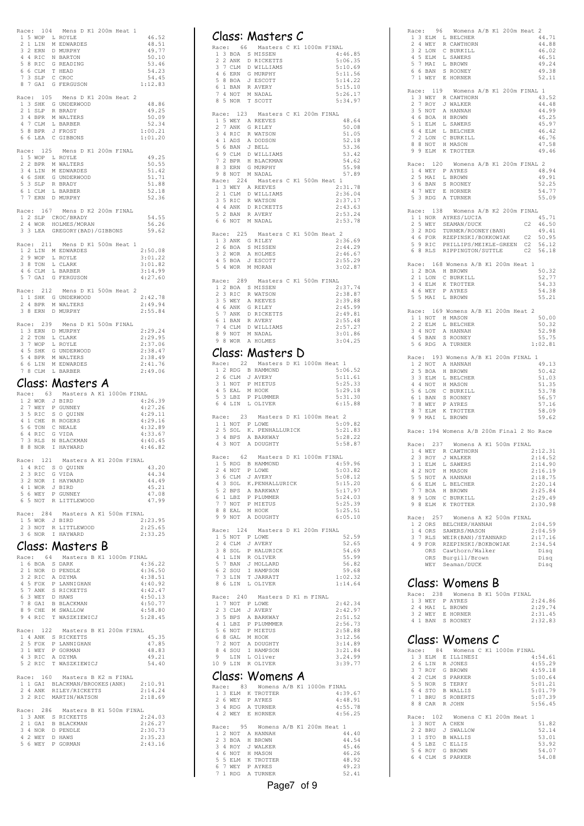|   |   |                                    | Race: 104 Mens D K1 200m Heat 1                                                                                                                                                                                                |                    |
|---|---|------------------------------------|--------------------------------------------------------------------------------------------------------------------------------------------------------------------------------------------------------------------------------|--------------------|
|   |   |                                    |                                                                                                                                                                                                                                | 46.52              |
|   |   |                                    |                                                                                                                                                                                                                                | 48.51              |
|   |   |                                    | A SUMPLE TO THE MANUSCHER STREET THE SUMPLE STREET OF SAMPLE STREET SUPPLY STREET STREET SUPPLY A SUPPLY OF STREET OF SAMPLE STREET ON A SUPPLY OF THE SUPPLY OF THE SUPPLY OF THE SUPPLY OF THE SUPPLY OF THE SUPPLY OF THE S | 49.77              |
|   |   |                                    |                                                                                                                                                                                                                                | 50.10              |
|   |   |                                    |                                                                                                                                                                                                                                | 53.46              |
|   |   |                                    |                                                                                                                                                                                                                                | 54.23<br>54.45     |
|   |   |                                    | 8 7 GAI G FERGUSON                                                                                                                                                                                                             | 1:12.83            |
|   |   |                                    |                                                                                                                                                                                                                                |                    |
|   |   | Race: 105                          | Mens D K1 200m Heat 2                                                                                                                                                                                                          |                    |
|   |   |                                    | 13 SHK G UNDERWOOD<br>2 1 SLP R BRADY<br>3 4 BPR M WALTERS<br>4 7 CLM L BARBER<br>5 8 BPR J FROST                                                                                                                              | 48.86              |
|   |   |                                    |                                                                                                                                                                                                                                | 49.25              |
|   |   |                                    |                                                                                                                                                                                                                                | 50.09              |
|   |   |                                    |                                                                                                                                                                                                                                | 52.34              |
|   |   |                                    |                                                                                                                                                                                                                                | 1:00.21            |
|   |   |                                    | 6 6 LEA C GIBBONS                                                                                                                                                                                                              | 1:01.20            |
|   |   |                                    |                                                                                                                                                                                                                                |                    |
|   |   |                                    | Race: 125 Mens D K1 200m FINAL<br>1 5 WOP L ROYLE                                                                                                                                                                              | 49.25              |
|   |   | 2 2 BPR                            | M WALTERS                                                                                                                                                                                                                      | 50.55              |
|   |   |                                    |                                                                                                                                                                                                                                |                    |
|   |   | 4 6 SHK                            | 3 4 LIN M EDWARDES<br>G UNDERWOOD                                                                                                                                                                                              | 51.42<br>51.71     |
|   |   |                                    |                                                                                                                                                                                                                                | 51.88              |
|   |   |                                    |                                                                                                                                                                                                                                | 52.18              |
|   |   |                                    | 5 3 SLP R BRADY<br>6 1 CLM L BARBER<br>7 7 ERN D MURPHY                                                                                                                                                                        | 52.36              |
|   |   |                                    |                                                                                                                                                                                                                                |                    |
|   |   |                                    | Race: 167 Mens D K2 200m FINAL                                                                                                                                                                                                 |                    |
|   |   |                                    | 1 2 SLP CROC/BRADY                                                                                                                                                                                                             | 54.55              |
|   |   | 2 4 WOR                            | HOLMES/MORAN                                                                                                                                                                                                                   | 56.26              |
|   |   | 3 3 LEA                            | GREGORY (BAD) / GIBBONS                                                                                                                                                                                                        | 59.62              |
|   |   |                                    | Race: 211 Mens D K1 500m Heat 1                                                                                                                                                                                                |                    |
|   |   |                                    | 1 2 LIN M EDWARDES                                                                                                                                                                                                             | 2:50.08            |
|   |   |                                    |                                                                                                                                                                                                                                | 3:01.22            |
|   |   |                                    | $\begin{tabular}{ccccc} 2 & 9 & \text{WOP} & L & \text{ROYLE} \\ 3 & 8 & \text{TON} & L & \text{CLARK} \\ 4 & 6 & \text{CLM} & L & \text{BARBER} \end{tabular}$                                                                | 3:01.82            |
|   |   |                                    |                                                                                                                                                                                                                                | 3:14.99            |
|   |   | 5 7 GAI                            | G FERGUSON                                                                                                                                                                                                                     | 4:27.60            |
|   |   |                                    |                                                                                                                                                                                                                                |                    |
|   |   |                                    | Race: 212 Mens D K1 500m Heat 2                                                                                                                                                                                                |                    |
|   |   |                                    | 1 1 SHK G UNDERWOOD<br>2 4 BPR M WALTERS<br>3 8 ERN D MURPHY                                                                                                                                                                   | 2:42.78            |
|   |   |                                    |                                                                                                                                                                                                                                | 2:49.94            |
|   |   |                                    |                                                                                                                                                                                                                                | 2:55.84            |
|   |   |                                    |                                                                                                                                                                                                                                |                    |
|   |   |                                    | Race: 239 Mens D K1 500m FINAL                                                                                                                                                                                                 | 2:29.24            |
|   |   | 2 2 TON                            | 1 3 ERN D MURPHY<br>L CLARK                                                                                                                                                                                                    | 2:29.95            |
|   |   |                                    |                                                                                                                                                                                                                                | 2:37.06            |
|   |   |                                    |                                                                                                                                                                                                                                | 2:38.47            |
|   |   |                                    |                                                                                                                                                                                                                                | 2:38.49            |
|   |   |                                    |                                                                                                                                                                                                                                | 2:41.76            |
|   |   |                                    | 2 7 WOP L CATAR<br>4 5 SHK G UNDERWOOD<br>5 4 BPR M WALTERS<br>6 6 LIN M EDWARDES<br>7 8 CLM L BARBER                                                                                                                          | 2:49.06            |
|   |   |                                    |                                                                                                                                                                                                                                |                    |
|   |   |                                    | Class: Masters A                                                                                                                                                                                                               |                    |
|   |   |                                    |                                                                                                                                                                                                                                |                    |
|   |   |                                    |                                                                                                                                                                                                                                |                    |
|   |   |                                    | Race: 63 Masters A K1 1000m FINAL                                                                                                                                                                                              |                    |
|   |   | 2 7 WEY                            | 1 2 WOR J BIRD<br>P GUNNEY                                                                                                                                                                                                     | 4:26.39<br>4:27.26 |
|   |   |                                    |                                                                                                                                                                                                                                | 4:29.11            |
|   |   |                                    |                                                                                                                                                                                                                                | 4:29.16            |
|   |   |                                    |                                                                                                                                                                                                                                | 4:32.89            |
|   |   |                                    |                                                                                                                                                                                                                                | 4:33.67            |
|   |   |                                    |                                                                                                                                                                                                                                | 4:40.45            |
|   |   |                                    | 2 / WEI PUNNEL<br>3 5 RIC SOQUINN<br>4 1 CHE R ROGERS<br>5 6 TON C WEALE<br>7 3 RLS N BLACKMAN<br>8 8 NOR I HAYWARD                                                                                                            | 4:46.82            |
|   |   |                                    |                                                                                                                                                                                                                                |                    |
|   |   | Race: 121                          | Masters A K1 200m FINAL                                                                                                                                                                                                        |                    |
| 1 | 4 | $\mathbb{R} \mathbb{I} \mathbb{C}$ | S O QUINN                                                                                                                                                                                                                      | 43.20              |
|   |   |                                    |                                                                                                                                                                                                                                | 44.34              |
|   |   |                                    |                                                                                                                                                                                                                                | 44.49<br>45.21     |
|   |   |                                    |                                                                                                                                                                                                                                |                    |
|   |   |                                    |                                                                                                                                                                                                                                | 47.08<br>47.99     |
|   |   |                                    | 1 4 MIL S O VOUNN<br>2 3 RIC G VIDA<br>3 2 NOR I HAYWARD<br>4 1 WOR J BIRD<br>5 6 WEY P GUNNEY<br>6 5 NOT R LITTLEWOOD                                                                                                         |                    |
|   |   | Race: 284                          | Masters A K1 500m FINAL                                                                                                                                                                                                        |                    |
|   |   |                                    |                                                                                                                                                                                                                                | 2:23.95            |
|   |   |                                    |                                                                                                                                                                                                                                | 2:25.65            |
|   |   |                                    | 15 WOR J BIRD<br>23 NOT R LITTLEWOOD<br>36 NOR I HAYWARD                                                                                                                                                                       | 2:33.25            |
|   |   |                                    |                                                                                                                                                                                                                                |                    |
|   |   |                                    | Class: Masters B                                                                                                                                                                                                               |                    |
|   |   |                                    | Race: 64 Masters B K1 1000m FINAL                                                                                                                                                                                              |                    |
|   |   |                                    |                                                                                                                                                                                                                                | 4:36.22            |
|   |   |                                    |                                                                                                                                                                                                                                | 4:36.50            |
|   |   |                                    | 16 BOA S DARK<br>2 1 NOR D PENDLE<br>3 2 RIC A DZYMA<br>4 5 FOY D LAMMIC                                                                                                                                                       | 4:38.51            |
|   |   |                                    |                                                                                                                                                                                                                                | 4:40.92            |
|   |   |                                    |                                                                                                                                                                                                                                | 4:42.47            |
|   |   |                                    |                                                                                                                                                                                                                                | 4:50.13            |
|   |   |                                    |                                                                                                                                                                                                                                | 4:50.77<br>4:58.80 |
|   |   |                                    |                                                                                                                                                                                                                                | 5:28.45            |
|   |   |                                    | 9 2 AND THE MANUGHAN<br>14 5 FOX P LANNIGHAN<br>5 7 ANK S RICKETTS<br>6 3 WEY D HANS<br>8 9 CHE M SWALLOW<br>9 4 RIC T WASZKIEWICJ                                                                                             |                    |
|   |   |                                    | Race: 122 Masters B K1 200m FINAL                                                                                                                                                                                              |                    |
|   |   |                                    | 1 4 ANK S RICKETTS                                                                                                                                                                                                             | 45.35              |
|   |   |                                    |                                                                                                                                                                                                                                | 47.85              |
|   |   |                                    |                                                                                                                                                                                                                                | 48.83              |
|   |   |                                    |                                                                                                                                                                                                                                | 49.21              |
|   |   |                                    | 2 5 FOX P LANNIGHAN<br>3 1 WEY P GORMAN<br>4 3 RIC A DZYMA<br>5 2 RIC T WASZKIEWICJ                                                                                                                                            | 54.40              |
|   |   |                                    |                                                                                                                                                                                                                                |                    |
|   |   |                                    | Race: 160 Masters B K2 m FINAL                                                                                                                                                                                                 | 2:10.91            |
|   |   |                                    | 1 1 GAI BLACKMAN/BROOKES (ANK)<br>2 4 ANK RILEY/RICKETTS                                                                                                                                                                       | 2:14.24            |
|   |   |                                    | 3 2 RIC MARTIN/WATSON                                                                                                                                                                                                          | 2:18.69            |
|   |   |                                    |                                                                                                                                                                                                                                |                    |
|   |   |                                    | Race: 286 Masters B K1 500m FINAL                                                                                                                                                                                              |                    |
|   |   |                                    |                                                                                                                                                                                                                                | 2:24.03            |
|   |   |                                    |                                                                                                                                                                                                                                | 2:26.27            |
|   |   |                                    |                                                                                                                                                                                                                                | 2:30.73            |
|   |   |                                    |                                                                                                                                                                                                                                | 2:35.23            |
|   |   |                                    | AN SAICKETTS<br>2 1 GAI B BLACKMAN<br>3 4 NOR D PENDLE<br>4 2 WEY D HAWS<br>5 6 WEY P GORMAN                                                                                                                                   | 2:43.16            |

| Class: Masters C                                                                                                                                                                    |                        |                                                     |
|-------------------------------------------------------------------------------------------------------------------------------------------------------------------------------------|------------------------|-----------------------------------------------------|
| Race: 66<br>3 BOA<br>1                                                                                                                                                              | S MISSEN               | Masters C K1 1000m FINAL<br>4:46.85                 |
| 2<br>2<br>ANK                                                                                                                                                                       | D RICKETTS             | 5:06.35                                             |
| 3 7 CLM<br>4 6 ERN                                                                                                                                                                  | D WILLIAMS<br>G MURPHY | 5:10.69<br>5:11.56                                  |
| 5 8 BOA                                                                                                                                                                             | J ESCOTT               | 5:14.22                                             |
| 6<br>1 BAN<br>7<br>4 NOT                                                                                                                                                            | R AVERY<br>M NADAL     | 5:15.10<br>5:26.17                                  |
| 8<br>5 NOR                                                                                                                                                                          | T SCOTT                | 5:34.97                                             |
| Race: 123<br>1 5 WEY A REEVES                                                                                                                                                       |                        | Masters C K1 200m FINAL<br>48.64                    |
| 2<br>7 ANK                                                                                                                                                                          | G RILEY                | 50.08                                               |
| 3 4 RIC<br>4 1 ADS                                                                                                                                                                  | R WATSON<br>A DODSON   | 51.05<br>52.18                                      |
| 5<br>6 BAN<br>9 CLM D WILLIAMS<br>6                                                                                                                                                 | J BELL                 | 53.36<br>53.42                                      |
| 7<br>2<br>BPR                                                                                                                                                                       | H BLACKMAN             | 54.62                                               |
| 8<br>$2 \times 3$ ERN G Pro-<br>$2 \times 100T$ M NADAL<br>9 8 NOT                                                                                                                  | G MURPHY               | 55.98<br>57.89                                      |
| Race: 224                                                                                                                                                                           |                        | Masters C K1 500m Heat<br>-1                        |
| 1 3 WEY A REEVES<br>2 1 CLM                                                                                                                                                         | D WILLIAMS             | 2:31.78<br>2:36.04                                  |
| 3 5 RIC<br>4 4 ANK                                                                                                                                                                  | R WATSON<br>D RICKETTS | 2:37.17<br>2:43.63                                  |
| 5 2 BAN<br>6 6 NOT                                                                                                                                                                  | R AVERY                | 2:53.24                                             |
|                                                                                                                                                                                     | M NADAL                | 2:53.78                                             |
| Race: 225<br>1 3 ANK G RILEY                                                                                                                                                        |                        | Masters C K1 500m Heat<br>$\overline{2}$<br>2:36.69 |
| 2 6 BOA<br>3 2 WOR                                                                                                                                                                  | S MISSEN<br>A HOLMES   | 2:44.29<br>2:46.67                                  |
| 4 5 BOA                                                                                                                                                                             | J ESCOTT               | 2:55.29                                             |
| 5<br>4 WOR                                                                                                                                                                          | M MORAN                | 3:02.87                                             |
| Race: 289<br>1 2 BOA S MISSEN                                                                                                                                                       |                        | Masters C K1 500m FINAL<br>2:37.74                  |
| 2 3 RIC                                                                                                                                                                             | R WATSON               | 2:38.87                                             |
| 3 5 WEY<br>4 6<br>ANK                                                                                                                                                               | A REEVES<br>G RILEY    | 2:39.88<br>2:45.99                                  |
| 5<br>7 ANK<br>6 1 BAN                                                                                                                                                               | D RICKETTS<br>R AVERY  | 2:49.81<br>2:55.48                                  |
| 7 4 CLM                                                                                                                                                                             | D WILLIAMS             | 2:57.27                                             |
| 9<br>8<br>NOT<br>9 8 WOR A HOLMES                                                                                                                                                   | M NADAL                | 3:01.86<br>3:04.25                                  |
| Class: Masters D                                                                                                                                                                    |                        |                                                     |
| Race: 22                                                                                                                                                                            |                        | Masters D K1 1000m Heat<br>1                        |
| 1 2 RDG B HAMMOND<br>2 6 CLM                                                                                                                                                        | J AVERY                | 5:06.52<br>5:11.61                                  |
| 3<br>$\mathbf{1}$<br>NOT<br>$\overline{4}$<br>5 EAL                                                                                                                                 | P MIETUS<br>M HOOK     | 5:25.33<br>5:29.18                                  |
| 5<br>3 LBZ                                                                                                                                                                          | P PLUMMER              | 5:31.30                                             |
|                                                                                                                                                                                     |                        |                                                     |
| 4 LIN<br>6                                                                                                                                                                          | L OLIVER               | 6:15.88                                             |
| Race: 23<br>1 1 NOT P LOWE                                                                                                                                                          |                        | Masters D K1 1000m Heat 2<br>5:09.82                |
| 2 5 SOL<br>3<br>4 BPS                                                                                                                                                               | K. PENHALLURICK        | 5:21.83                                             |
| 4 3 NOT                                                                                                                                                                             | A BARKWAY<br>A DOUGHTY | 5:28.22<br>5:58.87                                  |
| Race: 62                                                                                                                                                                            |                        | Masters D K1 1000m FINAL                            |
| 1 5 RDG B HAMMOND<br>2 4 NOT                                                                                                                                                        | P LOWE                 | 4:59.96<br>5:03.82                                  |
| 3 6 CLM J AVERY                                                                                                                                                                     |                        | 5:08.12<br>5:15.20                                  |
|                                                                                                                                                                                     |                        | 5:17.97                                             |
|                                                                                                                                                                                     |                        | 5:24.03<br>5:25.39                                  |
|                                                                                                                                                                                     |                        | 5:25.51<br>6:05.10                                  |
| 3 6 CLM J AVERY<br>4 3 SOL K.PENHALLURICK<br>5 2 BPS A BARKWAY<br>6 1 LBZ P PLUMMER<br>7 7 NOT P MIETUS<br>8 8 EAL M HOOK<br>9 9 NOT A DOUGHTY<br>Race: 124 Masters D K1 200m FINAL |                        |                                                     |
| 1 5 NOT P LOWE<br>2 4 CLM                                                                                                                                                           | J AVERY                | 52.59<br>52.65                                      |
| 3 8 SOL                                                                                                                                                                             | P HALURICK             | 54.69                                               |
|                                                                                                                                                                                     |                        | 55.99<br>56.82                                      |
|                                                                                                                                                                                     |                        | 59.68<br>1:02.32                                    |
| 3 0 5 0 1 HINR OLIVER<br>5 7 BAN J MOLLARD<br>6 2 SOU I HAMPSON<br>7 3 LIN T JARRATT<br>8 6 LIN L OLIVER                                                                            |                        | 1:14.64                                             |
| Race: 240                                                                                                                                                                           | Masters D K1 m FINAL   |                                                     |
| 1 7 NOT P LOWE<br>2 3 CLM J AVERY                                                                                                                                                   |                        | 2:42.34<br>2:42.97                                  |
|                                                                                                                                                                                     |                        | 2:51.52<br>2:56.73                                  |
|                                                                                                                                                                                     |                        | 2:58.88                                             |
|                                                                                                                                                                                     |                        | 3:12.56<br>3:14.89                                  |
|                                                                                                                                                                                     |                        | 3:21.84<br>3.24.99                                  |
| 2 3 S DEM 0 AVENT<br>4 1 LB2 P PLUMMMER<br>5 6 NOT P MIETUS<br>6 8 GAL M HOOK<br>7 2 NOT P MOOGHTY<br>7 4 SOU I HAMPSON<br>9 LIN L Oliver<br>10 9 LIN R OLIVER                      |                        | 3:39.77                                             |
| Class: Womens A                                                                                                                                                                     |                        |                                                     |
| Race: 83<br>1 3 ELM K TROTTER                                                                                                                                                       |                        | Womens A/B K1 1000m FINAL<br>4:39.67                |
|                                                                                                                                                                                     |                        | 4:48.91<br>4:55.78                                  |
| 2 6 WEY PAYRES<br>3 4 RDG A TURNER<br>4 2 WEY E HORNER                                                                                                                              |                        | 4:56.25                                             |
| Race: 95                                                                                                                                                                            |                        | Womens A/B K1 200m Heat 1                           |
| $1 \ 2 \ \mbox{NOT} \quad \mbox{A} \ \mbox{HANNAH}$<br>2 3 BOA                                                                                                                      | H BROWN                | 44.40<br>44.54                                      |
|                                                                                                                                                                                     |                        | 45.46<br>46.26                                      |
| 3 4 ROY J WALKER<br>4 6 NOT H MASON<br>5 5 ELM K TROTTER<br>6 7 WEY P AYRES<br>7 1 RDG A TURNER                                                                                     |                        | 48.92<br>49.23                                      |

| Race: 96 Womens A/B K1 200m Heat 2<br>1 3 ELM L BELCHER<br>44.71<br>2<br>4 WEY<br>R CAWTHORN<br>44.88<br>3 2 LON<br>C BURKILL<br>46.02<br>4 5 ELM L SAWERS<br>5 7 MAI L BROWN<br>6 6 BAN S ROONEY<br>7 1 WEY E HORNER<br>46.51<br>49.24<br>49.38<br>52.11                                                                                                                    |
|------------------------------------------------------------------------------------------------------------------------------------------------------------------------------------------------------------------------------------------------------------------------------------------------------------------------------------------------------------------------------|
| Race: 119 Womens A/B K1 200m FINAL 1<br>1 3 WEY R CAWTHORN<br>43.52<br>2 7 ROY<br>J WALKER<br>44.48<br>3 5 NOT A HANNAH<br>4 6 BOA H BROWN<br>5 1 ELM L SAWERS<br>44.99<br>45.25<br>45.97<br>$\begin{tabular}{llllll} 6 & 4 & ELM & L BELCHER \\ 7 & 2 & LON & C BURKILL \\ 8 & 8 & NOT & H MASON \\ \end{tabular}$<br>46.42<br>46.76<br>47.58<br>9 9 ELM K TROTTER<br>49.46 |
| Race: 120<br>Womens A/B K1 200m FINAL 2<br>1 4 WEY P AYRES<br>48.94<br>2 5 MAI L BROWN<br>3 6 BAN S ROONE<br>49.91<br>S ROONEY<br>52.25<br>4 7 WEY E HORNER<br>5 3 RDG A TURNER<br>54.77<br>55.09                                                                                                                                                                            |
| Race: 138 Womens A/B K2 200m FINAL<br>1 1 NOR AYRES/LUCIA<br>45.71<br>2 5 WEY SEAMAN/DUCK C2<br>3 2 RDG TURNER/ROONEY(BAN) 4 6 FOR RZEPINSK1/BOKKOWIAK C2<br>5 9 RIC PHILLIPS/MEIKLE-GREEN C2<br>46.50<br>49.41<br>50.95<br>56.12<br>6 8 RLS<br>RIPPINGTON/SUTTLE<br>C2<br>56.18                                                                                             |
| Race: 168 Womens A/B K1 200m Heat 1<br>1 2 BOA H BROWN<br>50.32<br>2 1 LON C BURKILL<br>3 4 ELM K TROTTER<br>4 6 WEY P AYRES<br>52.77<br>54.33<br>54.38<br>55.21<br>5 5 MAI<br>L BROWN                                                                                                                                                                                       |
| Race: 169 Womens A/B K1 200m Heat 2<br>1 1 NOT H MASON<br>50.00<br>2 2 ELM L BELCHER<br>3 4 NOT A HANNAH<br>4 5 BAN S ROONEY<br>50.32<br>52.98<br>55.75<br>5 6 RDG A TURNER<br>1:02.81                                                                                                                                                                                       |
| Race: 193 Womens A/B K1 200m FINAL 1<br>1 2 NOT A HANNAH<br>49.13<br>50.42<br>2 5 BOA H BROWN<br>3 3 ELM L BELCHER<br>4 4 NOT H MASON<br>5 6 LON C BURKILL<br>6 1 BAN S ROONEY<br>51.03<br>51.35<br>53.78<br>56.57<br>7 8 WEY<br>P AYRES<br>57.16<br>8 7 ELM K TROTTER<br>9 9 MAI L BROWN<br>58.09<br>59.62                                                                  |
| Race: 194 Womens A/B 200m Final 2 No Race                                                                                                                                                                                                                                                                                                                                    |
| Race: 237 Womens A K1 500m FINAL<br>1 4 WEY R CAWTHORN<br>2:12.31<br>2 3 ROY<br>J WALKER<br>2:14.52<br>$1$ ELM<br>2:14.90<br>3 1 ELM L SAWERS<br>4 2 NOT H MASON<br>5 5 NOT A HANNAH<br>6 6 ELM L BELCHER<br>7 7 BOA H BROWN<br>8 9 LON C BURKILL<br>8 9 LON C BURKILL<br>2:16.19<br>2:18.75<br>2:20.14<br>2:25.84<br>2:29.49<br>9 8 ELM<br>K TROTTER<br>2:30.98             |
| Race: 257 Womens A K2 500m FINAL<br>1 2 ORS BELCHER/HANNAH<br>1 4 ORS SAWERS/MASON<br>3 7 RLS WEIR(BAN)/STANNARD<br>4 9 FOR RZEPINSKI/BOKBOWIAK<br>0 PS CAPINSKI/BOKBOWIAK<br>2:04.59<br>2:04.59<br>2:17.16<br>2:34.54<br>ORS Cawthorn/Walker<br>Disq<br>ORS<br>Burgill/Brown<br>Disq<br>WEY Seaman/DUCK<br>Disq                                                             |
| Class: Womens B<br>Womens B K1 500m FINAL<br>Race: 238<br>1 3 WEY P AYRES<br>2:24.86<br>2 4 MAI L BROWN<br>3 2 WEY E HORNER<br>4 1 BAN S ROONEY<br>2:29.74<br>2:31.45<br>2:32.83                                                                                                                                                                                             |
| Class: Womens C                                                                                                                                                                                                                                                                                                                                                              |
| Race: 84<br>Womens C K1 1000m FINAL<br>1 3 ELM E ILLINESI<br>4:54.61<br>2 6 LIN<br>R JONES<br>4:55.29<br>2 6 LIN R JONES<br>3 7 ROY G BROWN<br>4 2 CLM S PARKER<br>5 5 NOR S TERRY<br>6 4 STO B WALLIS<br>7 1 BRU S ROBERTS<br>4:59.18<br>5:00.64<br>5:01.21<br>5:01.79<br>5:07.39<br>8 8 CAR<br>R JOHN<br>5:56.45                                                           |
| Race: 102<br>Womens C K1 200m Heat 1<br>1 3 NOT A CHEN<br>51.82<br>2 2 BRU J SWALLOW<br>3 1 STO B WALLIS<br>4 5 LBZ C ELLIS<br>5 6 ROY G BROWN<br>6 4 CLM S PARKER<br>52.14<br>53.01<br>53.92<br>54.07<br>54.08                                                                                                                                                              |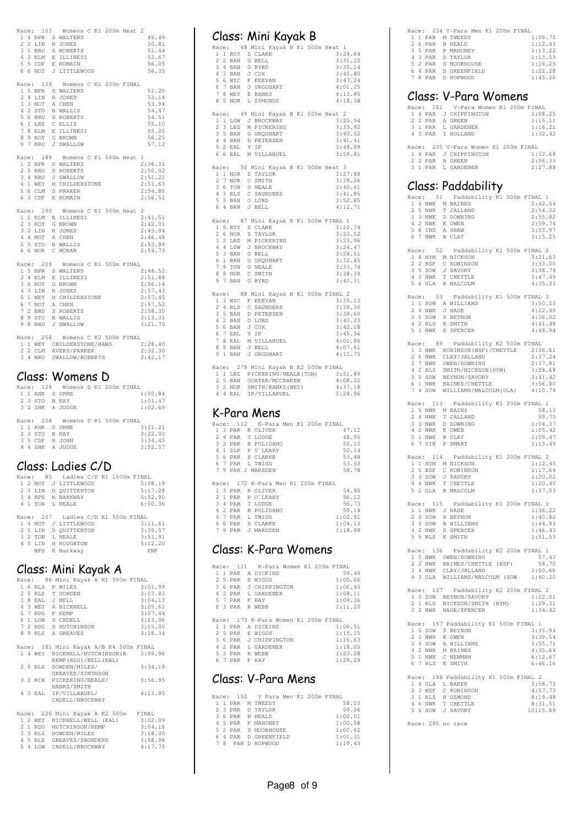| Race: 103                 | Womens C K1 200m Heat 2                                                                                |                    |
|---------------------------|--------------------------------------------------------------------------------------------------------|--------------------|
|                           | 1 4 BPR S WALTERS                                                                                      | 49.49              |
|                           | 2 2 LIN R JONES                                                                                        | 50.81              |
|                           | 3 1 BRU S ROBERTS<br>4 3 ELM E ILLINESI                                                                | 51.44<br>53.67     |
| 5 5 CDF                   | E ROMAIN                                                                                               | 56.05              |
| 6 6 NOT                   | J LITTLEWOOD                                                                                           | 56.35              |
| Race: 139                 | Womens C K1 200m FINAL                                                                                 |                    |
|                           | 1 5 BPR S WALTERS                                                                                      | 51.20              |
| 3 NOT<br>3                | 2 4 LIN R JONES<br>A CHEN                                                                              | 53.14<br>53.94     |
| 4 2 STO                   | <b>B WALLIS</b>                                                                                        | 54.47              |
| 5 6 BRU<br>6 1 LBZ        | S ROBERTS<br>C ELLIS                                                                                   | 54.51<br>55.10     |
| 7                         | 8 ELM E ILLINESI                                                                                       | 55.20              |
|                           | 8 9 ROY G BROWN                                                                                        | 56.25              |
|                           | 9 7 BRU J SWALLOW                                                                                      | 57.12              |
| Race: 189                 | Womens C K1 500m Heat 1                                                                                |                    |
| 2 5 BRU                   | 1 2 BPR S WALTERS<br>S ROBERTS                                                                         | 2:36.31<br>2:50.02 |
|                           | 3 4 BRU J SWALLOW                                                                                      | 2:51.21            |
|                           | 4 1 WEY H CHILDERSTONE                                                                                 | 2:51.63            |
|                           | 5 6 CLM S PARKER<br>6 3 CDF E ROMAIN                                                                   | 2:54.86<br>2:56.51 |
|                           |                                                                                                        |                    |
| Race: 190                 | Womens C K1 500m Heat 2<br>1 1 ELM E ILLINESI                                                          | 2:41.51            |
| 2 3 ROY                   | G BROWN                                                                                                | 2:42.01            |
| $2$ LIN<br>3              | R JONES                                                                                                | 2:45.94            |
| 4 4 NOT                   | A CHEN<br>5 5 STO B WALLIS                                                                             | 2:46.48<br>2:53.89 |
|                           | 6 6 WOR C MORAN                                                                                        | 2:54.73            |
| Race: 209                 | Womens C K1 500m FINAL                                                                                 |                    |
|                           | 1 5 BPR S WALTERS                                                                                      | 2:48.52            |
| 2 4 ELM<br>3 6 ROY        | E ILLINESI<br>G BROWN                                                                                  | 2:51.88<br>2:56.14 |
|                           | 4 3 LIN R JONES                                                                                        | 2:57.43            |
| 5<br>1 WEY<br>7 NOT<br>6  | H CHILDERSTONE<br>A CHEN                                                                               | 2:57.45<br>2:57.52 |
| 7<br>2 BRU                | S ROBERTS                                                                                              | 2:58.30            |
| 8 9 STO                   | <b>B WALLIS</b>                                                                                        | 3:13.31            |
| 9 8 BRU                   | J SWALLOW                                                                                              | 3:21.70            |
|                           | Race: 258 Womens C K2 500m FINAL                                                                       |                    |
|                           | 1 1 WEY CHILDERSTONE/HAWS 2:28.40<br>2 2 CLM AVERY/PARKER                                              | 2:32.30            |
|                           | 3 4 BRU SWALLOW/ROBERTS                                                                                | 2:42.17            |
|                           |                                                                                                        |                    |
|                           | Class: Womens                                                                                          |                    |
|                           | Race: 129 Womens D K1 200m FINAL                                                                       |                    |
| 1 1 ANK S ORME<br>2 3 STO | B KAY                                                                                                  | 1:00.84<br>1:01.47 |
| 3<br>2 SHK                | A JUDGE                                                                                                | 1:02.69            |
| Race: 208                 | Womens D K1 500m FINAL                                                                                 |                    |
| 1 1 ANK S ORME            |                                                                                                        | 3:21.21            |
| 3 STO<br>2<br>3 5 CDF     | B KAY<br>R JOHN                                                                                        | 3:22.00<br>3:34.45 |
| 4 4 SHK                   | A JUDGE                                                                                                | 3:52.57            |
|                           |                                                                                                        |                    |
|                           | Class: Ladies C/D                                                                                      |                    |
|                           | Race: 85 Ladies C/D K1 1000m FINAL                                                                     |                    |
|                           | 1 2 NOT J LITTLEWOOD                                                                                   | 5:08.19            |
|                           | 2 3 LIN D QUITTENTON<br>3 4 BPS K BARKWAY                                                              | 5:17.28<br>5:52.90 |
|                           | 4 1 TON L NEALE                                                                                        | 6:00.36            |
|                           | Race: 207 Ladies C/D K1 500m FINAL                                                                     |                    |
|                           | 1 4 NOT J LITTLEWOOD                                                                                   | 3:11.61            |
| 2 1 LIN                   | D QUITTENTON                                                                                           | 3:39.57            |
|                           | 3 2 TON L NEALE<br>4 5 LIN H HOUGHTON<br>BPS K Barkway                                                 | 3:51.91<br>5:12.20 |
|                           |                                                                                                        | DNF                |
|                           |                                                                                                        |                    |
|                           | Class: Mini Kayak A                                                                                    |                    |
|                           | Race: 86 Mini Kayak A K1 500m FINAL                                                                    |                    |
| 2 5 RLS                   | 1 6 RLS P MILES<br>T DOWDEN                                                                            | 3:01.99<br>3:03.83 |
| 3 8 EAL                   | J BELL                                                                                                 | 3:04.13            |
| 4 3 WEY                   | A BICKNELL                                                                                             | 3:05.61            |
|                           | 5 7 RDG F KEMP<br>6 1 LGW S CADELL                                                                     | 3:07.44<br>3:13.06 |
|                           | 7 2 RDG S HUTCHINSON<br>8 9 RLS A GREAVES                                                              | 3:15.00            |
|                           |                                                                                                        | 3:18.34            |
|                           | Race: 181 Mini Kayak A/B K4 500m FINAL                                                                 |                    |
|                           | 1 4 WEY BICKNELL/HUTCHINSON (R                                                                         | 3:09.96            |
| 2 5 RLS                   | KEMP (RDG) / BELL (EAL)<br>DOWDEN/MILES/                                                               | 3:34.19            |
|                           | GREAVES/SIMTHSON                                                                                       |                    |
| 3 2 MIX                   |                                                                                                        |                    |
|                           | PICKERING/NEALE/                                                                                       | 3:56.95            |
|                           | BANKS/SMITH<br>4 3 EAL IP/VILLARUEL/                                                                   | 4:13.95            |
|                           | CADELL/BROCKWAY                                                                                        |                    |
|                           | Race: 226 Mini Kayak A K2 500m FINAL                                                                   |                    |
|                           | 1 2 WEY BICKNELL/BELL (EAL)                                                                            | 3:02.09            |
|                           |                                                                                                        | 3:04.16<br>3:18.00 |
|                           | 2 1 RDG HUTCHINSON/KEMP<br>3 3 RLS DOWDEN/MILES<br>4 5 RLS GREAVES/SAUNDERS<br>5 4 LGW CADELL/BROCKWAY | 3:58.96<br>4:17.75 |

|  |                                                 | Class: Mini Kayak B                                                                                                                                                                                             |  |                                                                                                                 |
|--|-------------------------------------------------|-----------------------------------------------------------------------------------------------------------------------------------------------------------------------------------------------------------------|--|-----------------------------------------------------------------------------------------------------------------|
|  | 7 8 WEY<br>8 5 NOR                              | Race: 48 Mini Kayak B K1 500m Heat 1<br>1 1 ROY Z CLARK<br>2 2 BAN G BELL<br>3 4 BAN G BYRD<br>4 3 BAN J COX<br>5 6 WYC F KEEVAN<br>6 7 BAN J URGUHART<br>E BANKS<br>L SYMONDS                                  |  | 3:24.64<br>3:31.10<br>3:35.14<br>3:45.80<br>3:47.24<br>4:01.25<br>4:13.85<br>4:18.38                            |
|  | 5 2 EAL                                         | Race: 49 Mini Kayak B K1 500m Heat 2<br>1 1 LGW J BROCKWAY<br>2 3 LBZ M PICKERING<br>3 5 BAN G URQUHART<br>4 4 BAN D PETERSEN<br>Y IP<br>6 6 EAL M VILLARUEL                                                    |  | 3:25.54<br>3:35.92<br>3:40.52<br>3:41.41<br>3:48.99<br>3:59.81                                                  |
|  |                                                 | Race: 50 Mini Kayak B K1 500m Heat 3<br>1 1 NOR Z TAYLOR<br>2 7 NOR C SMITH<br>3 6 TON G NEALE<br>4 3 RLS C SAUNDERS<br>5 5 BAN O LORD<br>6 4 BAN J BELL                                                        |  | 3:27.88<br>3:39.26<br>3:40.61<br>3:41.85<br>3:52.85<br>4:12.71                                                  |
|  | 2 6 NOR                                         | Race: 87 Mini Kayak B K1 500m FINAL<br>1 5 ROY Z CLARK<br>Z TAYLOR<br>3 2 LBZ M PICKERING<br>4 4 LGW J BROCKWAY<br>5 3 BAN G BELL<br>6 1 BAN G URQUHART<br>7 9 TON G NEALE<br>8 8 NOR C SMITH<br>9 7 BAN G BYRD |  | $\mathbf{1}$<br>3:22.74<br>3:23.52<br>3:23.96<br>3:24.47<br>3:28.51<br>3:32.85<br>3:33.74<br>3:38.39<br>3:40.31 |
|  | 5 6 BAN J COX<br>6 7 EAL<br>$78$ EAL<br>8 9 BAN | Race: 88 Mini Kayak B K1 500m FINAL 2<br>1 3 WYC F KEEVAN<br>2 4 RLS C SAUNDERS<br>3 5 BAN D PETERSEN<br>4 2 BAN O LORD<br>Y IP<br>M VILLARUEL<br>${\rm J}$ BELL<br>9 1 BAN J URGUHART                          |  | 3:35.13<br>3:39.30<br>3:39.60<br>3:40.23<br>3:42.18<br>3:45.36<br>4:01.86<br>4:07.61<br>4:11.75                 |
|  | 4 4 EAL                                         | Race: 279 Mini Kayak B K2 500m FINAL<br>1 1 LBZ PICKERING/NEALE(TON)<br>2 5 BAN GOATER/MCCRAKEN<br>3 2 NOR SMITH/BANKS (WEY)<br>IP/VILLARUEL                                                                    |  | 3:51.89<br>4:08.22<br>4:37.18<br>5:24.96                                                                        |
|  |                                                 | K-Para Mens<br>Race: 112 K-Para Men K1 200m FINAL<br>1 3 PAR R OLIVER<br>2 4 PAR T LODGE<br>3 2 PAR B POLIDANO<br>4 1 SLP P 0 LEARY<br>5 6 PAR S CLARKE<br>6 7 PAR L TWIGG<br>7 9 PAR J MARSDEN                 |  | 47.12<br>48.95<br>50.10<br>50.14<br>53.48<br>53.53<br>58.78                                                     |

|  |  | Race: 172 K-Para Men K1 200m FINAL |  |  |         |
|--|--|------------------------------------|--|--|---------|
|  |  |                                    |  |  |         |
|  |  | 1 3 PAR R OLIVER                   |  |  | 54.90   |
|  |  | 2 1 PAR P O'LEARY                  |  |  | 56.12   |
|  |  | 3 4 PAR T LODGE                    |  |  | 56.73   |
|  |  | 4 2 PAR B POLIDANO                 |  |  | 59.14   |
|  |  | 5 7 PAR L TWIGG                    |  |  | 1:02.91 |
|  |  | 6 6 PAR S CLARKE                   |  |  | 1:04.13 |
|  |  | 7 9 PAR J MARSDEN                  |  |  | 1:18.98 |
|  |  |                                    |  |  |         |

## Class: K-Para Womens

| Race: |               |         |    | 111 K-Para Women K1 200m FINAL |  |         |
|-------|---------------|---------|----|--------------------------------|--|---------|
|       |               | 1 PAR   |    | A DICKINS                      |  | 59.49   |
| 2.    |               | 5 PAR   |    | E WIGGS                        |  | 1:05.66 |
| 3.    |               | 6 PAR   |    | J CHIPPINGTON                  |  | 1:06.45 |
| 4     |               | 2 PAR   |    | L GARDENER                     |  | 1:08.11 |
| 57    |               | PAR     |    | F RAY                          |  | 1:09.36 |
|       |               | 6 3 PAR |    | R WEBB                         |  | 1:11.20 |
|       |               |         |    |                                |  |         |
|       |               |         |    |                                |  |         |
| Race: |               |         |    | 173 K-Para Women K1 200m FINAL |  |         |
|       |               | 11 PAR  |    | A DICKINS                      |  | 1:06.51 |
|       |               | 2 5 PAR |    | <b>E WIGGS</b>                 |  | 1:15.15 |
|       |               | 3 6 PAR |    | J CHIPPINGTON                  |  | 1:16.63 |
| 4     | $\mathcal{D}$ | PAR     | т. | GARDENER                       |  | 1:18.05 |
|       |               | 5 3 PAR |    | R WEBB                         |  | 1:23.28 |
|       | - 7           | PAR     |    | F RAY                          |  | 1:29.29 |

# Class: V-Para Mens

|  |  | Race: 150 V Para Men K1 200m FINAL |  |         |
|--|--|------------------------------------|--|---------|
|  |  | 1 1 PAR M TWEEDY                   |  | 58.10   |
|  |  | 2 3 PAR D TAYLOR                   |  | 59.06   |
|  |  | 3 6 PAR N HEALD                    |  | 1:00.01 |
|  |  | 4 5 PAR P MAHONEY                  |  | 1:00.58 |
|  |  | 5 2 PAR S MOORHOUSE                |  | 1:00.62 |
|  |  | 6 4 PAR D GREENFIELD               |  | 1:01.31 |
|  |  | 7 8 PAR D HOPWOOD                  |  | 1:19.43 |

|  |  | Race: 234 V-Para Men K1 200m FINAL |  |         |
|--|--|------------------------------------|--|---------|
|  |  | 1 1 PAR M TWEEDY                   |  | 1:09.75 |
|  |  | 2 6 PAR N HEALD                    |  | 1:12.43 |
|  |  | 3 5 PAR P MAHONEY                  |  | 1:13.22 |
|  |  | 4 3 PAR D TAYLOR                   |  | 1:13.53 |
|  |  | 5 2 PAR S MOORHOUSE                |  | 1:16.25 |
|  |  | 6 4 PAR D GREENFIELD               |  | 1:22.28 |
|  |  | 7 8 PAR D HOPWOOD                  |  | 1:45.26 |

## Class: V-Para Womens

|  |  | Race: 151 V-Para Women K1 200m FINAL |  |
|--|--|--------------------------------------|--|
|  |  | 1:08.25<br>1 4 PAR J CHIPPINGTON     |  |
|  |  | 2 2 PAR A GREEN<br>1:15.11           |  |
|  |  | 1:16.21<br>3 1 PAR L GARDENER        |  |
|  |  | 1:32.42<br>4 3 PAR I HOLLAND         |  |
|  |  |                                      |  |
|  |  | Race: 235 V-Para Women K1 200m FINAL |  |
|  |  | 1:32.68<br>1 4 PAR J CHIPPINGTON     |  |
|  |  | 2 2 PAR A GREEN<br>2:06.33           |  |
|  |  | 2:27.88<br>3 1 PAR L GARDENER        |  |

#### Class: Paddability

| 1 4 NWK M BAINES<br>2 5 NWK T JALLAND<br>3 3 NWK D DOWNING<br>4 2 NWK K OWEN<br>5 6 IND<br>6 7 NWK R CLAY<br>$\begin{tabular}{llllll} 1 & 4 & {\tt HYM} & {\tt M NICKSON} \\ 2 & 2 & {\tt BSF} & {\tt C} & {\tt ROBINSON} \\ 3 & 5 & {\tt SOW} & {\tt J} & {\tt SAVORY} \\ 4 & 3 & {\tt NWK} & {\tt T} & {\tt CHETTLE} \end{tabular}$ | Race: 51 Paddability K1 500m FINAL 1<br>A SHAW<br>Race: 52 Paddability K1 500m FINAL 2                                                                                                                                                                                                                          | 2:42.54<br>2:54.02<br>2:55.82<br>2:59.74<br>3:03.97<br>3:15.25<br>3:21.63<br>3:33.00<br>3:38.74 |
|---------------------------------------------------------------------------------------------------------------------------------------------------------------------------------------------------------------------------------------------------------------------------------------------------------------------------------------|-----------------------------------------------------------------------------------------------------------------------------------------------------------------------------------------------------------------------------------------------------------------------------------------------------------------|-------------------------------------------------------------------------------------------------|
| 5 6 GLA R MALCOLM                                                                                                                                                                                                                                                                                                                     |                                                                                                                                                                                                                                                                                                                 | 3:47.49<br>4:35.33                                                                              |
| 1 1 SOW A WILLIAMS<br>2 4 NWK J HAGE<br>3 5 SOW S BEYNON<br>4 2 RLS K SMITH<br>5 3 NWK D SPENCER                                                                                                                                                                                                                                      | Race: 53 Paddability K1 500m FINAL 3                                                                                                                                                                                                                                                                            | 3:50.05<br>4:22.40<br>4:36.02<br>4:41.48<br>4:48.94                                             |
|                                                                                                                                                                                                                                                                                                                                       | Race: 89 Paddability K2 500m FINAL<br>ALL SUBSERVIVELY AT A TRIAL SUBSERVIVEL AND MANUSCRIP (2.36.61<br>2.3 NWK ORENSON (BSF) / CHETTLE 2.37.81<br>3 7 NWK OREN/JALLAND 2.37.81<br>4 2 RLS SMITH/NICKSON (HYM) 3.28.68<br>5 5 SOW BEYNON/SAVORY 3:41.42<br>6 1 NWK BAINES/CHET<br>7 4 SOW WILLIAMS/MALCOLM(GLA) | 4:10.74                                                                                         |
| 15 NWK M BAINS<br>24 NWK T JALLAND<br>33 NWK D DOWNING<br>42 NWK K OWEN<br>$\begin{tabular}{llll} 5 & 1 & NWK & R & CLAY \\ 6 & 7 & VIK & P & SMART \\ \end{tabular}$                                                                                                                                                                 | Race: 113 Paddability K1 200m FINAL 1                                                                                                                                                                                                                                                                           | 58.13<br>59.73<br>1:04.37<br>1:05.42<br>1:09.47<br>1:13.49                                      |
| 1 1 HYM M NICKSON<br>2 5 BSF C ROBINSON<br>3 3 SOW J SAVORY<br>4 4 NWK T CHETTLE<br>5 2 GLA R MALCOLM                                                                                                                                                                                                                                 | Race: 114 Paddability K1 200m FINAL 2                                                                                                                                                                                                                                                                           | 1:12.45<br>1:17.64<br>1:20.02<br>1:20.40<br>1:37.53                                             |
| 1 1 NWK J HAGE<br>2 3 SOW S BEYNON<br>3 4 SOW A WILLIAMS<br>4 2 NWK<br>5 5 RLS K SMITH                                                                                                                                                                                                                                                | Race: 115 Paddability K1 200m FINAL 3<br>D SPENCER                                                                                                                                                                                                                                                              | 1:36.22<br>1:40.82<br>1:44.93<br>1:46.43<br>1:51.53                                             |
|                                                                                                                                                                                                                                                                                                                                       | Race: 136 Paddability K2 200m FINAL 1<br>1 5 NWK OWEN/DOWNING<br>$\begin{tabular}{lllllll} 1 5 MW & 0WEN/DONNING & & & & & & & \\ 2 MW & BAINES/CHETTILE & (BSF) & & 58.70 \\ 3 4 MW & BAINES/JALLAND & & 1:00.66 \\ 4 3 GLA & WILLIAMS/MALCOLM & (SOW & 1:40.20 \\ \end{tabular}$                              | 58.70                                                                                           |
|                                                                                                                                                                                                                                                                                                                                       | Race: 137 Paddability K2 200m FINAL 2<br>1 3 SOW BEYNON/SAVORY<br>2 1 RLS NICKSON/SMITH (HYM)<br>3 2 NWK HAGE/SPENCER                                                                                                                                                                                           | 1:22.01<br>1:29.31<br>1:34.42                                                                   |
| 2 3 NWK<br>3<br>$\overline{4}$<br>SOW<br>4 2 NWK<br>5<br>1 NWK<br>7 RLS K SMITH<br>6                                                                                                                                                                                                                                                  | Race: 197 Paddability K1 500m FINAL 1<br>1 5 SOW S BEYNON<br>K OWEN<br>A WILLIAMS<br>M BAINES<br>C NEWMAN                                                                                                                                                                                                       | 3:35.94<br>3:39.54<br>3:55.71<br>4:35.64<br>6:12.67<br>6:46.16                                  |
| 1 4 GLA L BAKER<br>3 BSF<br>2<br>3<br>1 RLS<br>4 6 NWK<br>5 5 SOW J SAVORY                                                                                                                                                                                                                                                            | Race: 198 Paddability K1 500m FINAL 2<br>C ROBINSON<br>H OSMOND<br>T CHETTLE                                                                                                                                                                                                                                    | 3:58.73<br>4:57.73<br>8:19.48<br>8:31.51<br>10:15.69                                            |

Race: 285 no race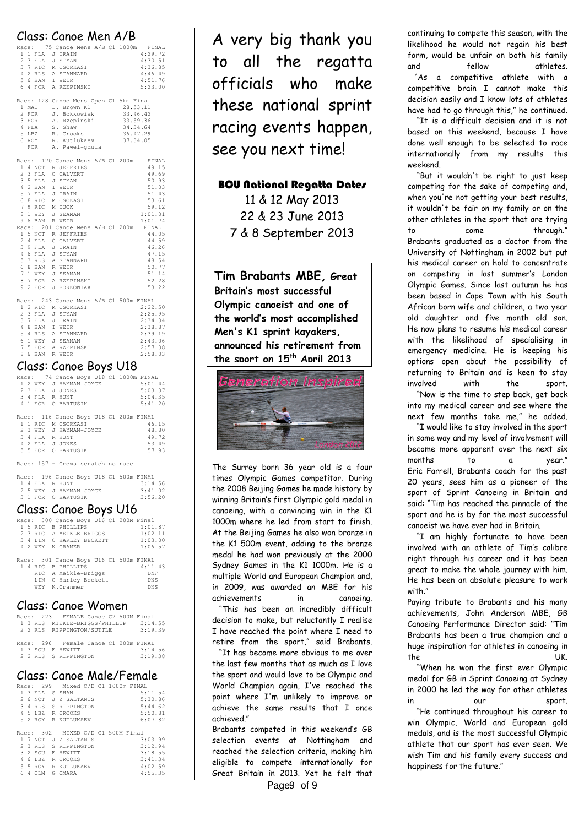|                         | Class: Canoe Men A/B                             |
|-------------------------|--------------------------------------------------|
|                         | Race: 75 Canoe Mens A/B C1 1000m FINAL           |
| 1 1 FLA                 | 4:29.72<br>J TRAIN                               |
| 2 3 FLA J STYAN         | 4:30.51                                          |
| 3 7 RIC                 | 4:36.85<br>M CSORKASI                            |
|                         | 4:46.49                                          |
|                         | 4 2 RLS A STANNARD<br>5 6 BAN I WEIR<br>4:51.76  |
| 6 4 FOR                 | A RZEPINSKI<br>5:23.00                           |
|                         |                                                  |
|                         | Race: 128 Canoe Mens Open C1 5km Final           |
| 1 MAI                   | 28.53.11<br>L. Brown K1                          |
| 2 FOR                   | 33.46.42<br>J. Bokkowiak                         |
| 3 FOR                   | 33.59.36<br>A. Rzepinski                         |
| 4 FLA                   | S. Shaw<br>34.34.64                              |
| 5 LBZ                   | R. Crooks<br>36.47.29                            |
| 6 ROY                   | R. Kutlukaev<br>37.34.05                         |
|                         | FOR A. Pawel-gdula                               |
|                         |                                                  |
|                         | Race: 170 Canoe Mens A/B C1 200m<br>FINAL        |
|                         | 1 4 NOT R JEFFRIES<br>49.15                      |
| 2 3 FLA                 | C CALVERT<br>49.69                               |
| 3 5 FLA                 | 50.93<br>J STYAN                                 |
| 4<br>2 BAN              | 51.03<br>I WEIR                                  |
| 5 7 FLA J TRAIN         | 51.43                                            |
| 6                       | 53.61<br>8 RIC M CSOKASI                         |
| 7 9 RIC                 | M DUCK<br>59.12                                  |
| 8<br>1 WEY              | 1:01.01<br>J SEAMAN                              |
| 9 6 BAN R WEIR          | 1:01.74                                          |
|                         | Race: 201 Canoe Mens A/B C1 200m<br>FINAL        |
| $\mathbf{1}$            | 5 NOT R JEFFRIES<br>44.05                        |
| 2 4 FLA                 | 44.59<br>C CALVERT                               |
| 3 9 FLA J TRAIN         | 46.26                                            |
| 4 6 FLA                 | 47.15<br>J STYAN                                 |
|                         | 5 3 RLS A STANNARD<br>48.54                      |
| 6<br>8 BAN              | 50.77<br>R WEIR                                  |
| 7<br>1 WEY              | J SEAMAN<br>51.14                                |
|                         | 8 7 FOR A RZEPINSKI<br>52.28                     |
| 9<br>2 FOR              | J BOKKOWIAK<br>53.22                             |
|                         |                                                  |
|                         | Race: 243 Canoe Mens A/B C1 500m FINAL           |
|                         | 2:22.50<br>1 2 RIC M CSORKASI                    |
| $\overline{2}$<br>3 FLA | 2:25.95<br>J STYAN                               |
| 3 7 FLA J TRAIN         | 2:34.34                                          |
| 4 8 BAN                 | 2:38.87<br>I WEIR                                |
|                         | 5 4 RLS A STANNARD<br>2:39.19                    |
| 6 1 WEY                 | J SEAMAN<br>2:43.06                              |
|                         | 2:57.38                                          |
|                         | 7 5 FOR A RZEPINSKI<br>8 6 BAN R WEIR<br>2:58.03 |
|                         |                                                  |
|                         | Class: Canoe Boys U18                            |
|                         |                                                  |

|  |                        |  |  |                                        | Race: 74 Canoe Boys U18 C1 1000m FINAL |
|--|------------------------|--|--|----------------------------------------|----------------------------------------|
|  | 1 2 WEY J HAYMAN-JOYCE |  |  |                                        | 5:01.44                                |
|  | 2 3 FLA J JONES        |  |  |                                        | 5:03.37                                |
|  | 3 4 FLA R HUNT         |  |  |                                        | 5:04.35                                |
|  | 4 1 FOR O BARTUSIK     |  |  |                                        | 5:41.20                                |
|  |                        |  |  |                                        |                                        |
|  |                        |  |  | Race: 116 Canoe Boys U18 C1 200m FINAL |                                        |
|  | 1 1 RTC M CSORKAST     |  |  |                                        | 46.15                                  |
|  | 2 3 WEY J HAYMAN-JOYCE |  |  |                                        | 48.80                                  |
|  | 3 4 FLA R HUNT         |  |  |                                        | 49.72                                  |
|  | 4 2 FLA JJONES         |  |  |                                        | 53.49                                  |
|  | 5 5 FOR O BARTUSTK     |  |  |                                        | 57.93                                  |
|  |                        |  |  |                                        |                                        |
|  |                        |  |  |                                        |                                        |

Race: 157 – Crews scratch no race

|  |                        |  |  |  | Race: 196 Canoe Boys U18 C1 500m FINAL |  |
|--|------------------------|--|--|--|----------------------------------------|--|
|  | 14 FLAR HUNT           |  |  |  | 3:14.56                                |  |
|  | 2 5 WEY J HAYMAN-JOYCE |  |  |  | 3:41.02                                |  |
|  | 3 1 FOR O BARTUSIK     |  |  |  | 3:56.20                                |  |

#### Class: Canoe Boys U16

|  | Race: 300 Canoe Boys U16 C1 200M Final |            |
|--|----------------------------------------|------------|
|  | 1 5 RTC B PHILLIPS                     | 1:01.87    |
|  | 2 3 RIC A MEIKLE BRIGGS                | 1:02.11    |
|  | 3 4 LIN C HARLEY BECKETT               | 1:03.00    |
|  | 4 2 WEY K CRAMER                       | 1:06.57    |
|  |                                        |            |
|  | Race: 301 Canoe Boys U16 C1 500m FINAL |            |
|  |                                        |            |
|  | 1 4 RTC B PHILLIPS                     | 4:11.43    |
|  | RIC A Meikle-Briggs                    | DNF        |
|  | LIN C Harley-Beckett                   | <b>DNS</b> |
|  | WEY K.Cranmer                          | <b>DNS</b> |

#### Class: Canoe Women

|  |  | Race: 223 FEMALE Canoe C2 500M Final |  |                                       |  |
|--|--|--------------------------------------|--|---------------------------------------|--|
|  |  |                                      |  | 1 3 RLS MIEKLE-BRIGGS/PHILLIP 3:14.55 |  |
|  |  |                                      |  | 2 2 RLS RIPPINGTON/SUTTLE 3:19.39     |  |
|  |  |                                      |  |                                       |  |
|  |  | Race: 296 Female Canoe C1 200m FINAL |  |                                       |  |
|  |  | 1 3 SOU E HEWITT                     |  | 3:14.56                               |  |
|  |  | 2 2 RLS S RIPPINGTON                 |  | 3:19.38                               |  |

#### Class: Canoe Male/Female

|  |         | Race: 299 Mixed C/D C1 1000m FINAL |  |         |
|--|---------|------------------------------------|--|---------|
|  | 1 3 FLA | S SHAW                             |  | 5:11.54 |
|  | 2 6 NOT | J Z SALTANIS                       |  | 5:30.86 |
|  | 3 4 RLS | S RIPPINGTON                       |  | 5:44.62 |
|  | 4 5 LBZ | R CROOKS                           |  | 5:50.81 |
|  | 5 2 ROY | R KUTLUKAEV                        |  | 6:07.82 |
|  |         |                                    |  |         |
|  |         |                                    |  |         |
|  |         | Race: 302 MIXED C/D C1 500M Final  |  |         |
|  | 1 7 NOT | J Z SALTANIS                       |  | 3:03.99 |
|  |         | 2 3 RLS S RIPPINGTON               |  | 3:12.94 |
|  | 3 2 SOU | E HEWTTT                           |  | 3:18.55 |
|  | 4 6 LBZ | R CROOKS                           |  | 3:41.34 |
|  | 5 5 ROY | R KUTLUKAEV                        |  | 4:02.59 |

A very big thank you to all the regatta officials who make these national sprint racing events happen, see you next time!

#### BCU National Regatta Dates

11 & 12 May 2013 22 & 23 June 2013 7 & 8 September 2013

Tim Brabants MBE, Great Britain's most successful Olympic canoeist and one of the world's most accomplished Men's K1 sprint kayakers, announced his retirement from the sport on 15<sup>th</sup> April 2013



The Surrey born 36 year old is a four times Olympic Games competitor. During the 2008 Beijing Games he made history by winning Britain's first Olympic gold medal in canoeing, with a convincing win in the K1 1000m where he led from start to finish. At the Beijing Games he also won bronze in the K1 500m event, adding to the bronze medal he had won previously at the 2000 Sydney Games in the K1 1000m. He is a multiple World and European Champion and, in 2009, was awarded an MBE for his achievements in canoeing.

 "This has been an incredibly difficult decision to make, but reluctantly I realise I have reached the point where I need to retire from the sport," said Brabants.

 "It has become more obvious to me over the last few months that as much as I love the sport and would love to be Olympic and World Champion again, I've reached the point where I'm unlikely to improve or achieve the same results that I once achieved."

Brabants competed in this weekend's GB selection events at Nottingham and reached the selection criteria, making him eligible to compete internationally for Great Britain in 2013. Yet he felt that

continuing to compete this season, with the likelihood he would not regain his best form, would be unfair on both his family and fellow athletes.

 "As a competitive athlete with a competitive brain I cannot make this decision easily and I know lots of athletes have had to go through this," he continued.

 "It is a difficult decision and it is not based on this weekend, because I have done well enough to be selected to race internationally from my results this weekend.

 "But it wouldn't be right to just keep competing for the sake of competing and, when you're not getting your best results, it wouldn't be fair on my family or on the other athletes in the sport that are trying to come through." Brabants graduated as a doctor from the University of Nottingham in 2002 but put his medical career on hold to concentrate on competing in last summer's London Olympic Games. Since last autumn he has been based in Cape Town with his South African born wife and children, a two year old daughter and five month old son. He now plans to resume his medical career with the likelihood of specialising in emergency medicine. He is keeping his options open about the possibility of returning to Britain and is keen to stay involved with the sport.

 "Now is the time to step back, get back into my medical career and see where the next few months take me," he added.

 "I would like to stay involved in the sport in some way and my level of involvement will become more apparent over the next six months to a year." Eric Farrell, Brabants coach for the past 20 years, sees him as a pioneer of the sport of Sprint Canoeing in Britain and said: "Tim has reached the pinnacle of the sport and he is by far the most successful canoeist we have ever had in Britain.

 "I am highly fortunate to have been involved with an athlete of Tim's calibre right through his career and it has been great to make the whole journey with him. He has been an absolute pleasure to work with."

Paying tribute to Brabants and his many achievements, John Anderson MBE, GB Canoeing Performance Director said: "Tim Brabants has been a true champion and a huge inspiration for athletes in canoeing in the UK.

 "When he won the first ever Olympic medal for GB in Sprint Canoeing at Sydney in 2000 he led the way for other athletes in our sport.

 "He continued throughout his career to win Olympic, World and European gold medals, and is the most successful Olympic athlete that our sport has ever seen. We wish Tim and his family every success and happiness for the future."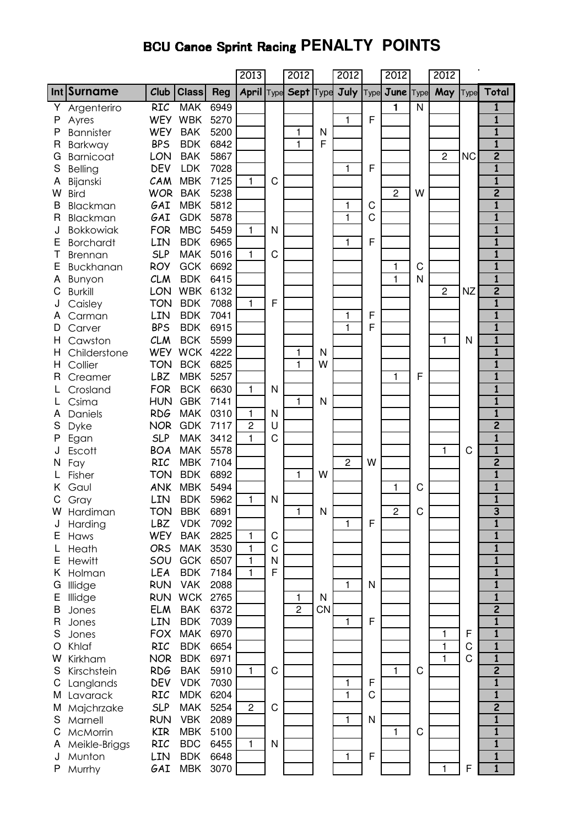# **BCU Canoe Sprint Racing PENALTY POINTS**

|        |                             |                   |                          |              | 2013              |   | 2012           |    | 2012                    |      | 2012           |                | 2012           |           |                                         |
|--------|-----------------------------|-------------------|--------------------------|--------------|-------------------|---|----------------|----|-------------------------|------|----------------|----------------|----------------|-----------|-----------------------------------------|
|        | Int Surname                 | Club              | <b>Class</b>             | <b>Reg</b>   | <b>April Type</b> |   | Sept Type      |    | July                    | Type | June  Type     |                | May            | Type      | Total                                   |
| Υ      | Argenteriro                 | <b>RIC</b>        | <b>MAK</b>               | 6949         |                   |   |                |    |                         |      | $\mathbf{1}$   | $\overline{N}$ |                |           | 1                                       |
| P      | Ayres                       | <b>WEY</b>        | <b>WBK</b>               | 5270         |                   |   |                |    | 1                       | F    |                |                |                |           | $\overline{\mathbf{1}}$                 |
| P      | <b>Bannister</b>            | <b>WEY</b>        | <b>BAK</b>               | 5200         |                   |   | 1              | N  |                         |      |                |                |                |           | $\mathbf{1}$                            |
| R      | Barkway                     | <b>BPS</b>        | <b>BDK</b>               | 6842         |                   |   | 1              | F  |                         |      |                |                |                |           | $\overline{\mathbf{1}}$                 |
| G      | <b>Barnicoat</b>            | LON               | <b>BAK</b>               | 5867         |                   |   |                |    |                         |      |                |                | $\overline{c}$ | <b>NC</b> | $\overline{\mathbf{c}}$                 |
| S      | <b>Belling</b>              | DEV               | <b>LDK</b>               | 7028         |                   |   |                |    | 1                       | F    |                |                |                |           | $\overline{\mathbf{1}}$                 |
| Α      | Bijanski                    | CAM               | <b>MBK</b>               | 7125         | 1                 | C |                |    |                         |      |                |                |                |           | $\mathbf{1}$                            |
| W      | <b>Bird</b>                 | <b>WOR</b>        | <b>BAK</b>               | 5238         |                   |   |                |    |                         |      | $\overline{c}$ | W              |                |           | $\overline{2}$                          |
| B      | Blackman                    | GAI               | <b>MBK</b>               | 5812         |                   |   |                |    | 1                       | C    |                |                |                |           | $\overline{\mathbf{1}}$                 |
| R      | Blackman                    | GAI               | <b>GDK</b>               | 5878         |                   |   |                |    | 1                       | C    |                |                |                |           | $\mathbf{1}$                            |
| J      | <b>Bokkowiak</b>            | <b>FOR</b>        | <b>MBC</b>               | 5459         | 1                 | N |                |    |                         | F    |                |                |                |           | $\mathbf{1}$<br>$\overline{\mathbf{1}}$ |
| Ε<br>Т | <b>Borchardt</b>            | LIN<br><b>SLP</b> | <b>BDK</b><br><b>MAK</b> | 6965<br>5016 | $\mathbf{1}$      | C |                |    | 1                       |      |                |                |                |           | $\mathbf{1}$                            |
| Е      | <b>Brennan</b><br>Buckhanan | <b>ROY</b>        | <b>GCK</b>               | 6692         |                   |   |                |    |                         |      | 1              | C              |                |           | $\mathbf{1}$                            |
| Α      |                             | <b>CLM</b>        | <b>BDK</b>               | 6415         |                   |   |                |    |                         |      | $\mathbf{1}$   | N              |                |           | $\overline{\mathbf{1}}$                 |
| С      | Bunyon<br><b>Burkill</b>    | LON               | <b>WBK</b>               | 6132         |                   |   |                |    |                         |      |                |                | $\overline{c}$ | <b>NZ</b> | $\overline{2}$                          |
|        | Caisley                     | <b>TON</b>        | <b>BDK</b>               | 7088         | $\mathbf{1}$      | F |                |    |                         |      |                |                |                |           | $\overline{\mathbf{1}}$                 |
|        | Carman                      | LIN               | <b>BDK</b>               | 7041         |                   |   |                |    | 1                       | F    |                |                |                |           | $\mathbf{1}$                            |
| D      | Carver                      | <b>BPS</b>        | <b>BDK</b>               | 6915         |                   |   |                |    | 1                       | F    |                |                |                |           | $\overline{\mathbf{1}}$                 |
| Н      | Cawston                     | <b>CLM</b>        | <b>BCK</b>               | 5599         |                   |   |                |    |                         |      |                |                | 1              | N         | $\overline{\mathbf{1}}$                 |
| н      | Childerstone                | <b>WEY</b>        | <b>WCK</b>               | 4222         |                   |   | 1              | N  |                         |      |                |                |                |           | $\mathbf{1}$                            |
| Н      | Collier                     | <b>TON</b>        | <b>BCK</b>               | 6825         |                   |   | 1              | W  |                         |      |                |                |                |           | $\overline{\mathbf{1}}$                 |
| R      | Creamer                     | <b>LBZ</b>        | <b>MBK</b>               | 5257         |                   |   |                |    |                         |      | $\mathbf{1}$   | F              |                |           | $\overline{\mathbf{1}}$                 |
|        | Crosland                    | <b>FOR</b>        | <b>BCK</b>               | 6630         | 1                 | N |                |    |                         |      |                |                |                |           | $\mathbf{1}$                            |
|        | Csima                       | <b>HUN</b>        | <b>GBK</b>               | 7141         |                   |   | 1              | N  |                         |      |                |                |                |           | $\overline{\mathbf{1}}$                 |
| Α      | Daniels                     | <b>RDG</b>        | <b>MAK</b>               | 0310         | 1                 | N |                |    |                         |      |                |                |                |           | $\overline{\mathbf{1}}$                 |
| S      | Dyke                        | <b>NOR</b>        | <b>GDK</b>               | 7117         | 2                 | U |                |    |                         |      |                |                |                |           | $\overline{2}$                          |
| Ρ      | Egan                        | <b>SLP</b>        | <b>MAK</b>               | 3412         | $\mathbf{1}$      | C |                |    |                         |      |                |                |                |           | $\overline{\mathbf{1}}$                 |
|        | Escott                      | <b>BOA</b>        | <b>MAK</b>               | 5578         |                   |   |                |    |                         |      |                |                | 1              | C         | $\overline{\mathbf{1}}$                 |
|        | Fay                         | <b>RIC</b>        | <b>MBK</b>               | 7104         |                   |   |                |    | $\overline{\mathbf{c}}$ | W    |                |                |                |           | $\overline{2}$                          |
|        | Fisher                      | <b>TON</b>        | <b>BDK</b>               | 6892         |                   |   | 1              | W  |                         |      |                |                |                |           | $\overline{\mathbf{1}}$                 |
|        | Gaul                        | <b>ANK</b>        | <b>MBK</b>               | 5494         |                   |   |                |    |                         |      | 1              | C              |                |           | $\mathbf{1}$                            |
| С      | Gray                        | LIN               | <b>BDK</b>               | 5962         | 1                 | N |                |    |                         |      |                |                |                |           | $\overline{\mathbf{1}}$                 |
| w      | Hardiman                    | TON               | <b>BBK</b>               | 6891         |                   |   | 1              | N  |                         |      | $\overline{c}$ | C              |                |           | 3                                       |
| J      | Harding                     | LBZ               | <b>VDK</b>               | 7092         |                   |   |                |    | 1                       | F    |                |                |                |           | $\mathbf{1}$                            |
| Е      | Haws                        | <b>WEY</b>        | <b>BAK</b>               | 2825         | 1                 | C |                |    |                         |      |                |                |                |           | $\overline{\mathbf{1}}$                 |
|        | Heath                       | <b>ORS</b>        | <b>MAK</b>               | 3530         | 1                 | C |                |    |                         |      |                |                |                |           | $\overline{\mathbf{1}}$                 |
| E      | <b>Hewitt</b>               | SOU               | <b>GCK</b>               | 6507         | 1                 | N |                |    |                         |      |                |                |                |           | 1                                       |
| Κ      | Holman                      | LEA               | <b>BDK</b>               | 7184         | $\mathbf{1}$      | F |                |    |                         |      |                |                |                |           | $\mathbf{1}$                            |
| G      | Illidge                     | <b>RUN</b>        | <b>VAK</b>               | 2088         |                   |   |                |    | 1                       | N    |                |                |                |           | $\overline{\mathbf{1}}$                 |
| Е      | Illidge                     | <b>RUN</b>        | <b>WCK</b>               | 2765         |                   |   | 1              | N  |                         |      |                |                |                |           | 1                                       |
| B      | Jones                       | <b>ELM</b>        | <b>BAK</b>               | 6372         |                   |   | $\overline{c}$ | CN |                         |      |                |                |                |           | $\overline{2}$                          |
| R      | Jones                       | LIN               | <b>BDK</b>               | 7039         |                   |   |                |    | 1                       | F    |                |                |                |           | $\overline{\mathbf{1}}$                 |
| S      | Jones                       | <b>FOX</b>        | <b>MAK</b>               | 6970         |                   |   |                |    |                         |      |                |                | 1              | F         | $\mathbf{1}$                            |
| O      | Khlaf                       | <b>RIC</b>        | <b>BDK</b>               | 6654         |                   |   |                |    |                         |      |                |                | 1              | C         | $\mathbf{1}$                            |
| W      | Kirkham                     | <b>NOR</b>        | <b>BDK</b>               | 6971         |                   |   |                |    |                         |      |                |                | 1              | C         | $\mathbf{1}$                            |
| S      | Kirschstein                 | <b>RDG</b>        | <b>BAK</b>               | 5910         | 1                 | C |                |    |                         |      | 1              | $\mathsf C$    |                |           | $\overline{\mathbf{2}}$                 |
| C      | Langlands                   | <b>DEV</b>        | <b>VDK</b>               | 7030         |                   |   |                |    | 1                       | F    |                |                |                |           | $\mathbf{1}$                            |
| M      | Lavarack                    | <b>RIC</b>        | <b>MDK</b>               | 6204         |                   |   |                |    | 1                       | C    |                |                |                |           | $\mathbf{1}$                            |
| M      | Majchrzake                  | <b>SLP</b>        | <b>MAK</b>               | 5254         | $\overline{c}$    | C |                |    |                         |      |                |                |                |           | $\overline{2}$                          |
| S      | Marnell                     | <b>RUN</b>        | <b>VBK</b>               | 2089         |                   |   |                |    | 1                       | N    |                |                |                |           | $\mathbf{1}$                            |
| C      | McMorrin                    | <b>KIR</b>        | <b>MBK</b>               | 5100         |                   |   |                |    |                         |      | $\mathbf{1}$   | C              |                |           | $\mathbf{1}$                            |
| Α      | Meikle-Briggs               | <b>RIC</b>        | <b>BDC</b>               | 6455         | 1                 | N |                |    |                         |      |                |                |                |           | $\mathbf{1}$                            |
| J      | Munton                      | LIN               | <b>BDK</b>               | 6648         |                   |   |                |    | 1                       | F    |                |                |                |           | $\mathbf{1}$                            |
| P      | Murrhy                      | GAI               | <b>MBK</b>               | 3070         |                   |   |                |    |                         |      |                |                | 1              | F         | $\mathbf{1}$                            |